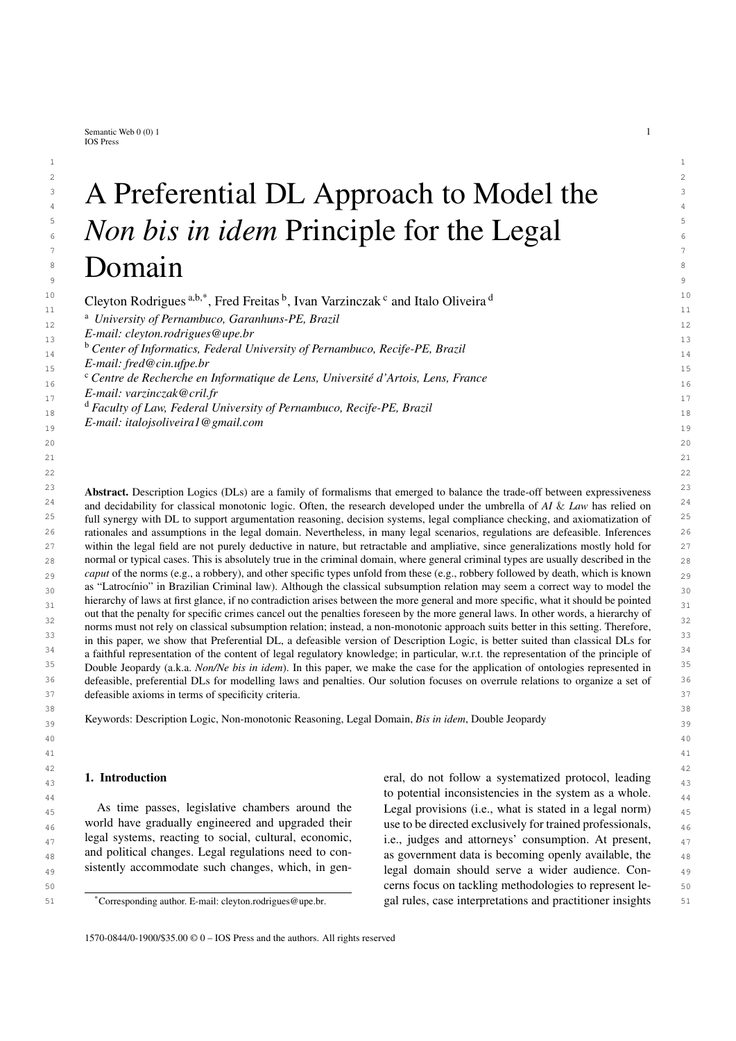<span id="page-0-0"></span>Semantic Web  $0(0)$  1 1 IOS Press

### $2 \times 2$  $3$   $\Delta$  Preterential DI  $\Delta$  pproach to Model the  $3$ <sup>3</sup> A Preferential DL Approach to Model the 5 5 <sup>5</sup> *Non bis in idem* Principle for the Legal  $\overline{\phantom{a}}$  7 <sup>8</sup> Domain  $\frac{9}{9}$   $\frac{20}{9}$   $\frac{1}{9}$

 $1$ 

10 10 <sup>10</sup> Cleyton Ro[d](#page-0-4)rigues  $a,b,*$  $a,b,*$  $a,b,*$ , Fred Freitas  $b$ , Ivan Varzin[c](#page-0-3)zak <sup>c</sup> and Italo Oliveira  $d$ <sup>10</sup><sup>11</sup>

<sup>11</sup> <sup>a</sup> *University of Pernambuco, Garanhuns-PE, Brazil* <sup>12</sup>

13 13 *E-mail: [cleyton.rodrigues@upe.br](mailto:cleyton.rodrigues@upe.br)*

15 15 *E-mail: [fred@cin.ufpe.br](mailto:fred@cin.ufpe.br)*

 $\mu$ <sup>17</sup>  $\mu$ <sup>17</sup>  $\mu$ <sup>17</sup>  $\mu$ <sup>17</sup>  $\mu$ <sup>17</sup>  $\mu$ <sup>17</sup>  $\mu$ <sup>17</sup>  $\mu$ <sup>17</sup>  $\mu$ <sup>17</sup>  $\mu$ <sup>17</sup>  $\mu$ <sup>17</sup>  $\mu$ <sup>17</sup>  $\mu$ <sup>17</sup>  $\mu$ <sup>17</sup>  $\mu$ <sup>17</sup>  $\mu$ <sup>17</sup>  $\mu$ <sup>17</sup>  $\mu$ <sup>17</sup>  $\mu$ <sup>17</sup>  $\mu$ <sup>17</sup>  $\mu$ <sup>17</sup>  $\mu$ <sup>17</sup>  $\mu$ <sup>17</sup>  $\mu$ <sup>17</sup>  $\mu$ <sup></sup> *E-mail: [varzinczak@cril.fr](mailto:varzinczak@cril.fr)*

<span id="page-0-4"></span><sup>11</sup> <sup>d</sup> *Faculty of Law, Federal University of Pernambuco, Recife-PE, Brazil* 18

19 19 *E-mail: [italojsoliveira1@gmail.com](mailto:italojsoliveira1@gmail.com)*

 $23$  **Abstract.** Description Logics (DLs) are a family of formalisms that emerged to balance the trade-off between expressiveness  $23$ <sup>24</sup> and decidability for classical monotonic logic. Often, the research developed under the umbrella of *AI* & *Law* has relied on<sup>24</sup>  $25$  full synergy with DL to support argumentation reasoning, decision systems, legal compliance checking, and axiomatization of  $25$ <sup>26</sup> rationales and assumptions in the legal domain. Nevertheless, in many legal scenarios, regulations are defeasible. Inferences <sup>26</sup> 27 27 within the legal field are not purely deductive in nature, but retractable and ampliative, since generalizations mostly hold for  $_{28}$  normal or typical cases. This is absolutely true in the criminal domain, where general criminal types are usually described in the  $_{28}$ *caput* of the norms (e.g., a robbery), and other specific types unfold from these (e.g., robbery followed by death, which is known <sub>29</sub>  $_{30}$  as "Latrocínio" in Brazilian Criminal law). Although the classical subsumption relation may seem a correct way to model the  $_{30}$ hierarchy of laws at first glance, if no contradiction arises between the more general and more specific, what it should be pointed  $_{31}$ <sup>32</sup><br>norms must not rely on classical subsumption relation; instead, a non-monotonic approach suits better in this setting. Therefore, <sup>33</sup> in this paper, we show that Preferential DL, a defeasible version of Description Logic, is better suited than classical DLs for <sup>34</sup> a faithful representation of the content of legal regulatory knowledge; in particular, w.r.t. the representation of the principle of <sup>34</sup> 35 35 Double Jeopardy (a.k.a. *Non/Ne bis in idem*). In this paper, we make the case for the application of ontologies represented in <sup>36</sup> defeasible, preferential DLs for modelling laws and penalties. Our solution focuses on overrule relations to organize a set of <sup>36</sup> 37 37 defeasible axioms in terms of specificity criteria. out that the penalty for specific crimes cancel out the penalties foreseen by the more general laws. In other words, a hierarchy of

41 41

39 39 Keywords: Description Logic, Non-monotonic Reasoning, Legal Domain, *Bis in idem*, Double Jeopardy

1. Introduction

As time passes, legislative chambers around the world have gradually engineered and upgraded their legal systems, reacting to social, cultural, economic, and political changes. Legal regulations need to consistently accommodate such changes, which, in gen-

42 42 **1. Introduction** eral, do not follow a systematized protocol, leading  $\frac{43}{43}$  $44<sup>44</sup>$  to potential inconsistencies in the system as a whole. As time passes, legislative chambers around the Legal provisions (i.e., what is stated in a legal norm)  $_{45}$ 46 world have gradually engineered and upgraded their use to be directed exclusively for trained professionals,  $\frac{46}{90}$  $_{47}$  legal systems, reacting to social, cultural, economic, i.e., judges and attorneys' consumption. At present,  $_{47}$  $_{48}$  and political changes. Legal regulations need to con-<br>as government data is becoming openly available, the <sup>49</sup> sistently accommodate such changes, which, in gen-<br>legal domain should serve a wider audience. Con-50 50 cerns focus on tackling methodologies to represent le-51 51 gal rules, case interpretations and practitioner insights

 $20$ 21  $\sim$  21 22  $\sim$  22 38 38

<span id="page-0-1"></span><sup>&</sup>lt;sup>15</sup> 14<sup>b</sup> *Center of Informatics, Federal University of Pernambuco, Recife-PE, Brazil* 

<span id="page-0-3"></span><sup>&</sup>lt;sup>16</sup> <sup>c</sup> Centre de Recherche en Informatique de Lens, Université d'Artois, Lens, France

<span id="page-0-2"></span><sup>\*</sup>Corresponding author. E-mail: [cleyton.rodrigues@upe.br.](mailto:cleyton.rodrigues@upe.br)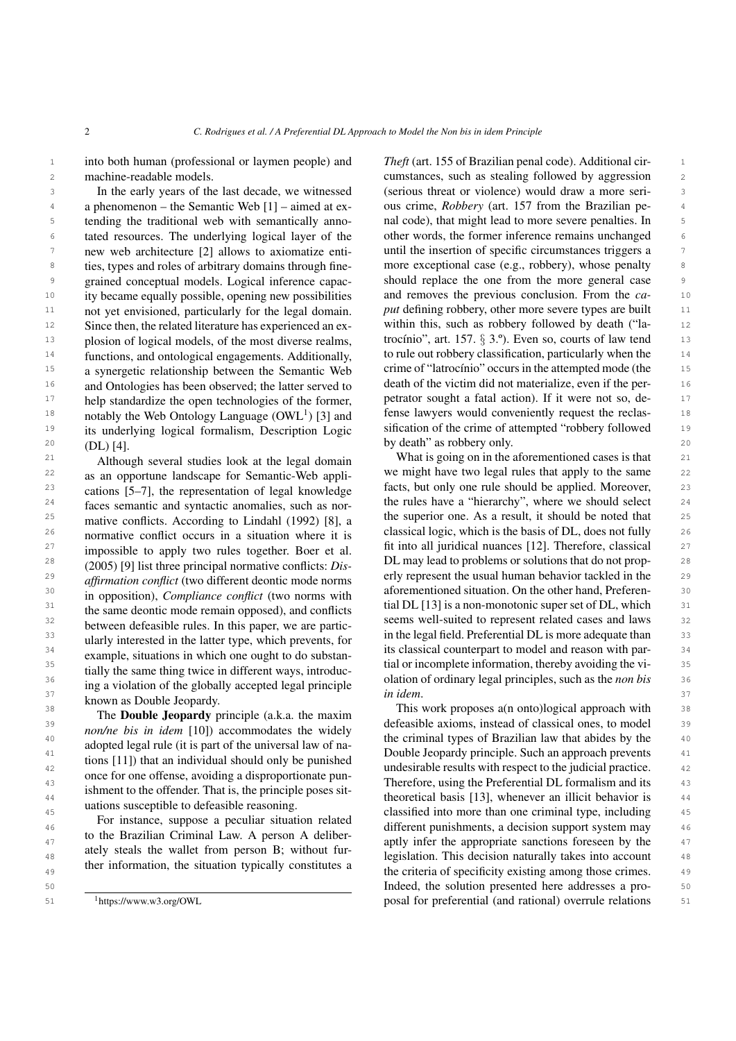<sup>1</sup> into both human (professional or laymen people) and *Theft* (art. 155 of Brazilian penal code). Additional cirmachine-readable models.

3 In the early years of the last decade, we witnessed (serious threat or violence) would draw a more seri-<br>3 4 a phenomenon – the Semantic Web  $[1]$  – aimed at ex- ous crime, *Robbery* (art. 157 from the Brazilian pe-<sup>5</sup> tending the traditional web with semantically anno- and code), that might lead to more severe penalties. In <sup>6</sup> tated resources. The underlying logical layer of the other words, the former inference remains unchanged <sup>6</sup> 7 new web architecture [2] allows to axiomatize enti-<br>antil the insertion of specific circumstances triggers a <sup>8</sup> ties, types and roles of arbitrary domains through fine- more exceptional case (e.g., robbery), whose penalty <sup>9</sup> grained conceptual models. Logical inference capac-<br><sup>9</sup> grained conceptual models. Logical inference capac-<sup>10</sup> ity became equally possible, opening new possibilities and removes the previous conclusion. From the  $ca$ - <sup>10</sup> <sup>11</sup> not yet envisioned, particularly for the legal domain. put defining robbery, other more severe types are built <sup>12</sup> Since then, the related literature has experienced an ex-<br>within this, such as robbery followed by death ("la-<br><sup>12</sup> 13 plosion of logical models, of the most diverse realms, trocínio", art. 157. § 3.°). Even so, courts of law tend 13 <sup>14</sup> functions, and ontological engagements. Additionally, to rule out robbery classification, particularly when the 15 a synergetic relationship between the Semantic Web crime of "latrocínio" occurs in the attempted mode (the 15 <sup>16</sup> and Ontologies has been observed; the latter served to death of the victim did not materialize, even if the per-<sup>17</sup> help standardize the open technologies of the former, petrator sought a fatal action). If it were not so, de- $18$  notably the Web Ontology Language (OWL<sup>1</sup>) [3] and fense lawyers would conveniently request the reclas-<sup>19</sup> its underlying logical formalism. Description Logic sification of the crime of attempted "robbery followed <sup>19</sup>  $20 \quad \text{(DI.)}$  [4]  $20 \quad \text{(DI.)}$  [4]  $20 \quad \text{(DI.)}$  [4]  $20 \quad \text{(DI.)}$  [4]  $20 \quad \text{(DI.)}$ In the early years of the last decade, we witnessed new web architecture [\[2\]](#page-20-1) allows to axiomatize entities, types and roles of arbitrary domains through finenot yet envisioned, particularly for the legal domain. Since then, the related literature has experienced an explosion of logical models, of the most diverse realms, a synergetic relationship between the Semantic Web and Ontologies has been observed; the latter served to help standardize the open technologies of the former, notably the Web Ontology Language  $(OWL<sup>1</sup>)$  $(OWL<sup>1</sup>)$  $(OWL<sup>1</sup>)$  [\[3\]](#page-20-2) and its underlying logical formalism, Description Logic (DL) [\[4\]](#page-20-3).

 $^{22}$  as an opportune landscape for Semantic-Web appli- we might have two legal rules that apply to the same  $^{22}$ 23 cations  $[5-7]$  the representation of legal knowledge facts, but only one rule should be applied. Moreover, 23  $24$  faces semantic and syntactic anomalies such as nor-<br>the rules have a "hierarchy", where we should select  $24$ <sup>25</sup> mative conflicts. According to Lindahl (1992) [81 a the superior one. As a result, it should be noted that <sup>25</sup> <sup>26</sup> normative conflict occurs in a situation where it is classical logic, which is the basis of DL, does not fully  $\frac{26}{5}$ <sup>27</sup> impossible to apply two rules together Boer et al fit into all juridical nuances [\[12\]](#page-20-10). Therefore, classical  $27$  $^{28}$  (2005) [9] list three principal normative conflicts: Discussion DL may lead to problems or solutions that do not prop-<sup>29</sup> affirmation conflict (two different deontic mode norms erly represent the usual human behavior tackled in the <sup>29</sup> <sup>30</sup> in opposition) Compliance conflict (two porms with aforementioned situation. On the other hand, Preferen-<br><sup>30</sup> <sup>31</sup> the same deontic mode remain opposed) and conflicts tial DL [\[13\]](#page-20-11) is a non-monotonic super set of DL, which <sup>31</sup> <sup>32</sup> between defeasible rules. In this paper, we are particle seems well-suited to represent related cases and laws <sup>32</sup>  $\frac{33}{2}$  in the legal field. Preferential DL is more adequate than  $\frac{33}{2}$  in the legal field. Preferential DL is more adequate than  $\frac{34}{2}$  avenues in the set of the counterpart of the set of the counterpart to model and reason with par-<br> $\frac{34}{2}$  $\frac{35}{25}$  tially the same thing twise in different ways introduce tial or incomplete information, thereby avoiding the vi-36 36 olation of ordinary legal principles, such as the *non bis*  $\frac{37}{2}$  known as Double Jeopardy. Although several studies look at the legal domain as an opportune landscape for Semantic-Web applications [\[5](#page-20-4)[–7\]](#page-20-5), the representation of legal knowledge faces semantic and syntactic anomalies, such as normative conflicts. According to Lindahl (1992) [\[8\]](#page-20-6), a normative conflict occurs in a situation where it is impossible to apply two rules together. Boer et al. (2005) [\[9\]](#page-20-7) list three principal normative conflicts: *Disaffirmation conflict* (two different deontic mode norms in opposition), *Compliance conflict* (two norms with the same deontic mode remain opposed), and conflicts between defeasible rules. In this paper, we are particularly interested in the latter type, which prevents, for example, situations in which one ought to do substantially the same thing twice in different ways, introducing a violation of the globally accepted legal principle

The Double Jeopardy principle (a.k.a. the maxim *non/ne bis in idem* [\[10\]](#page-20-8)) accommodates the widely adopted legal rule (it is part of the universal law of nations [\[11\]](#page-20-9)) that an individual should only be punished once for one offense, avoiding a disproportionate punishment to the offender. That is, the principle poses situations susceptible to defeasible reasoning.

For instance, suppose a peculiar situation related to the Brazilian Criminal Law. A person A deliberately steals the wallet from person B; without further information, the situation typically constitutes a

<span id="page-1-0"></span><sup>1</sup>https://www.w3.org/OWL

2 machine-readable models. The cumstances, such as stealing followed by aggression 2 *Theft* (art. 155 of Brazilian penal code). Additional cirous crime, *Robbery* (art. 157 from the Brazilian penal code), that might lead to more severe penalties. In other words, the former inference remains unchanged should replace the one from the more general case and removes the previous conclusion. From the *ca*to rule out robbery classification, particularly when the

21 Although several studies look at the legal domain What is going on in the aforementioned cases is that 21 *in idem*.

 $\frac{38}{18}$  This work proposes a(n onto)logical approach with  $\frac{38}{18}$  $\frac{39}{2}$  39  $\frac{1}{2}$   $\frac{1}{2}$   $\frac{1}{2}$   $\frac{1}{2}$   $\frac{1}{2}$   $\frac{1}{2}$   $\frac{1}{2}$   $\frac{1}{2}$   $\frac{1}{2}$   $\frac{1}{2}$   $\frac{1}{2}$   $\frac{1}{2}$   $\frac{1}{2}$   $\frac{1}{2}$   $\frac{1}{2}$   $\frac{1}{2}$   $\frac{1}{2}$   $\frac{1}{2}$   $\frac{1}{2}$   $\frac{1}{2}$   $\frac{1}{2$  $\frac{40}{40}$   $\frac{40 \text{ m/s}}{40 \text{ m/s}}$   $\frac{40 \text{ m/s}}{40 \text{ m/s}}$  the criminal types of Brazilian law that abides by the 41 deepend by the first of the contract of the substantial contract of the substantial contract of the substantial contract of the substantial contract of the substantial contract of the substantial contract of the substan 42 a underly understable results with respect to the judicial practice. 42 <sup>43</sup> <sup>43</sup> the formalism and its the effective definition of the the term of the term of the term of the term of the term of the term of the term of the term of the term of the term of the term of the term of the term of th 44 44 theoretical basis [\[13\]](#page-20-11), whenever an illicit behavior is <sup>45</sup> dations susceptive than the contrasting classified into more than one criminal type, including <sup>45</sup> 46 46 different punishments, a decision support system may <sup>47</sup> appropriate sanctions foreseen by the 47<sup>47</sup> appropriate sanctions foreseen by the 47<sup>47</sup> <sup>48</sup> acty see as the want from person **B**, whilout fur-<br>legislation. This decision naturally takes into account <sup>49</sup> the criteria of specificity existing among those crimes. <sup>49</sup> <sup>49</sup> the criteria of specificity existing among those crimes. 50 50 Indeed, the solution presented here addresses a pro-51 <sup>1</sup>https://www.w3.org/OWL <sup>1</sup>https://www.w3.org/OWL 51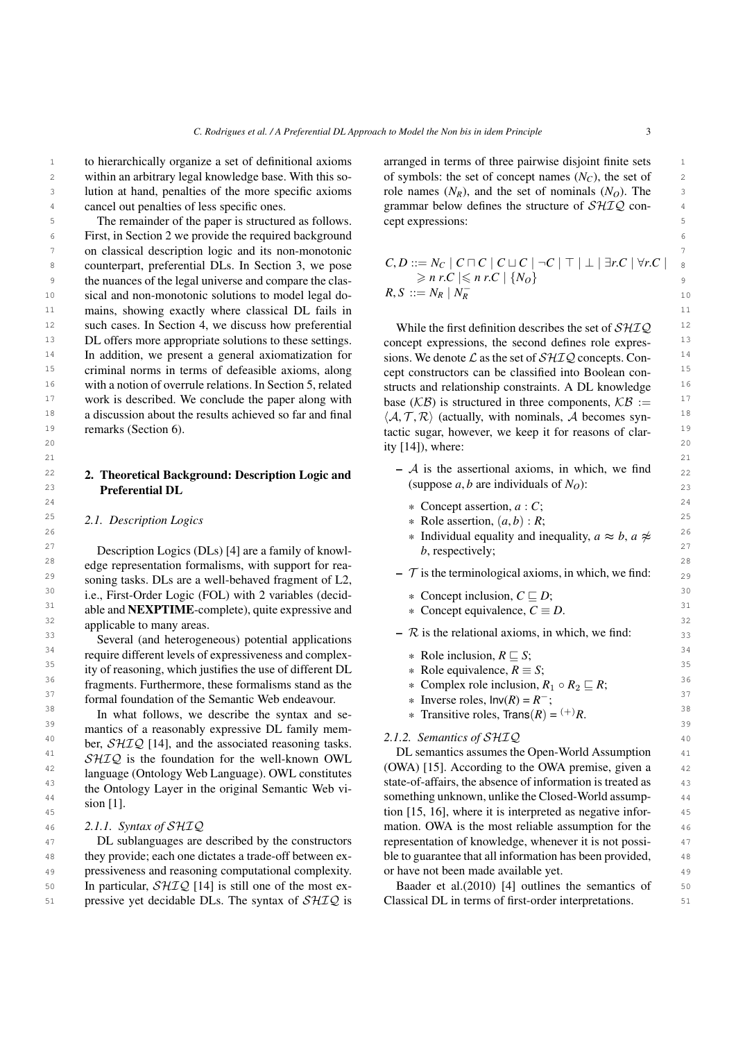$21$  21

1 to hierarchically organize a set of definitional axioms arranged in terms of three pairwise disjoint finite sets 2 within an arbitrary legal knowledge base. With this so- of symbols: the set of concept names  $(N_C)$ , the set of 2 3 lution at hand, penalties of the more specific axioms role names  $(N_R)$ , and the set of nominals  $(N_O)$ . The within an arbitrary legal knowledge base. With this socancel out penalties of less specific ones.

5 5 5 The remainder of the paper is structured as follows. Cept expressions: 6 6 First, in Section 2 we provide the required background 7 7 on classical description logic and its non-monotonic 8 counterpart, preferential DLs. In Section 3, we pose  $C, D ::= N_C | C \cap C | C \cup C | \neg C | | A \cap C | \neg C$ 9 be nuances of the legal universe and compare the clas-<br>9  $\ge n r.C \le n r.C \le n r.C$ 10 sical and non-monotonic solutions to model legal do-<br>  $R, S ::= N_R | N_R$  10 <sup>11</sup> mains, showing exactly where classical DL fails in <sup>11</sup> <sup>12</sup> such cases. In Section 4, we discuss how preferential While the first definition describes the set of  $\mathcal{SHIO}$  <sup>12</sup> <sup>13</sup> DL offers more appropriate solutions to these settings. concept expressions, the second defines role expres-<sup>14</sup> In addition, we present a general axiomatization for sions. We denote  $\mathcal L$  as the set of  $\mathcal S\mathcal H\mathcal I\mathcal Q$  concepts. Con-<sup>15</sup> criminal norms in terms of defeasible axioms, along cept constructors can be classified into Boolean con-<sup>16</sup> with a notion of overrule relations. In Section 5, related structs and relationship constraints. A DL knowledge  $16$ <sup>17</sup> work is described. We conclude the paper along with base  $(K\mathcal{B})$  is structured in three components,  $KB :=$ <sup>17</sup> <sup>18</sup> a discussion about the results achieved so far and final  $\langle A, \mathcal{T}, \mathcal{R} \rangle$  (actually, with nominals, A becomes syn-19 19 tactic sugar, however, we keep it for reasons of clarremarks (Section 6).

### 23 **Preferential DL** (suppose *a*, *b* are individuals of  $N_O$ ): Preferential DL

### <sup>25</sup> 2.1. Description Logics  $\qquad \qquad * \text{ Role assertion}, (a, b) : R;$ <sup>25</sup>

<sup>28</sup> edge representation formalisms, with support for rea-<br>  $\tau$  is the terminal saised enjoys in which we find: 29 29 – T is the terminological axioms, in which, we find: <sup>30</sup> i.e., First-Order Logic (FOL) with 2 variables (decid-  $*$  Concept inclusion,  $C \sqsubseteq D$ ; <sup>31</sup> able and **NEXPTIME**-complete), quite expressive and  $\ast$  Concept equivalence,  $\overline{C} \equiv D$ . <sup>32</sup> applicable to many areas.<sup>32</sup> soning tasks. DLs are a well-behaved fragment of L2,

<sup>34</sup> require different levels of expressiveness and complex-<br><sup>34</sup> x Role inclusion,  $R \subseteq S$ ; <sup>35</sup> ity of reasoning, which justifies the use of different DL  $*$  Role equivalence,  $R \equiv S$ ; <sup>36</sup> 5<sup>36</sup> 54 1 12 136 556 56 120 136 566 1366 567 1366 567 1366 567 1366 567 1366 567 1366 567 1366 567 1366 567 1366 567 1366 567 1366 567 1366 567 1366 567 1366 567 1366 567 1366 567 1366 567 1366 567 1366 567 1366 567 <sup>37</sup> formal foundation of the Semantic Web endeavour.  $\ast$  Inverse roles,  $\ln v(R) = R^{-}$ ; Several (and heterogeneous) potential applications

<sup>38</sup> In what follows, we describe the syntax and se-<br><sup>38</sup>  $*$  Transitive roles, Trans $(R) = (+)R$ .  $39$  mantics of a reasonably expressive DL family mem-<br> $312.5$  Semination of  $S1/7Q$  $^{40}$  **box**  $^{21}TQ$   $^{141}$  and the associated researing tests  $^{21}TQ$   $^{40}$   $^{40}$  **2.1.2. Semantics of SHIQ**  $^{40}$  $\frac{\partial u}{\partial t}$   $\frac{\partial u}{\partial t}$  is the foundation for the well known  $\partial W$ . DL semantics assumes the Open-World Assumption  $\frac{42}{42}$  log use Cutellogy Web I provided OWI constitutes (OWA) [\[15\]](#page-20-13). According to the OWA premise, given a  $\frac{42}{42}$ <sup>43</sup> the Ontology of the original Semantic Web via the of-affairs, the absence of information is treated as <sup>43</sup> <sup>44</sup> <sup>44</sup> <sup>1</sup>  $\frac{1}{2}$   $\frac{1}{2}$   $\frac{1}{2}$   $\frac{1}{2}$   $\frac{1}{2}$  something unknown, unlike the Closed-World assumpber,  $\mathcal{SHTQ}$  [\[14\]](#page-20-12), and the associated reasoning tasks.  $SHIQ$  is the foundation for the well-known OWL language (Ontology Web Language). OWL constitutes the Ontology Layer in the original Semantic Web vision [\[1\]](#page-20-0).

#### *2.1.1. Syntax of* SHIQ

<sup>47</sup> DL sublanguages are described by the constructors representation of knowledge, whenever it is not possi-48 they provide; each one dictates a trade-off between ex-<br>ble to guarantee that all information has been provided, 49 49 pressiveness and reasoning computational complexity. 50 In particular,  $\mathcal{SHTQ}$  [\[14\]](#page-20-12) is still one of the most ex-<br>Baader et al.(2010) [4] outlines the semantics of 50  $51$  pressive yet decidable DLs. The syntax of  $\mathcal{SHIQ}$  is Classical DL in terms of first-order interpretations. DL sublanguages are described by the constructors

a 4 4 4 4 4 4 2 cancel out penalties of less specific ones. The structure of  $\mathcal{SHIQ}$  conarranged in terms of three pairwise disjoint finite sets role names  $(N_R)$ , and the set of nominals  $(N_O)$ . The cept expressions:

> $C, D ::= N_C \mid C \sqcap C \mid C \sqcup C \mid \neg C \mid \top \mid \bot \mid \exists r.C \mid \forall r.C \mid$  $\geqslant n r.C \leqslant n r.C \mid \{N_O\}$  $R, S ::= N_R | N_R^-$

 $\frac{1}{20}$   $\frac{1}{20}$   $\frac{1}{20}$   $\frac{1}{20}$   $\frac{1}{20}$   $\frac{1}{20}$   $\frac{1}{20}$   $\frac{1}{20}$   $\frac{1}{20}$   $\frac{1}{20}$   $\frac{1}{20}$   $\frac{1}{20}$   $\frac{1}{20}$   $\frac{1}{20}$   $\frac{1}{20}$   $\frac{1}{20}$   $\frac{1}{20}$   $\frac{1}{20}$   $\frac{1}{20}$   $\frac{1}{20}$  While the first definition describes the set of  $\mathcal{SHIQ}$ concept expressions, the second defines role expressions. We denote  $\mathcal L$  as the set of  $\mathcal S\mathcal H\mathcal I\mathcal Q$  concepts. Concept constructors can be classified into Boolean constructs and relationship constraints. A DL knowledge base ( $KB$ ) is structured in three components,  $KB :=$  $\langle A, \mathcal{T}, \mathcal{R} \rangle$  (actually, with nominals, A becomes synity [\[14\]](#page-20-12)), where:

- 22 **2. Theoretical Background: Description Logic and**  $\overline{A}$  **is the assertional axioms, in which, we find**  $\overline{a}$  **22**  $-$  A is the assertional axioms, in which, we find
- $24$   $*$  Concept assertion, *a* : *C*;
	- \* Role assertion,  $(a, b) : R$ ;
- <sup>26</sup>  $\ast$  Individual equality and inequality,  $a \approx b$ ,  $a \not\approx$ <sup>26</sup> <sup>27</sup> Description Logics (DLs) [\[4\]](#page-20-3) are a family of knowl-<br><sup>27</sup> *b*, respectively; *b*, respectively;
	- - \* Concept inclusion,  $C \sqsubseteq D$ ;
		- \* Concept equivalence,  $C \equiv D$ .
- $\frac{1}{33}$   $\frac{1}{3}$   $\frac{1}{3}$   $\frac{1}{3}$   $\frac{1}{3}$   $\frac{1}{3}$   $\frac{1}{3}$   $\frac{1}{3}$   $\frac{1}{3}$   $\frac{1}{3}$   $\frac{1}{3}$   $\frac{1}{3}$   $\frac{1}{3}$   $\frac{1}{3}$   $\frac{1}{3}$   $\frac{1}{3}$   $\frac{1}{3}$   $\frac{1}{3}$   $\frac{1}{3}$   $\frac{1}{3}$   $\frac{1}{3}$   $\frac{1}{3}$ 
	- \* Role inclusion,  $R \sqsubseteq S$ ;
	- \* Role equivalence,  $R \equiv S$ ;<br>\* Complex role inclusion. Complex role inclusion,  $R_1 \circ R_2 \sqsubseteq R$ ;
	- $*$  Inverse roles,  $Inv(R) = R^-;$
	- \* Transitive roles,  $\text{Trans}(R) = {}^{(+)}R$ .

45 45 tion [\[15,](#page-20-13) [16\]](#page-20-14), where it is interpreted as negative infor-46 2.1.1. Syntax of SHIQ **mation.** OWA is the most reliable assumption for the 46 ble to guarantee that all information has been provided, or have not been made available yet.

> Baader et al.(2010) [\[4\]](#page-20-3) outlines the semantics of Classical DL in terms of first-order interpretations.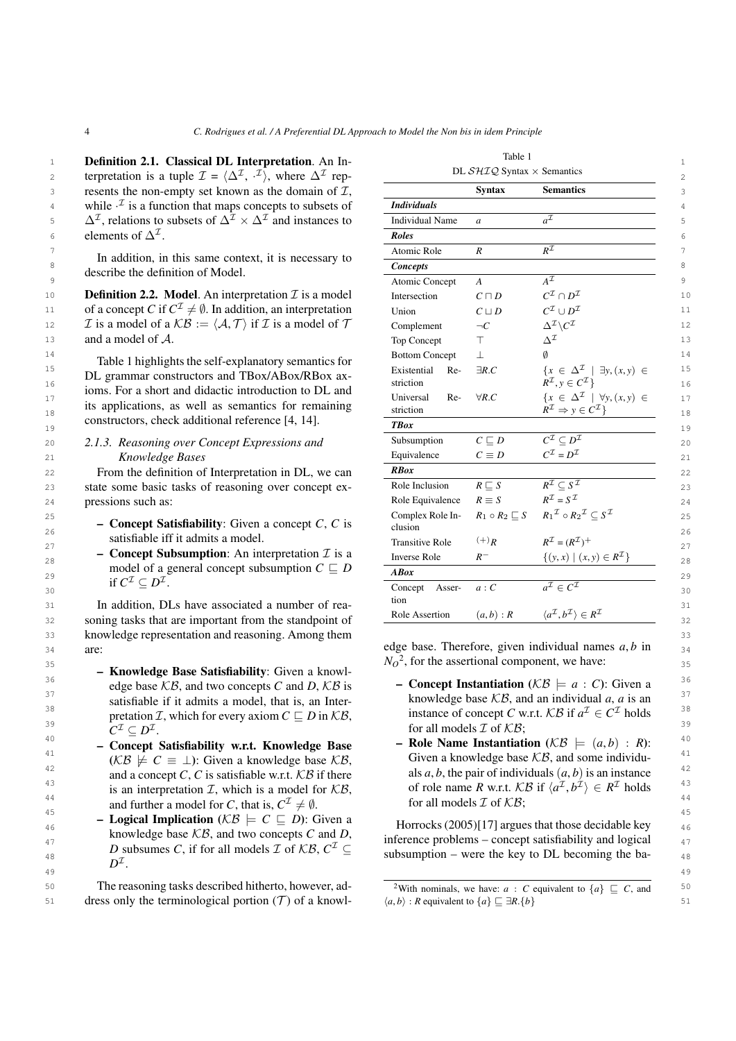- 
- if  $C^{\mathcal{I}} \subseteq D^{\mathcal{I}}$ .

32 soning tasks that are important from the standpoint of  $\frac{\text{Kole Association}}{(a, b) \cdot \text{K}}$  (a, b)  $\frac{(a, b) \cdot \text{K}}{(a, b) \cdot \text{K}}$  32 33 33 knowledge representation and reasoning. Among them are:

- <sup>36</sup> edge base KB, and two concepts C and D, KB is  **Concept Instantiation** ( $KB \models a : C$ ): Given a  $\frac{37}{2}$  satisfiable if it admits a model, that is, an Inter-<br>satisfiable if it admits a model, that is, an Inter-<br>knowledge base KB, and an individual *a*, *a* is an 38 38 **betation** *I*, which for every axiom  $C \subseteq D$  in  $KB$ , instance of concept *C* w.r.t.  $KB$  if  $a^{\mathcal{I}} \in C^{\mathcal{I}}$  holds <sup>38</sup>  $C^{\mathcal{I}} \subset D^{\mathcal{I}}$ . 39<br>for all models  $\mathcal{I}$  of  $\mathcal{KB}$ ; – Knowledge Base Satisfiability: Given a knowledge base  $KB$ , and two concepts *C* and *D*,  $KB$  is satisfiable if it admits a model, that is, an Interpretation *I*, which for every axiom  $C \sqsubseteq D$  in  $KB$ ,  $C^{\mathcal{I}} \subseteq D^{\mathcal{I}}.$
- $\kappa B \not\in \mathbb{C}$  = 1): Given a knowledge base  $\kappa B$ , Given a knowledge base  $\kappa B$ , and some individu-42 and a concept C, C is satisfiable w.r.t.  $KB$  if there als a, b, the pair of individuals  $(a, b)$  is an instance  $a$ <sup>42</sup> is an instance is an intermediate  $\pi$ , which is a medal fan  $KB$  of role name  $B$  w.r.t.  $KB$  if  $(a^T$ 43 is an interpretation *T*, which is a model for *KB*, of role name *R* w.r.t. *KB* if  $\langle a^{\mathcal{I}}, b^{\mathcal{I}} \rangle \in R^{\mathcal{I}}$  holds <sup>43</sup><br>
and for the pretation *T*, which is a model for *KB*, for all models  $\mathcal{T}$  of *KB*. and further a model for *C*, that is,  $C^{\mathcal{I}} \neq \emptyset$ . for all models  $\mathcal{I}$  of  $\mathcal{KB}$ ; – Concept Satisfiability w.r.t. Knowledge Base  $(KB \not\models C \equiv \bot)$ : Given a knowledge base KB, and a concept  $C$ ,  $C$  is satisfiable w.r.t.  $KB$  if there is an interpretation  $I$ , which is a model for  $KB$ ,
- $^{45}$   **Logical Implication** ( $KB \models C \sqsubseteq D$ ): Given a<br> $^{45}$  **Logical Implication** ( $KB \models C \sqsubseteq D$ ): Given a  $\frac{46}{46}$  – Logical implication ( $\kappa B \models C \subseteq D$ ). Given a Horrocks (2005)[\[17\]](#page-20-15) argues that those decidable key  $\frac{47}{47}$  knowledge base  $\pi$ , and two concepts c and  $D$ , inference problems – concept satisfiability and logical  $\frac{47}{47}$  $\mu_{8}$   $\mu_{8}$   $\mu_{8}$   $\mu_{8}$   $\mu_{8}$   $\mu_{8}$   $\mu_{8}$   $\mu_{8}$   $\mu_{8}$   $\mu_{8}$   $\mu_{8}$   $\mu_{8}$   $\mu_{8}$   $\mu_{8}$   $\mu_{8}$   $\mu_{8}$   $\mu_{8}$   $\mu_{8}$   $\mu_{8}$   $\mu_{8}$   $\mu_{8}$   $\mu_{8}$   $\mu_{8}$   $\mu_{8}$   $\mu_{8}$   $\mu_{8}$   $\mu_{8}$   $\mu_{8$ 49 49 knowledge base KB, and two concepts *C* and *D*, *D* subsumes *C*, if for all models *I* of  $KB, C^{\mathcal{I}} \subseteq$  $D^{\mathcal{I}}.$

50 The reasoning tasks described hitherto, however, ad-<br><sup>2</sup>With nominals, we have:  $a : C$  equivalent to  $\{a\} \subseteq C$ , and The reasoning tasks described hitherto, however, ad-

| <b>Definition 2.1. Classical DL Interpretation.</b> An In-<br>terpretation is a tuple $\mathcal{I} = \langle \Delta^{\mathcal{I}}, \cdot^{\mathcal{I}} \rangle$ , where $\Delta^{\mathcal{I}}$ rep- |                                 | DL $\mathcal{SHIQ}$ Syntax $\times$ Semantics |                                                                                                         |  |
|-----------------------------------------------------------------------------------------------------------------------------------------------------------------------------------------------------|---------------------------------|-----------------------------------------------|---------------------------------------------------------------------------------------------------------|--|
| resents the non-empty set known as the domain of $\mathcal{I}$ ,                                                                                                                                    |                                 | <b>Syntax</b>                                 | <b>Semantics</b>                                                                                        |  |
| while $\cdot^2$ is a function that maps concepts to subsets of                                                                                                                                      | <b>Individuals</b>              |                                               |                                                                                                         |  |
| $\Delta^{\mathcal{I}}$ , relations to subsets of $\Delta^{\mathcal{I}} \times \Delta^{\mathcal{I}}$ and instances to                                                                                | <b>Individual Name</b>          | $\mathfrak a$                                 | $a^{\mathcal{I}}$                                                                                       |  |
| elements of $\Delta^{\mathcal{I}}$ .                                                                                                                                                                | <b>Roles</b>                    |                                               |                                                                                                         |  |
|                                                                                                                                                                                                     | Atomic Role                     | $\boldsymbol{R}$                              | $R^{\mathcal{I}}$                                                                                       |  |
| In addition, in this same context, it is necessary to<br>describe the definition of Model.                                                                                                          | <b>Concepts</b>                 |                                               |                                                                                                         |  |
|                                                                                                                                                                                                     | Atomic Concept                  | $\boldsymbol{A}$                              | $A^{\mathcal{I}}$                                                                                       |  |
| <b>Definition 2.2. Model.</b> An interpretation $\mathcal{I}$ is a model                                                                                                                            | Intersection                    | $C\sqcap D$                                   | $C^{\mathcal{I}}\cap D^{\mathcal{I}}$                                                                   |  |
| of a concept C if $C^{\mathcal{I}} \neq \emptyset$ . In addition, an interpretation                                                                                                                 | Union                           | $C \sqcup D$                                  | $C^{\mathcal{I}}\cup D^{\mathcal{I}}$                                                                   |  |
| $\mathcal I$ is a model of a $\mathcal{KB} := \langle \mathcal A, \mathcal T \rangle$ if $\mathcal I$ is a model of $\mathcal T$                                                                    | Complement                      | $\neg C$                                      | $\Delta^{\mathcal{I}}\backslash{\cal C}^{\mathcal{I}}$                                                  |  |
| and a model of A.                                                                                                                                                                                   | Top Concept                     | $\top$                                        | $\Delta^{\mathcal{I}}$                                                                                  |  |
| Table 1 highlights the self-explanatory semantics for                                                                                                                                               | <b>Bottom Concept</b>           | $\perp$                                       |                                                                                                         |  |
| DL grammar constructors and TBox/ABox/RBox ax-                                                                                                                                                      | Existential<br>Re-<br>striction | $\exists R.C$                                 | $\{x \in \Delta^{\mathcal{I}} \mid \exists y, (x, y) \in$<br>$R^{\mathcal{I}}, y \in C^{\mathcal{I}}\}$ |  |
| ioms. For a short and didactic introduction to DL and<br>its applications, as well as semantics for remaining                                                                                       | Universal<br>Re-                | $\forall R.C$                                 | $\{x \in \Delta^{\mathcal{I}} \mid \forall y, (x, y) \in$                                               |  |
| constructors, check additional reference [4, 14].                                                                                                                                                   | striction                       |                                               | $R^{\mathcal{I}} \Rightarrow y \in C^{\mathcal{I}}$                                                     |  |
|                                                                                                                                                                                                     | <b>TBox</b>                     |                                               |                                                                                                         |  |
| 2.1.3. Reasoning over Concept Expressions and                                                                                                                                                       | Subsumption                     | $C \sqsubseteq D$                             | $\overline{C^{\mathcal{I}}\subset D^{\mathcal{I}}}$                                                     |  |
| Knowledge Bases                                                                                                                                                                                     | Equivalence                     | $C \equiv D$                                  | $C^{\mathcal{I}}=D^{\mathcal{I}}$                                                                       |  |
| From the definition of Interpretation in DL, we can                                                                                                                                                 | <b>RBox</b>                     |                                               |                                                                                                         |  |
| state some basic tasks of reasoning over concept ex-                                                                                                                                                | Role Inclusion                  | $R \sqsubseteq S$                             | $R^{\mathcal{I}} \subseteq S^{\mathcal{I}}$                                                             |  |
| pressions such as:                                                                                                                                                                                  | Role Equivalence                | $R \equiv S$                                  | $R^{\mathcal{I}}=S^{\mathcal{I}}$                                                                       |  |
| - Concept Satisfiability: Given a concept $C$ , $C$ is                                                                                                                                              | Complex Role In-<br>clusion     | $R_1 \circ R_2 \sqsubseteq S$                 | $R_1^{\mathcal{I}} \circ R_2^{\mathcal{I}} \subset S^{\mathcal{I}}$                                     |  |
| satisfiable iff it admits a model.                                                                                                                                                                  | <b>Transitive Role</b>          | $^{(+)}R$                                     | $R^{\mathcal{I}} = (R^{\mathcal{I}})^+$                                                                 |  |
| - Concept Subsumption: An interpretation $\mathcal I$ is a                                                                                                                                          | <b>Inverse Role</b>             | $R^-$                                         | { $(y, x)   (x, y) \in R^{\mathcal{I}}$ }                                                               |  |
| model of a general concept subsumption $C \sqsubseteq D$                                                                                                                                            | <b>ABox</b>                     |                                               |                                                                                                         |  |
| if $C^{\mathcal{I}} \subseteq D^{\mathcal{I}}$ .                                                                                                                                                    | Concept Asser-<br>tion          | a: C                                          | $a^{\mathcal{I}} \in C^{\mathcal{I}}$                                                                   |  |
| In addition, DLs have associated a number of rea-<br>soning tasks that are important from the standpoint of                                                                                         | Role Assertion                  | (a,b):R                                       | $\langle a^{\mathcal{I}}, b^{\mathcal{I}} \rangle \in R^{\mathcal{I}}$                                  |  |
|                                                                                                                                                                                                     |                                 |                                               |                                                                                                         |  |

<span id="page-3-0"></span>Table 1

34 are:  $\frac{34}{N_c^2}$  for the assertional component we have: <sup>35</sup>  $N_O^2$  $N_O^2$ , for the assertional component, we have:

- 
- <sup>40</sup> Concept Satisfiability w.r.t. Knowledge Base Role Name Instantiation  $(K\mathcal{B} \models (a, b) : R)$ : <sup>40</sup><br><sup>41</sup> Concept Satisfiability w.r.t. Knowledge Base Role Name Instantiation ( $KB \models (a, b) : R$ ): <sup>40</sup> for all models  $\mathcal I$  of  $\mathcal{KB}$ ;

<span id="page-3-1"></span>

<sup>51</sup> dress only the terminological portion (*T*) of a knowl-  $\langle a, b \rangle : R$  equivalent to  $\{a\} \sqsubseteq \exists R.\{b\}$  51  $\langle a, b \rangle$  : *R* equivalent to  $\{a\} \sqsubseteq \exists R.\{b\}$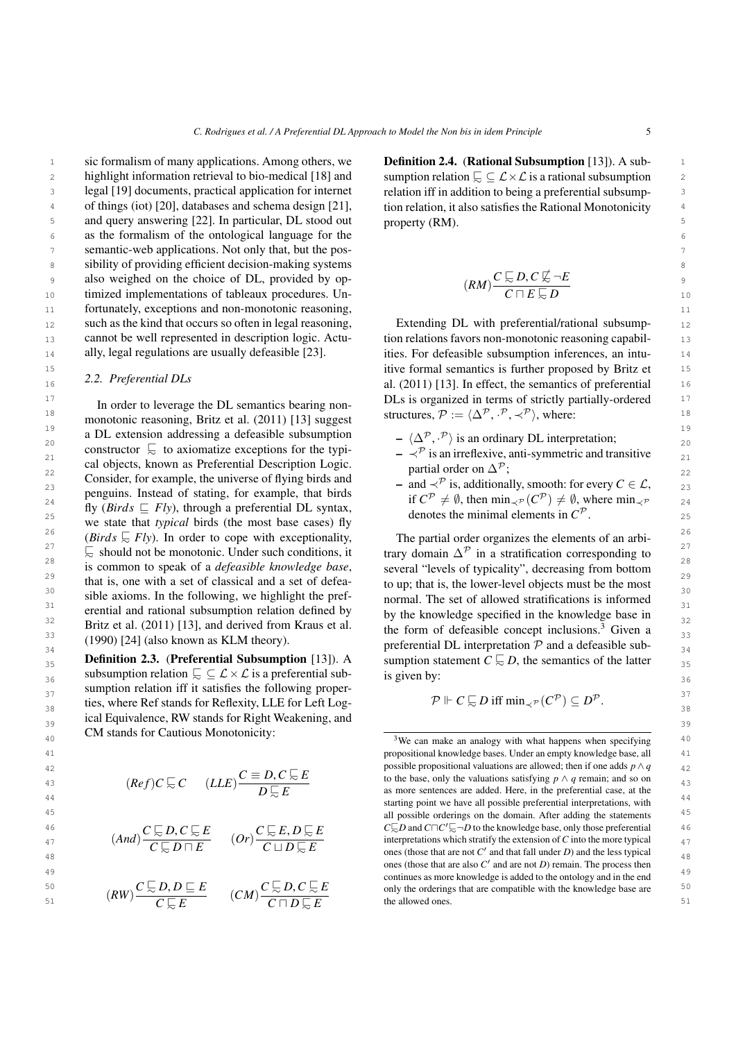1 is sic formalism of many applications. Among others, we **Definition 2.4. (Rational Subsumption** [13]). A sub-2 bighlight information retrieval to bio-medical [\[18\]](#page-20-16) and sumption relation  $\subseteq \mathcal{L}\times\mathcal{L}$  is a rational subsumption 2 3 3 legal [\[19\]](#page-21-0) documents, practical application for internet <sup>4</sup> of things (iot) [\[20\]](#page-21-1), databases and schema design [\[21\]](#page-21-2), tion relation, it also satisfies the Rational Monotonicity 5 5 and query answering [\[22\]](#page-21-3). In particular, DL stood out 6 6 as the formalism of the ontological language for the 7 7 semantic-web applications. Not only that, but the pos-8 8 sibility of providing efficient decision-making systems 9 also weighed on the choice of DL, provided by op-<br> $(P_{AM})^C \approx D, C \approx -E$ 10 10 timized implementations of tableaux procedures. Un-11 11 fortunately, exceptions and non-monotonic reasoning, 12 such as the kind that occurs so often in legal reasoning, Extending DL with preferential/rational subsump- 12 <sub>13</sub> cannot be well represented in description logic. Actu-<br><sub>13</sub> tion relations favors non-monotonic reasoning capabil-<sup>14</sup> ally, legal regulations are usually defeasible [23]. This ities. For defeasible subsumption inferences, an intusuch as the kind that occurs so often in legal reasoning, cannot be well represented in description logic. Actually, legal regulations are usually defeasible [\[23\]](#page-21-4).

### *2.2. Preferential DLs*

18 monotonic reasoning, Britz et al. (2011) [13] suggest structures,  $\mathcal{P} := \langle \Delta^{\mathcal{P}}, \cdot^{\mathcal{P}}, \prec^{\mathcal{P}} \rangle$ , where: 19 a DL extension addressing a defeasible subsumption  $-(\Lambda^p \cdot^p)$  is an ordinary DL interpretation.  $20$  constructor  $\overline{\zeta}$  to axiomatize exceptions for the typi-<br>  $-\zeta^{\mathcal{P}}$  is an irreflexive, anti-symmetric and transitive constructor  $\overline{\phantom{a}}$  to axiomatize exceptions for the typi-<br>21  $-\overline{\phantom{a}}$  is an irreflexive, anti-symmetric and transitive 22 22 Consider, for example, the universe of flying birds and  $23$  and  $\prec'$  is, additionally, smooth: for every  $C \in L$ ,  $23$ 24 24 25 25 we state that *typical* birds (the most base cases) fly 2<sup>6</sup> *(Birds*  $\sqrt{ε}$  *Fly*). In order to cope with exceptionality, The partial order organizes the elements of an arbi-<sup>27</sup>  $\overline{\phantom{a}}$   $\overline{\phantom{a}}$  should not be monotonic. Under such conditions, it trary domain  $\Delta^{\mathcal{P}}$  in a stratification corresponding to <sup>28</sup> is common to speak of a *defeasible knowledge base*, several "levels of typicality", decreasing from bottom<sup>28</sup>  $29$  that is, one with a set of classical and a set of defea-<br>to up; that is, the lower-level objects must be the most  $30$  sible axioms. In the following, we highlight the pref-<br>normal. The set of allowed stratifications is informed  $31$  erential and rational subsumption relation defined by  $\frac{1}{21}$  by the knowledge specified in the knowledge base in <sup>32</sup> 32 Britz et al. (2011) [\[13\]](#page-20-11), and derived from Kraus et al.  $\frac{32}{2}$  the form of defeasible concept inclusions <sup>3</sup> Given a <sup>33</sup> (1990) [\[24\]](#page-21-5) (also known as KLM theory). The form of detection  $\mathcal{D}$  and a defeasible sub-In order to leverage the DL semantics bearing nonmonotonic reasoning, Britz et al. (2011) [\[13\]](#page-20-11) suggest cal objects, known as Preferential Description Logic. penguins. Instead of stating, for example, that birds fly (*Birds*  $\sqsubset$  *Fly*), through a preferential DL syntax, @<sup>∼</sup> should not be monotonic. Under such conditions, it

**54 Definition 2.3. (Preferential Subsumption** [13]). A sumption statement  $C \subseteq D$ , the semantics of the latter  $\frac{1}{35}$ 36 36 subsumption relation @<sup>∼</sup> ⊆ L ×L is a preferential sub- $37$  sumption relation iff it satisfies the following proper-<br> $37$ <br> $\therefore$   $\mathbb{CP}$   $\cong$   $\mathbb{CP}$   $\cong$   $\mathbb{CP}$ ties, where Ref stands for Reflexity, LLE for Left Log-<br>38  $\mathcal{P} \Vdash C \subset D$  iff  $\min_{\prec \mathcal{P}} (C^{\mathcal{P}}) \subseteq D^{\mathcal{P}}$ .  $_{39}$  ical Equivalence, RW stands for Right Weakening, and  $_{39}$ Definition 2.3. (Preferential Subsumption [\[13\]](#page-20-11)). A CM stands for Cautious Monotonicity:

*<sup>D</sup>* @<sup>∼</sup> *<sup>E</sup>*

 $C \sqcup D \subsetneq E$ 

- 
- 

$$
^{4}{'}
$$





*C*  $\frac{C}{C}$  *D*, *C*  $\frac{C}{C}$  *E*, *D*  $\frac{C}{C}$  *E*, *D*  $\frac{C}{C}$  *E E*, *D*  $\frac{C}{C}$  *E* 

Definition 2.4. (Rational Subsumption [\[13\]](#page-20-11)). A subsumption relation  $\subseteq \subseteq L \times L$  is a rational subsumption relation iff in addition to being a preferential subsumption relation, it also satisfies the Rational Monotonicity property (RM).

$$
RM)\frac{C\mathrel{\sqsubseteq} D, C\mathrel{\not\sqsubseteq} \neg E}{C\sqcap E\mathrel{\varsubseteq} D}
$$

<sup>15</sup> 15 **15** 15 **15** 15 **15** 15 **16** 15 **16** 15 **16** 15 **16** 16 **16** 16 **16** 16 **16** 16 **16** 16 **16** 16 **16** 16 **16** 16 **16** 16 **16** 16 **16** 16 **16** 16 **16** 16 **16** 16 **16** 16 **16** 16 **16** 16 **16** 16 **16** 16 **16** 16 **16** 1 16 16 al. (2011) [\[13\]](#page-20-11). In effect, the semantics of preferential <sup>17</sup> In order to leverage the DI semantics bearing non-<br>DLs is organized in terms of strictly partially-ordered <sup>17</sup>

(*RM*)

- $\langle \Delta^{\mathcal{P}}, \cdot^{\mathcal{P}} \rangle$  is an ordinary DL interpretation;<br> $\langle \cdot \rangle^{\mathcal{P}}$  is an irreflexive anti-symmetric and tra
- partial order on  $\Delta^p$ :
- and ≺<sup> $P$ </sup> is, additionally, smooth: for every  $C \in \mathcal{L}$ , if  $C^{\mathcal{P}} \neq \emptyset$ , then  $\min_{\prec^{\mathcal{P}}} (C^{\mathcal{P}}) \neq \emptyset$ , where  $\min_{\prec^{\mathcal{P}}}$ denotes the minimal elements in  $C^{\mathcal{P}}$ .

(1990) [24] (also known as KLM incory). preferential DL interpretation  $\mathcal P$  and a defeasible sub-The partial order organizes the elements of an arbiseveral "levels of typicality", decreasing from bottom to up; that is, the lower-level objects must be the most normal. The set of allowed stratifications is informed by the knowledge specified in the knowledge base in the form of defeasible concept inclusions.[3](#page-4-0) Given a is given by:

<span id="page-4-0"></span>
$$
\mathcal{P} \Vdash C \subsetneq D \text{ iff } \min_{\prec \mathcal{P}} (C^{\mathcal{P}}) \subseteq D^{\mathcal{P}}.
$$

 $^{40}$   $^{40}$   $^{40}$   $^{40}$   $^{40}$   $^{40}$   $^{40}$   $^{40}$   $^{40}$   $^{40}$   $^{40}$   $^{40}$   $^{40}$   $^{40}$   $^{40}$   $^{40}$   $^{40}$   $^{40}$   $^{40}$   $^{40}$   $^{40}$   $^{40}$   $^{40}$   $^{40}$   $^{40}$   $^{40}$   $^{40}$   $^{40}$   $^{40}$   $^{40}$   $^{40}$   $^{40$ 41 41 propositional knowledge bases. Under an empty knowledge base, all 42 42 possible propositional valuations are allowed; then if one adds *p* ∧ *q* 43
(*Ref*)*C*  $\subseteq$  *C*  $(LLE)$   $\frac{C \equiv D, C \subseteq E}{D \sqcap E}$  for the base, only the valuations satisfying *p* ∧ *q* remain; and so on<br>
as more sentences are added. Here in the preferential case, at the  $\frac{44}{20}$  and the starting point we have all possible preferential interpretations, with  $\frac{44}{20}$ 45 45 all possible orderings on the domain. After adding the statements 46  $C \subseteq D, C \subseteq E$   $C \subseteq E, D \subseteq E$   $C \subseteq E, D \subseteq E$   $C \subseteq D$  and  $C \cap C' \subseteq \neg D$  to the knowledge base, only those preferential 46 46<br>  $\frac{4}{47}$   $(And)\frac{C\sqrt{C}}{C\sqrt{C}}$  *D*,  $C\sqrt{C}$  *E*  $(Dr)\frac{C\sqrt{C}}{C\sqrt{C}}$  *D*  $\sqrt{C}$  *E*  $D\sqrt{C}$  *E*  $D\sqrt{C}$  *E*  $E$  *C*  $D\sqrt{C}$  *E*  $E$  *C*  $D\sqrt{C}$  *E*  $E$  *C*  $D\sqrt{C}$  *E*  $F$  *C*  $F$  *C*  $F$  *C*  $F$  *C*  $F$  *C*  $C \subseteq D \cap E$   $C \sqcup D \subseteq E$  ones (those that are not *C'* and that fall under *D*) and the less typical <sub>48</sub> <sup>49</sup> and the same continues as more knowledge is added to the ontology and in the end<sup>49</sup> 50  $C \sqsubseteq D$ ,  $D \sqsubseteq E$   $C \sqsubseteq D$ ,  $C \sqsubseteq E$  only the orderings that are compatible with the knowledge hase are  $50$  $\overline{C} = (RW) \frac{C \sqrt{C}}{C \sqrt{C}}$ <br>  $\overline{C} = (CM) \frac{C \sqrt{C}}{C \sqrt{C}}$ <br>  $\overline{C} = (CM) \frac{C \sqrt{C}}{C \sqrt{C}}$ <br>  $\overline{C} = (CM) \frac{C}{C \sqrt{C}}$ <br>  $\overline{C} = (CM) \frac{C}{C \sqrt{C}}$ <br>  $\overline{C} = (CM) \frac{C}{C \sqrt{C}}$ <br>  $\overline{C} = (CM) \frac{C}{C \sqrt{C}}$ <br>  $\overline{C} = (CM) \frac{C}{C \sqrt{C}}$ <br>  $\overline{C$ to the base, only the valuations satisfying  $p \land q$  remain; and so on as more sentences are added. Here, in the preferential case, at the interpretations which stratify the extension of *C* into the more typical ones (those that are also  $C'$  and are not  $D$ ) remain. The process then only the orderings that are compatible with the knowledge base are the allowed ones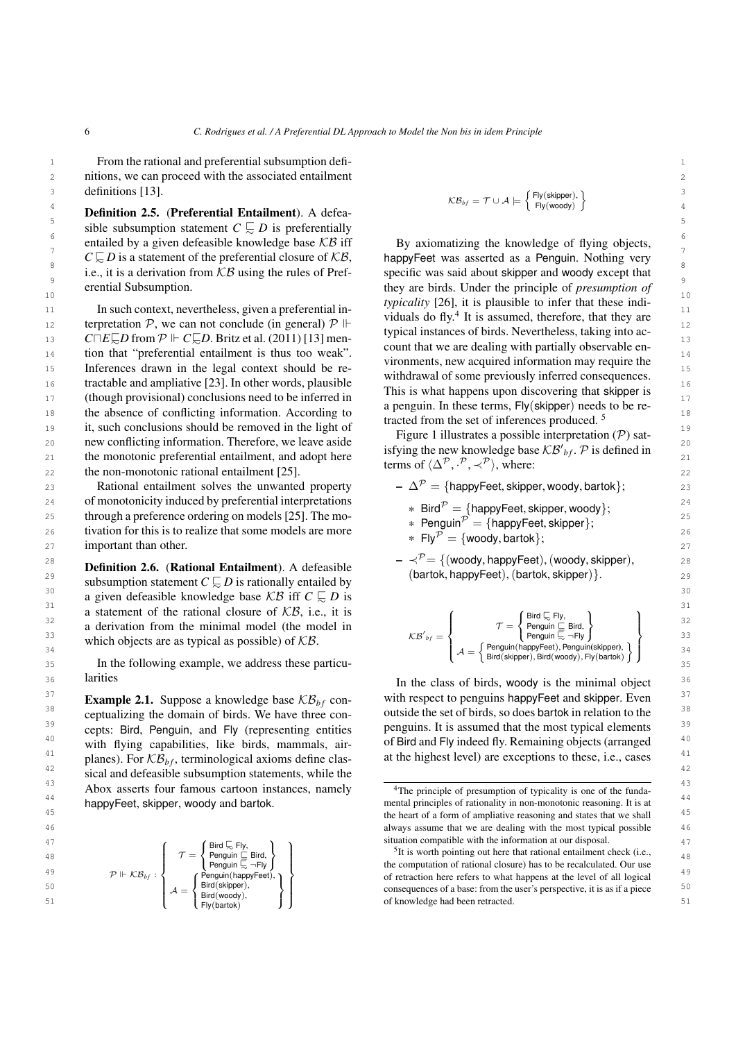1 1 From the rational and preferential subsumption defi-2 2 nitions, we can proceed with the associated entailment  $\det$  definitions [\[13\]](#page-20-11).

**1**<br>**Definition 2.5. (Preferential Entailment**). A defea-<br>**1**  $\frac{1}{2}$   $\frac{1}{2}$   $\frac{1}{2}$   $\frac{1}{2}$   $\frac{1}{2}$   $\frac{1}{2}$   $\frac{1}{2}$   $\frac{1}{2}$   $\frac{1}{2}$   $\frac{1}{2}$   $\frac{1}{2}$   $\frac{1}{2}$ 5 5 sible subsumption statement *<sup>C</sup>* @<sup>∼</sup> *<sup>D</sup>* is preferentially  $\frac{6}{5}$  entailed by a given defeasible knowledge base KB iff By axiomatizing the knowledge of flying objects, *C*  $\sqrt{2}$  *D* is a statement of the preferential closure of KB, happyFeet was asserted as a Penguin. Nothing very  $\frac{8}{1}$  i.e., it is a derivation from  $\angle B$  using the rules of Pref-<br>specific was said about skipper and woody except that erential Subsumption.

11 In such context, nevertheless, given a preferential in-<br> $\frac{dy}{dx} = 0.44 \text{ K}$  is genus of the first distribution in the line 12 terpretation P, we can not conclude (in general)  $\mathcal{P} \Vdash$  viduals do fly. It is assumed, therefore, that they are 13 *C*□*E* $\subseteq$ *D* from P  $\Vdash$  *C* $\subseteq$ *D*. Britz et al. (2011) [\[13\]](#page-20-11) men-<br>2011 that we are dealing with partially observable en-14 tion that "preferential entailment is thus too weak". Count that we are coming with partial entailment in 14 15 Inferences drawn in the legal context should be re-<br> $\frac{1}{2}$  in the legal context should be re-<br> $\frac{1}{2}$  in the legal context should be re-<br> $\frac{1}{2}$  in the sum of the legal context. 16 **tractable and ampliative [\[23\]](#page-21-4).** In other words, plausible **the construct of the construct of the consequences** is 17 (though provisional) conclusions need to be inferred in the second to be the second to be inferred in the second to be inferred in the second to be inferred in the second to be a second to be a second to be a second to 18 the absence of conflicting information. According to  $\frac{18}{100}$  the set of information in the set of information  $\frac{18}{100}$ 19 it, such conclusions should be removed in the light of  $\frac{1}{2}$  is  $\frac{1}{2}$  in the set of intercritic promoters  $\frac{19}{2}$ 20 new conflicting information. Therefore, we leave aside  $\frac{1.6 \text{ m/s}}{1.6 \text{ m/s}} = 20$  and  $\frac{1.6 \text{ m/s}}{1.6 \text{ m/s}} = 20$ 21 the monotonic preferential entailment, and adopt here  $\frac{1}{2}$   $\frac{1}{2}$   $\frac{1}{2}$   $\frac{1}{2}$   $\frac{1}{2}$   $\frac{1}{2}$   $\frac{1}{2}$   $\frac{1}{2}$   $\frac{1}{2}$   $\frac{1}{2}$   $\frac{1}{2}$   $\frac{1}{2}$   $\frac{1}{2}$   $\frac{1}{2}$   $\frac{1}{2}$   $\frac{1}{2}$   $\frac{$ 22 the non-monotonic rational entailment [\[25\]](#page-21-6).  $22 \qquad \qquad 22$ 

23 **Rational entailment solves the unwanted property**  $-\Delta^{\mathcal{P}} = \{\text{happyFeet, skipper, woody, Bartok}\}\;$ 24 of monotonicity induced by preferential interpretations  $24$   $\frac{1}{2}$   $\frac{1}{2}$   $\frac{1}{2}$   $\frac{1}{2}$   $\frac{1}{2}$   $\frac{1}{2}$   $\frac{1}{2}$   $\frac{1}{2}$   $\frac{1}{2}$   $\frac{1}{2}$   $\frac{1}{2}$   $\frac{1}{2}$   $\frac{1}{2}$   $\frac{1}{2}$   $\frac{1}{2}$   $\frac{1}{2$ 25 through a preference ordering on models [\[25\]](#page-21-6). The mo-<br>25  $\frac{1}{2}$   $\frac{1}{2}$   $\frac{1}{2}$   $\frac{1}{2}$   $\frac{1}{2}$   $\frac{1}{2}$   $\frac{1}{2}$   $\frac{1}{2}$   $\frac{1}{2}$   $\frac{1}{2}$   $\frac{1}{2}$   $\frac{1}{2}$   $\frac{1}{2}$   $\frac{1}{2}$   $\frac{1}{2}$   $\frac{1}{2}$  26 tivation for this is to realize that some models are more  $\frac{1}{26}$   $\frac{1}{26}$   $\frac{1}{26}$   $\frac{1}{26}$   $\frac{1}{26}$   $\frac{1}{26}$   $\frac{1}{26}$   $\frac{1}{26}$   $\frac{1}{26}$   $\frac{1}{26}$   $\frac{1}{26}$   $\frac{1}{26}$   $\frac{1}{26}$   $\frac{1}{26}$   $\frac{1}{$  $27$  important than other.  $27$  is the contract of the contract of the contract of the contract of the contract of the contract of the contract of the contract of the contract of the contract of the contract of the contra

**EXEMPLOYE 29**<br>
subsumption statement  $C \subseteq D$  is rationally entailed by  $( \text{bartok}, \text{happyFeet}), (\text{bartok}, \text{skipper}) \}.$ 30 a given defeasible knowledge base KB iff  $C \subsetneq D$  is 31 a statement of the rational closure of  $\angle$ KB, i.e., it is (Bird E FW. ) 31 32 a derivation from the minimal model (the model in  $\tau = \begin{cases} 5 \text{ mod } 5\text{ cm} \\ \text{Penguin} \subseteq \text{Bird}, \end{cases}$  32 33 which objects are as typical as possible) of  $KB$ . Definition 2.6. (Rational Entailment). A defeasible subsumption statement *C*  $\subseteq D$  is rationally entailed by

35 In the following example, we address these particularities

<sup>38</sup> ceptualizing the domain of birds. We have three con-<br>outside the set of birds, so does bartok in relation to the  $\frac{39}{2}$  cepts: Bird, Penguin, and Fly (representing entities penguins. It is assumed that the most typical elements  $\frac{39}{2}$ <sup>40</sup> with flying capabilities, like birds, mammals, air- of Bird and Fly indeed fly. Remaining objects (arranged  $40$ <sup>41</sup> planes). For  $\mathcal{KB}_{h\text{-}f}$ , terminological axioms define clas-<br>at the highest level) are exceptions to these, i.e., cases <sup>42</sup> sical and defeasible subsumption statements, while the Abox asserts four famous cartoon instances, namely  $\frac{43}{4}$  The principle of presumption of typicality is one of the funda-<sup>44</sup> happyFeet, skipper, woody and bartok. The contract of the mental principles of rationality in non-monotonic reasoning. It is at **Example 2.1.** Suppose a knowledge base  $KB_{bf}$  conceptualizing the domain of birds. We have three concepts: Bird, Penguin, and Fly (representing entities with flying capabilities, like birds, mammals, airplanes). For  $\mathcal{KB}_{bf}$ , terminological axioms define clashappyFeet, skipper, woody and bartok.

> $\mathcal{L}$ J

> > $\mathcal{L}$ J

<span id="page-5-1"></span><span id="page-5-0"></span> $\begin{matrix} \end{matrix}$ 

 $\int$ 

$$
\begin{array}{c} 45 \\ 3 \end{array}
$$

$$
\begin{array}{c} 47 \\ 48 \\ 49 \\ 50 \\ \end{array} \qquad \qquad \mathcal{P} \Vdash \mathcal{KB}_{bf} : \left\{ \begin{array}{c} \mathcal{T} = \left\{ \begin{array}{l} \mathsf{Bird} \mathrel{\sqsubseteq} \mathsf{Fly}, \\ \mathsf{Penguin} \mathrel{\sqsubseteq} \mathsf{Bird}, \\ \mathsf{Penguin} \mathrel{\sqsubseteq} \neg \mathsf{Fly} \\ \mathsf{Penguin} \mathrel{\sqsubseteq} \neg \mathsf{Fly} \\ \end{array} \right. \\ 51 \qquad \qquad \mathcal{A} = \left\{ \begin{array}{l} \mathsf{Penguin}( \mathsf{kapper}), \\ \mathsf{Bird}(\mathsf{skipper}), \\ \mathsf{Bird}(\mathsf{skipper}), \\ \mathsf{Fly}(\mathsf{batch}) \end{array} \right. \end{array} \right.
$$

$$
\mathcal{KB}_{\mathit{bf}} = \mathcal{T} \cup \mathcal{A} \models \left\{\begin{matrix} \mathsf{Fly}(\mathsf{skipper}), \\ \mathsf{Fly}(\mathsf{woody}) \end{matrix}\right\}
$$

9<br>erential Subsumption.<br>they are birds. Under the principle of *presumption of* 10<br><sup>10</sup> typicality [\[26\]](#page-21-7), it is plausible to infer that these indi-<br><sup>10</sup> typicality [26], it is plausible to infer that these indi-By axiomatizing the knowledge of flying objects, happyFeet was asserted as a Penguin. Nothing very specific was said about skipper and woody except that viduals do fly. $4$  It is assumed, therefore, that they are typical instances of birds. Nevertheless, taking into account that we are dealing with partially observable environments, new acquired information may require the withdrawal of some previously inferred consequences. This is what happens upon discovering that skipper is a penguin. In these terms, Fly(skipper) needs to be retracted from the set of inferences produced. [5](#page-5-1)

> Figure [1](#page-6-0) illustrates a possible interpretation  $(\mathcal{P})$  satisfying the new knowledge base  $\mathcal{KB'}_{bf}$ .  $\mathcal{P}$  is defined in terms of  $\langle \Delta^{\mathcal{P}}, \cdot^{\mathcal{P}}, \prec^{\mathcal{P}} \rangle$ , where:

- $-\Delta^{\mathcal{P}} = \{\text{happyFeet, skipper, woody, Bartok}\};$ 
	- \* Bird $^{\mathcal{P}} = \{\mathsf{happyFeet, skipper, woody}\};$  Penguin $^{\mathcal{P}} = \{\mathsf{hamp} \}$  Equing Equipment

\* Penguin<sup>P</sup> <sup>=</sup> {happyFeet, skipper}; \* Fly<sup>P</sup> <sup>=</sup> {woody, bartok};

**28 Definition 2.6. (Rational Entailment**). A defeasible  $\begin{array}{c} -\n\prec^{\mathcal{P}} = \{(\text{woody}, \text{happyFeet}), (\text{woody}, \text{skipper}), (\text{secondy}, \text{support})\} \end{array}$ 

a statement of the rational closure of 
$$
\angle B
$$
, i.e., it is  
\na derivation from the minimal model (the model in  
\nwhich objects are as typical as possible) of  $\angle B$ .  
\nIn the following example, we address these particular  
\n
$$
\angle B'
$$
\n
$$
\angle B'
$$
\n
$$
\angle B'
$$
\n
$$
\angle B'
$$
\n
$$
\angle B'
$$
\n
$$
\angle B'
$$
\n
$$
\angle B'
$$
\n
$$
\angle B'
$$
\n
$$
\angle B'
$$
\n
$$
\angle B'
$$
\n
$$
\angle B'
$$
\n
$$
\angle B'
$$
\n
$$
\angle B'
$$
\n
$$
\angle B'
$$
\n
$$
\angle B'
$$
\n
$$
\angle B'
$$
\n
$$
\angle B'
$$
\n
$$
\angle B'
$$
\n
$$
\angle B'
$$
\n
$$
\angle B'
$$
\n
$$
\angle B'
$$
\n
$$
\angle B'
$$
\n
$$
\angle B'
$$
\n
$$
\angle B'
$$
\n
$$
\angle B'
$$
\n
$$
\angle B'
$$
\n
$$
\angle B'
$$
\n
$$
\angle B'
$$
\n
$$
\angle B'
$$
\n
$$
\angle B'
$$
\n
$$
\angle B'
$$
\n
$$
\angle B'
$$
\n
$$
\angle B'
$$
\n
$$
\angle B'
$$
\n
$$
\angle B'
$$
\n
$$
\angle B'
$$
\n
$$
\angle B'
$$
\n
$$
\angle B'
$$
\n
$$
\angle B'
$$
\n
$$
\angle B'
$$
\n
$$
\angle B'
$$
\n
$$
\angle B'
$$
\n
$$
\angle B'
$$
\n
$$
\angle B'
$$
\n
$$
\angle B'
$$
\n
$$
\angle B'
$$
\n
$$
\angle B'
$$
\n
$$
\angle B'
$$
\n
$$
\angle B'
$$
\n
$$
\angle B'
$$
\n
$$
\angle B'
$$
\n
$$
\angle B'
$$
\n
$$
\angle B'
$$
\n
$$
\angle B'
$$
\n
$$
\angle B'
$$
\n
$$
\angle B'
$$
\n
$$
\angle B'
$$
\n
$$
\angle B'
$$
\n<

<sup>36</sup> 1arities 136 1arities 136 <sup>37</sup> Example 2.1. Suppose a knowledge base  $\mathcal{KB}_{bf}$  con-<br>with respect to penguins happyFeet and skipper. Even <sup>37</sup>

 45 the heart of a form of ampliative reasoning and states that we shall 46 always assume that we are dealing with the most typical possible  $\left( \begin{array}{ccc} 47 & 47 \end{array} \right)$   $\left( \begin{array}{ccc} 47 & 47 \end{array} \right)$  situation compatible with the information at our disposal. The principle of presumption of typicality is one of the funda-

 $\tau = \left\{ \begin{array}{c} \text{But } \infty, \\ \text{Penguin} \subseteq \text{Bird}, \end{array} \right\}$   $\tau = \left\{ \begin{array}{c} \text{But } \infty, \\ \text{Penguin} \subseteq \text{Bird}, \end{array} \right\}$  $P \Vdash \mathcal{KB}_{bf}$ :  $\left\{\begin{array}{c} \text{Penguin(happ/Feet)}, \\ \text{Penguin(happ/Feet)}, \end{array}\right\}$  of retraction here refers to what happens at the level of all logical  $A = \left\{ \begin{array}{ll} \text{Bire(skipent)} \\ \text{Dire(skipent)} \end{array} \right\}$  consequences of a base: from the user's perspective, it is as if a piece  $\left\{ \begin{array}{ll} 50 \\ \text{Dire(skipent)} \end{array} \right\}$ 51  $\left\{\begin{array}{c}\text{Eiv}(\text{hortok})\\ \text{Eiv}(\text{hartok})\end{array}\right\}$  of knowledge had been retracted. the computation of rational closure) has to be recalculated. Our use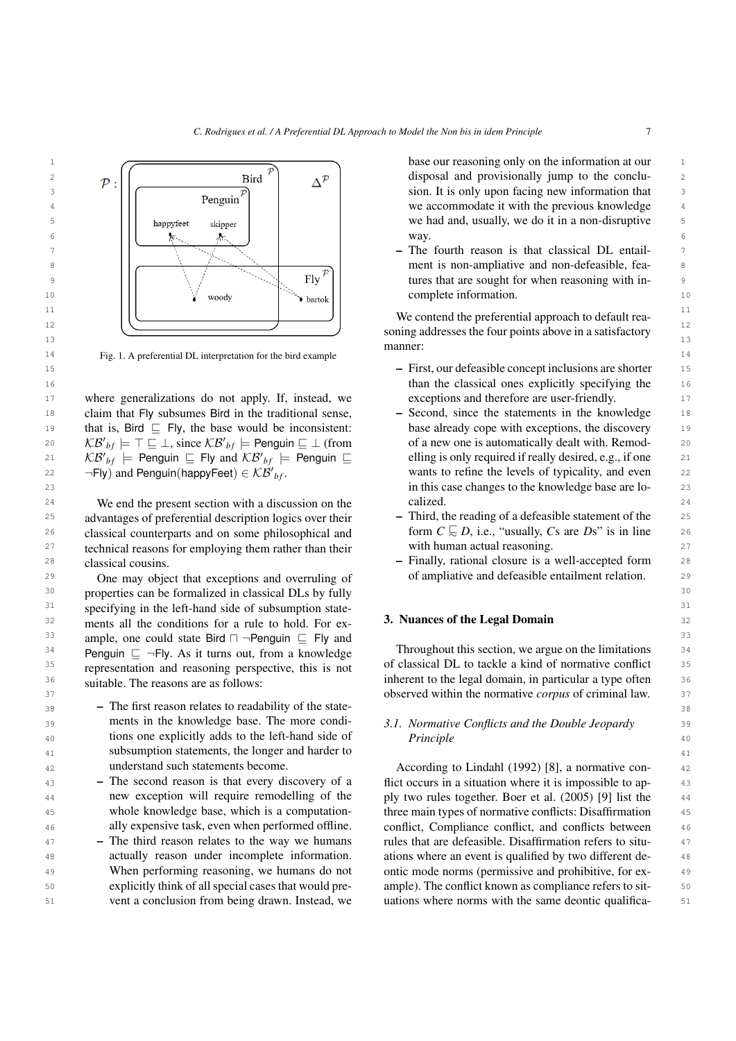

<span id="page-6-0"></span>14 14 Fig. 1. A preferential DL interpretation for the bird example

17 where generalizations do not apply. If, instead, we exceptions and therefore are user-friendly. 18 claim that Fly subsumes Bird in the traditional sense,  $\qquad$  Second, since the statements in the knowledge 18 19 that is, Bird  $\subseteq$  Fly, the base would be inconsistent: base already cope with exceptions, the discovery 19 20  $\mathcal{KB'}_{bf} \models \top \sqsubseteq \bot$ , since  $\mathcal{KB'}_{bf} \models$  Penguin  $\sqsubseteq \bot$  (from of a new one is automatically dealt with. Remod-21  $\kappa \mathcal{B'}_{bf}$   $\models$  Penguin  $\subseteq$  Fly and  $\kappa \mathcal{B'}_{bf}$   $\models$  Penguin  $\subseteq$  elling is only required if really desired, e.g., if one 21  $22$   $\neg$ Fly) and Penguin(happyFeet)  $\in$  KB'<sub>bf</sub>. Wants to refine the levels of typicality, and even  $22$  $\neg$ Fly) and Penguin(happyFeet)  $\in \mathcal{KB'}_{bf}$ .

<sup>24</sup> We end the present section with a discussion on the calized. 24 24  $^{25}$  advantages of preferential description logics over their  $\qquad$  Third, the reading of a defeasible statement of the  $\qquad$  25 26 classical counterparts and on some philosophical and form  $C \subseteq D$ , i.e., "usually, Cs are Ds" is in line 26  $27$  technical reasons for employing them rather than their with human actual reasoning. 28 28 – Finally, rational closure is a well-accepted form classical cousins.

30 30 properties can be formalized in classical DLs by fully <sup>31</sup> specifying in the left-hand side of subsumption state-<br><sup>31</sup>  $32$  ments all the conditions for a rule to hold. For ex-<br>3. Nuances of the Legal Domain 33 ample, one could state Bird  $\Box$  ¬Penguin  $\Box$  Fly and  $33$  $34$  Penguin  $\subseteq \neg$ Fly. As it turns out, from a knowledge Throughout this section, we argue on the limitations  $34$ <sup>35</sup> representation and reasoning perspective this is not of classical DL to tackle a kind of normative conflict <sup>35</sup> 36 36 inherent to the legal domain, in particular a type often One may object that exceptions and overruling of representation and reasoning perspective, this is not suitable. The reasons are as follows:

- $38$   $-$  The first reason relates to readability of the state-39 **39** ments in the knowledge base. The more condi-<br>3.1. Normative Conflicts and the Double Jeopardy <sup>40</sup> 40 tions one explicitly adds to the left-hand side of *Principle* 40 41 41 subsumption statements, the longer and harder to ments in the knowledge base. The more condiunderstand such statements become.
- 43 The second reason is that every discovery of a flict occurs in a situation where it is impossible to ap-<sup>44</sup> hew exception will require remodelling of the ply two rules together. Boer et al. (2005) [\[9\]](#page-20-7) list the <sup>44</sup> 45 whole knowledge base, which is a computation-<br>45 three main types of normative conflicts: Disaffirmation 45 – The second reason is that every discovery of a new exception will require remodelling of the whole knowledge base, which is a computationally expensive task, even when performed offline.
- <sup>47</sup> The third reason relates to the way we humans rules that are defeasible. Disaffirmation refers to situ-48 **actually reason under incomplete information.** ations where an event is qualified by two different de-49 When performing reasoning, we humans do not ontic mode norms (permissive and prohibitive, for ex-50 50 50 50 Explicitly think of all special cases that would pre- ample). The conflict known as compliance refers to sit-51 vent a conclusion from being drawn. Instead, we uations where norms with the same deontic qualifica-<br>51 – The third reason relates to the way we humans actually reason under incomplete information. When performing reasoning, we humans do not explicitly think of all special cases that would prevent a conclusion from being drawn. Instead, we

way.

manner:

- 15 15 First, our defeasible concept inclusions are shorter 16 16 than the classical ones explicitly specifying the exceptions and therefore are user-friendly.
- 23 23 in this case changes to the knowledge base are lo-– Second, since the statements in the knowledge base already cope with exceptions, the discovery of a new one is automatically dealt with. Remodelling is only required if really desired, e.g., if one calized.
	- Third, the reading of a defeasible statement of the form  $C \subseteq D$ , i.e., "usually,  $Cs$  are  $Ds$ " is in line with human actual reasoning.
- 29 One may object that exceptions and overruling of the of ampliative and defeasible entailment relation. 29

#### 3. Nuances of the Legal Domain

37 37 observed within the normative *corpus* of criminal law. Throughout this section, we argue on the limitations

# *Principle*

42 42 According to Lindahl (1992) [\[8\]](#page-20-6), a normative con-<sup>46</sup> ally expensive task, even when performed offline. conflict, Compliance conflict, and conflicts between <sup>46</sup>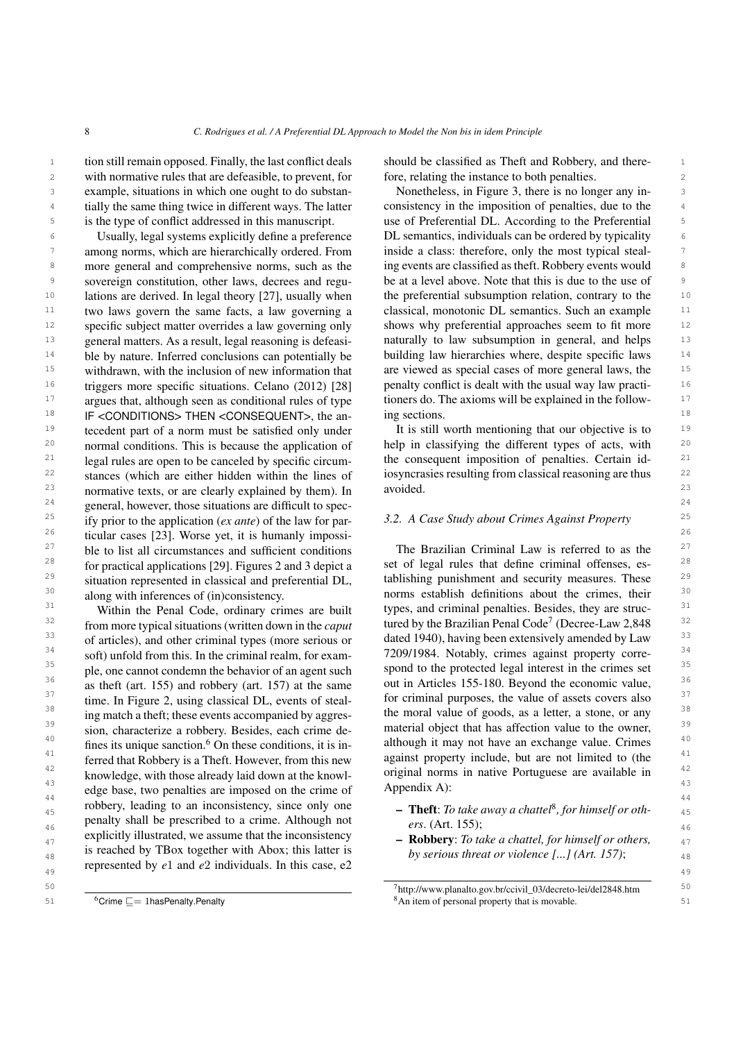<sup>1</sup> tion still remain opposed. Finally, the last conflict deals should be classified as Theft and Robbery, and there-2 2 with normative rules that are defeasible, to prevent, for 3 3 example, situations in which one ought to do substan-<sup>4</sup> tially the same thing twice in different ways. The latter consistency in the imposition of penalties, due to the <sup>5</sup> is the type of conflict addressed in this manuscript. use of Preferential DL. According to the Preferential <sup>5</sup> is the type of conflict addressed in this manuscript.

<sup>6</sup> Usually, legal systems explicitly define a preference DL semantics, individuals can be ordered by typicality 7 among norms, which are hierarchically ordered. From inside a class: therefore, only the most typical steal-<sup>8</sup> more general and comprehensive norms, such as the ing events are classified as the ft. Robbery events would <sup>9</sup> sovereign constitution, other laws, decrees and regu- be at a level above. Note that this is due to the use of <sup>10</sup> lations are derived. In legal theory [27], usually when the preferential subsumption relation, contrary to the <sup>10</sup> <sup>11</sup> two laws govern the same facts, a law governing a classical, monotonic DL semantics. Such an example <sup>11</sup> <sup>12</sup> specific subject matter overrides a law governing only shows why preferential approaches seem to fit more <sup>12</sup> <sup>13</sup> general matters. As a result, legal reasoning is defeasi- naturally to law subsumption in general, and helps <sup>13</sup> <sup>14</sup> ble by nature. Inferred conclusions can potentially be building law hierarchies where, despite specific laws <sup>14</sup> <sup>15</sup> withdrawn, with the inclusion of new information that are viewed as special cases of more general laws, the <sup>15</sup> <sup>16</sup> triggers more specific situations. Celano (2012) [28] penalty conflict is dealt with the usual way law practi-<sup>17</sup> argues that, although seen as conditional rules of type tioners do. The axioms will be explained in the follow-<sup>18</sup> IF <CONDITIONS> THEN <CONSEQUENT>, the an- ing sections. <sup>18</sup> <sup>19</sup> tecedent part of a norm must be satisfied only under It is still worth mentioning that our objective is to <sup>19</sup> <sup>20</sup> normal conditions. This is because the application of help in classifying the different types of acts, with <sup>20</sup>  $21$  legal rules are open to be canceled by specific circum-<br>the consequent imposition of penalties. Certain id-<sup>22</sup> stances (which are either hidden within the lines of iosyncrasies resulting from classical reasoning are thus  $^{22}$  $23$  normative texts, or are clearly explained by them). In avoided.  $23$  $24$  general, however, those situations are difficult to spec-<sup>25</sup> ify prior to the application (*ex ante*) of the law for par-<br>
3.2. A Case Study about Crimes Against Property  $26$  ticular cases [\[23\]](#page-21-4). Worse yet, it is humanly impossi-<sup>27</sup> ble to list all circumstances and sufficient conditions The Brazilian Criminal Law is referred to as the <sup>27</sup> <sup>28</sup> for practical applications [29]. Figures 2 and 3 depict a set of legal rules that define criminal offenses, es- $29$  situation represented in classical and preferential DL, tablishing punishment and security measures. These  $29$ <sup>30</sup> along with inferences of (in)consistency. norms establish definitions about the crimes, their<sup>30</sup> Usually, legal systems explicitly define a preference among norms, which are hierarchically ordered. From sovereign constitution, other laws, decrees and regulations are derived. In legal theory [\[27\]](#page-21-8), usually when two laws govern the same facts, a law governing a specific subject matter overrides a law governing only general matters. As a result, legal reasoning is defeasible by nature. Inferred conclusions can potentially be withdrawn, with the inclusion of new information that triggers more specific situations. Celano (2012) [\[28\]](#page-21-9) argues that, although seen as conditional rules of type normal conditions. This is because the application of legal rules are open to be canceled by specific circumstances (which are either hidden within the lines of ify prior to the application (*ex ante*) of the law for parble to list all circumstances and sufficient conditions for practical applications [\[29\]](#page-21-10). Figures [2](#page-8-0) and [3](#page-8-1) depict a situation represented in classical and preferential DL, along with inferences of (in)consistency.

<sup>32</sup> from more typical situations (written down in the *caput* tured by the Brazilian Penal Code<sup>[7](#page-7-1)</sup> (Decree-Law 2,848 <sup>32</sup> <sup>33</sup> of articles), and other criminal types (more serious or dated 1940), having been extensively amended by Law <sup>33</sup> <sup>34</sup> soft) unfold from this. In the criminal realm, for exam-<br>
<sup>7209/1984</sup>. Notably, crimes against property corre- $35$  ple, one cannot condemn the behavior of an agent such spond to the protected legal interest in the crimes set  $35$  $\frac{36}{\text{as the fit (art. 155) and robberv (art. 157) at the same}}$  out in Articles 155-180. Beyond the economic value,  $37$  time. In Figure 2, using classical DL, events of steal-<br>for criminal purposes, the value of assets covers also  $37$ <sup>38</sup> ing match a theft; these events accompanied by aggres-<br>the moral value of goods, as a letter, a stone, or any <sup>39</sup> sion, characterize a robbery. Besides, each crime de-<br>material object that has affection value to the owner,  $40$  fines its unique sanction.<sup>6</sup> On these conditions, it is in-<br>although it may not have an exchange value. Crimes  $40$  $41$  ferred that Robbery is a Theft. However, from this new against property include, but are not limited to (the  $41$ )  $\frac{42}{4}$  knowledge, with those already laid down at the knowl-<br>original norms in native Portuguese are available in  $\frac{43}{43}$  edge base, two penalties are imposed on the crime of Appendix A): <sup>44</sup>  $^{44}$   $^{44}$  robbery, leading to an inconsistency, since only one  $^{44}$   $^{44}$  robbery, leading to an inconsistency, since only one  $^{44}$ <sup>45</sup> robbery, leading to an inconsistency, since only one **– Theft**: *To take away a chattel*<sup>[8](#page-7-2)</sup>, for himself or othpenalty shall be prescribed to a crime. Although not  $ers.$  (Art. 155);  $_{47}$  explicitly illustrated, we assume that the inconsistency  $\overline{a}$  **Robbery**: *To take a chattel, for himself or others,* <sup>48</sup> 18 reached by 1Box together with Abox; this latter is by *serious threat or violence [...] (Art. 157)*; represented by  $e_1$  and  $e_2$  individuals. In this case,  $e_2$ Within the Penal Code, ordinary crimes are built from more typical situations (written down in the *caput* of articles), and other criminal types (more serious or soft) unfold from this. In the criminal realm, for example, one cannot condemn the behavior of an agent such as theft (art. 155) and robbery (art. 157) at the same time. In Figure [2,](#page-8-0) using classical DL, events of stealing match a theft; these events accompanied by aggression, characterize a robbery. Besides, each crime defines its unique sanction. $6$  On these conditions, it is inferred that Robbery is a Theft. However, from this new knowledge, with those already laid down at the knowlexplicitly illustrated, we assume that the inconsistency is reached by TBox together with Abox; this latter is

should be classified as Theft and Robbery, and therefore, relating the instance to both penalties.

Nonetheless, in Figure [3,](#page-8-1) there is no longer any inconsistency in the imposition of penalties, due to the ing events are classified as theft. Robbery events would ing sections.

It is still worth mentioning that our objective is to avoided.

<sup>31</sup> Within the Penal Code, ordinary crimes are built types, and criminal penalties. Besides, they are struc-<sup>31</sup> Appendix [A\)](#page-22-0):

- *ers*. (Art. 155);
- 

<span id="page-7-0"></span>51  ${}^{6}$ Crime  $\sqsubseteq$  = 1 has Penalty. Penalty  ${}^{8}$ An item of personal property that is movable.  $6$ Crime  $\Box$  1hasPenalty.Penalty

<sup>50</sup> 50 <sup>7</sup>http://www.planalto.gov.br/ccivil\_03/decreto-lei/del2848.htm

<span id="page-7-2"></span><span id="page-7-1"></span>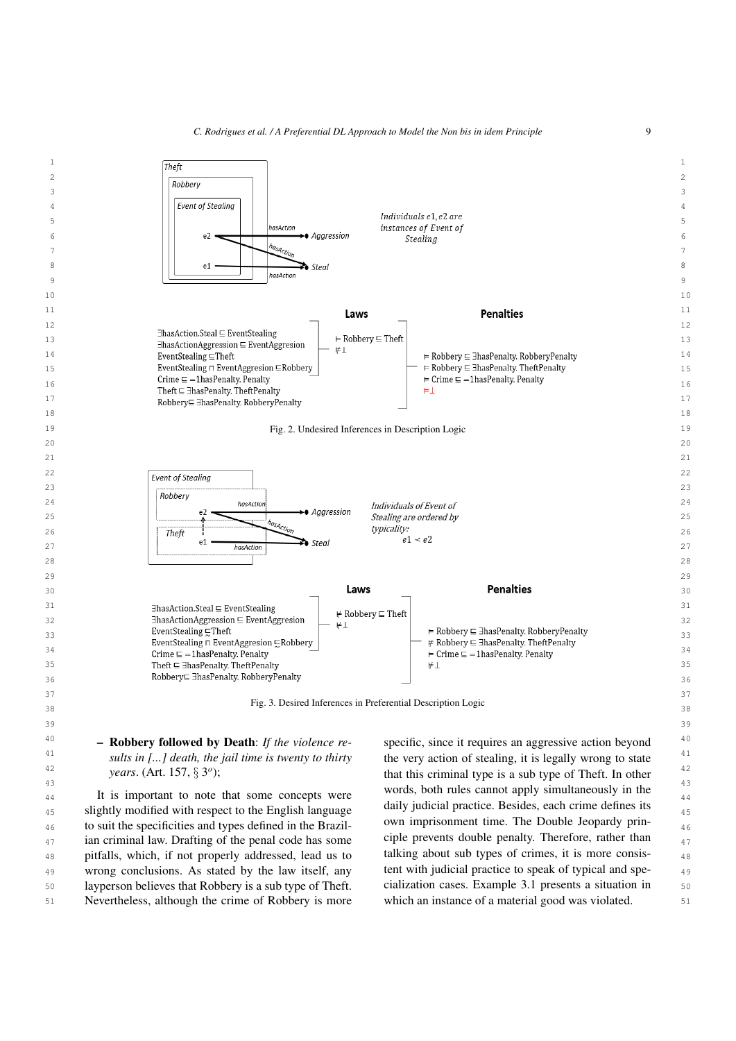<span id="page-8-0"></span>



## <span id="page-8-1"></span>– Robbery followed by Death: *If the violence reyears*. (Art. 157, § 3 *o* );

<sup>44</sup> It is important to note that some concepts were words, bout rules cannot apply simulateously in the that some concepts were  $_{45}$  slightly modified with respect to the English language all during fractice. Besides, each crime defines its  $_{45}$  $_{46}$  to suit the specificities and types defined in the Brazil- own imprisonment time. The Double Jeopardy prin- $_{47}$  ian criminal law. Drafting of the penal code has some ciple prevents double penalty. Therefore, rather than  $_{47}$ 48 pitfalls, which, if not properly addressed, lead us to talking about sub types of crimes, it is more consis-49 wrong conclusions. As stated by the law itself, any tent with judicial practice to speak of typical and spe- 50 layperson believes that Robbery is a sub type of Theft. 51 Nevertheless, although the crime of Robbery is more which an instance of a material good was violated. 51

<sup>41</sup> *sults in [...] death, the jail time is twenty to thirty* the very action of stealing, it is legally wrong to state  $\frac{41}{2}$ <sup>42</sup> *years.* (Art. 157, § 3<sup>o</sup>); that this criminal type is a sub type of Theft. In other <sup>43</sup><br>It is important to note that some concents were words, both rules cannot apply simultaneously in the the very action of stealing, it is legally wrong to state daily judicial practice. Besides, each crime defines its own imprisonment time. The Double Jeopardy principle prevents double penalty. Therefore, rather than talking about sub types of crimes, it is more consistent with judicial practice to speak of typical and specialization cases. Example [3.1](#page-9-0) presents a situation in which an instance of a material good was violated.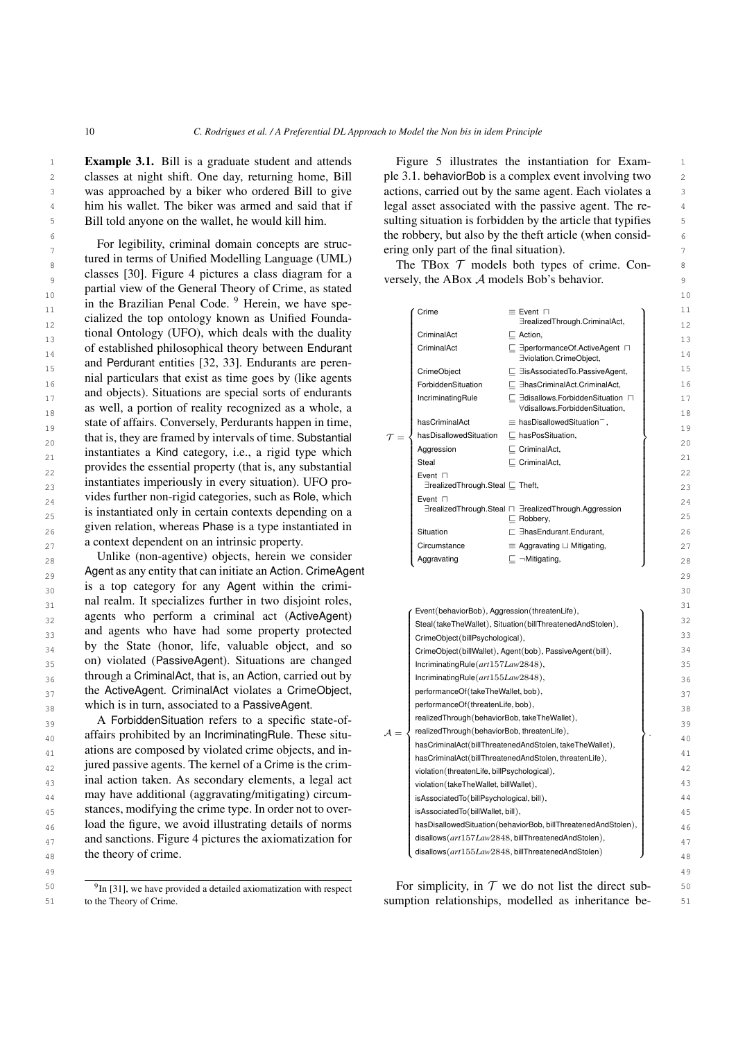<span id="page-9-0"></span><sup>1</sup> **Example 3.1.** Bill is a graduate student and attends Figure 5 illustrates the instantiation for Exam-2 2 classes at night shift. One day, returning home, Bill 3 3 was approached by a biker who ordered Bill to give <sup>4</sup> him his wallet. The biker was armed and said that if legal asset associated with the passive agent. The re-5 Bill told anyone on the wallet, he would kill him. Sulting situation is forbidden by the article that typifies Bill told anyone on the wallet, he would kill him.

 $\tau$  are regionly, chining domain concepts are situation ering only part of the final situation).  $8 \qquad \text{the} \qquad \text{The} \qquad \text{The} \qquad \text{The} \qquad \text{The} \qquad \text{The} \qquad \text{The} \qquad \text{The} \qquad \text{The} \qquad \text{The} \qquad \text{The} \qquad \text{The} \qquad \text{The} \qquad \text{The} \qquad \text{The} \qquad \text{The} \qquad \text{The} \qquad \text{The} \qquad \text{The} \qquad \text{The} \qquad \text{The} \qquad \text{The} \qquad \text{The} \qquad \text{The} \qquad \text{The} \qquad \text{The} \qquad \text{The} \qquad$  $\frac{9}{9}$  crasses [50]. Figure 4 pictures a crass diagram for a versely, the ABox A models Bob's behavior. 10 Puttin Terms and Schema Theory of States and the second 10  $\frac{10}{11}$  in the Brazilian Penal Code. <sup>[9](#page-9-1)</sup> Herein, we have spe-<br>  $\frac{10}{11}$  Crime = Event  $\Box$  $12$  cialized the top ontology known as Unified Founda-<br> $12$  arealized Through CriminalAct,  $\begin{array}{ccc}\n 13 \quad \text{tional Ontology (UFO), which deals with the duality\n\end{array}\n\qquad\n\begin{array}{ccc}\n \text{Criminal Act} \quad \text{Criminal Act}\n \end{array}\n\qquad\n\begin{array}{ccc}\n \text{Criminal Act} \quad \text{C}{\text{Action}}\n \end{array}\n\qquad\qquad\n\begin{array}{ccc}\n \text{I}3 \quad \text{I}4 \quad \text{I}4 \quad \text{I}5 \quad \text{I}4 \quad \text{I}5 \quad \text{I}5 \quad \text{I}6 \quad \text{I}6 \quad \text{I}7 \quad \text{I}8 \quad \text$ of established philosophical theory between Endurant Criminal Act  $\subseteq$  3 aperformance Of Active Agent  $\Box$  14 and Perdurant entities [\[32,](#page-21-12) [33\]](#page-21-13). Endurants are peren-<br>15 15Associated To PassiveAgent 16 16 nial particulars that exist as time goes by (like agents and objects). Situations are special sorts of endurants<br>  $\frac{17}{2}$  Incriminating Rule  $\frac{17}{2}$  and sorts of endurants as well, a portion of reality recognized as a whole, a  $\overline{\phantom{a}}$   $\overline{\phantom{a}}$   $\overline{\phantom{a}}$   $\overline{\phantom{a}}$   $\overline{\phantom{a}}$   $\overline{\phantom{a}}$   $\overline{\phantom{a}}$   $\overline{\phantom{a}}$   $\overline{\phantom{a}}$   $\overline{\phantom{a}}$   $\overline{\phantom{a}}$   $\overline{\phantom{a}}$   $\overline{\phantom{a}}$   $\overline{\phantom{a}}$ state of affairs. Conversely, Perdurants happen in time, hasCriminalAct  $\equiv$  hasDisallowedSituation<sup>-</sup>, 19 20 that is, they are framed by intervals of time. Substantial  $\tau = \{\text{hasDisallowed Situation} \subseteq \text{hasPosStation}, \text{hasPosStation}\}$ 21 instantiates a Kind category, i.e., a rigid type which  $\left\{\begin{array}{c} \text{Aggression} \\ \text{Stsel} \end{array}\right\}$ provides the essential property (that is, any substantial  $\begin{bmatrix} \text{Stel} \\ \text{Event} \end{bmatrix}$ 23 instantiates imperiously in every situation). UFO pro-<br>  $\begin{bmatrix} \text{Even if } \\ \exists \text{realized Through.}\end{bmatrix}$  Steal  $\sqsubseteq$  Theft, vides further non-rigid categories, such as Role, which  $\left| \begin{array}{cc} \text{Event} \square \\ \text{Event} \square \end{array} \right|$  $\frac{1}{25}$  is instantiated only in certain contexts depending on a  $\frac{1}{25}$  direalized Through.Steal  $\Box$   $\Box$  Robberv. 26 2012 given relation, whereas Phase is a type instantiated in  $\begin{array}{c|c}\n\text{Situation} \\
\text{Situation} \\
\hline\n\end{array}$ For legibility, criminal domain concepts are structured in terms of Unified Modelling Language (UML) classes [\[30\]](#page-21-11). Figure [4](#page-10-0) pictures a class diagram for a partial view of the General Theory of Crime, as stated

<span id="page-9-1"></span>to the Theory of Crime.

 $\epsilon$  the robbery, but also by the theft article (when consid-Figure [5](#page-10-1) illustrates the instantiation for Example [3.1.](#page-9-0) behaviorBob is a complex event involving two actions, carried out by the same agent. Each violates a legal asset associated with the passive agent. The re-

| 11       | in the Brazilian Penal Code. <sup>7</sup> Herein, we have spe- |                 |                                               |                                                                                                                   | 11             |
|----------|----------------------------------------------------------------|-----------------|-----------------------------------------------|-------------------------------------------------------------------------------------------------------------------|----------------|
| 12       | cialized the top ontology known as Unified Founda-             |                 | Crime                                         | $\equiv$ Event $\Box$<br>∃realizedThrough.CriminalAct,                                                            | 12             |
| 13       | tional Ontology (UFO), which deals with the duality            |                 | CriminalAct                                   | $\Box$ Action,                                                                                                    | 13             |
|          | of established philosophical theory between Endurant           |                 | CriminalAct                                   | □ E = performanceOf.ActiveAgent                                                                                   | 14             |
| 14<br>15 | and Perdurant entities [32, 33]. Endurants are peren-          |                 |                                               | Eviolation.CrimeObject,                                                                                           | 15             |
|          | nial particulars that exist as time goes by (like agents       |                 | CrimeObject                                   | □ EisAssociatedTo.PassiveAgent,                                                                                   |                |
| 16       | and objects). Situations are special sorts of endurants        |                 | ForbiddenSituation                            | □ E hasCriminalAct.CriminalAct,                                                                                   | 16             |
| 17       | as well, a portion of reality recognized as a whole, a         |                 | IncriminatingRule                             | $\Box$ 3disallows. Forbidden Situation $\Box$<br>∀disallows.ForbiddenSituation,                                   | 17             |
| 18       | state of affairs. Conversely, Perdurants happen in time,       |                 | hasCriminalAct                                | $\equiv$ hasDisallowedSituation <sup>-</sup> ,                                                                    | 18             |
| 19       | that is, they are framed by intervals of time. Substantial     | $\tau =$        | hasDisallowedSituation                        | $\Box$ has Pos Situation,                                                                                         | 1 <sup>c</sup> |
| 20       | instantiates a Kind category, i.e., a rigid type which         |                 | Aggression                                    | $\Box$ CriminalAct,                                                                                               | 20             |
| 21       | provides the essential property (that is, any substantial      |                 | Steal                                         | $\Box$ CriminalAct,                                                                                               | 21             |
| 22       | instantiates imperiously in every situation). UFO pro-         |                 | Event $\Box$                                  |                                                                                                                   | 22             |
| 23       | vides further non-rigid categories, such as Role, which        |                 | ∃realizedThrough.Steal [ Theft,               |                                                                                                                   | 23             |
| 24       | is instantiated only in certain contexts depending on a        |                 | Event $\sqcap$                                | ∃realizedThrough.Steal n ∃realizedThrough.Aggression                                                              | 24             |
| 25       | given relation, whereas Phase is a type instantiated in        |                 |                                               | $\sqsubseteq$ Robbery,                                                                                            | 25             |
| 26       | a context dependent on an intrinsic property.                  |                 | Situation                                     | $\sqsubset$ 3has Endurant. Endurant,                                                                              | 26             |
| 27       |                                                                |                 | Circumstance                                  | $\equiv$ Aggravating $\sqcup$ Mitigating,                                                                         | 27             |
| 28       | Unlike (non-agentive) objects, herein we consider              |                 | Aggravating                                   | $\Box$ $\neg$ Mitigating,                                                                                         | 28             |
| 29       | Agent as any entity that can initiate an Action. CrimeAgent    |                 |                                               |                                                                                                                   | 2 <sup>c</sup> |
| 30       | is a top category for any Agent within the crimi-              |                 |                                               |                                                                                                                   | 30             |
| 31       | nal realm. It specializes further in two disjoint roles,       |                 | Event(behaviorBob), Aggression(threatenLife), |                                                                                                                   | 31             |
| 32       | agents who perform a criminal act (ActiveAgent)                |                 |                                               | Steal(takeTheWallet), Situation(billThreatenedAndStolen),                                                         | 32             |
| 33       | and agents who have had some property protected                |                 | CrimeObject(billPsychological),               |                                                                                                                   | 33             |
| 34       | by the State (honor, life, valuable object, and so             |                 |                                               | CrimeObject(billWallet), Agent(bob), PassiveAgent(bill),                                                          | 34             |
| 35       | on) violated (PassiveAgent). Situations are changed            |                 | IncriminatingRule(art157Law2848),             |                                                                                                                   | 35             |
| 36       | through a CriminalAct, that is, an Action, carried out by      |                 | IncriminatingRule(art155Law2848),             |                                                                                                                   | 36             |
| 37       | the ActiveAgent. CriminalAct violates a CrimeObject,           |                 | performanceOf(takeTheWallet, bob),            |                                                                                                                   | 37             |
| 38       | which is in turn, associated to a PassiveAgent.                |                 | performanceOf(threatenLife, bob),             |                                                                                                                   | 38             |
| 39       | A ForbiddenSituation refers to a specific state-of-            |                 | realizedThrough(behaviorBob, takeTheWallet),  |                                                                                                                   | 3S             |
| 40       | affairs prohibited by an IncriminatingRule. These situ-        | $\mathcal{A} =$ | realizedThrough(behaviorBob, threatenLife),   |                                                                                                                   | 40             |
| 41       | ations are composed by violated crime objects, and in-         |                 |                                               | hasCriminalAct(billThreatenedAndStolen, takeTheWallet),<br>hasCriminalAct(billThreatenedAndStolen, threatenLife), | 41             |
| 42       | jured passive agents. The kernel of a Crime is the crim-       |                 | violation(threatenLife, billPsychological),   |                                                                                                                   | 42             |
| 43       | inal action taken. As secondary elements, a legal act          |                 | violation (takeTheWallet, billWallet),        |                                                                                                                   | 43             |
| 44       | may have additional (aggravating/mitigating) circum-           |                 | isAssociatedTo(billPsychological, bill),      |                                                                                                                   | 44             |
| 45       | stances, modifying the crime type. In order not to over-       |                 | isAssociatedTo(billWallet, bill),             |                                                                                                                   | 45             |
| 46       | load the figure, we avoid illustrating details of norms        |                 |                                               | hasDisallowedSituation(behaviorBob, billThreatenedAndStolen),                                                     | 46             |
| 47       | and sanctions. Figure 4 pictures the axiomatization for        |                 |                                               | disallows(art157Law2848, billThreatenedAndStolen),                                                                | 47             |
| 48       | the theory of crime.                                           |                 |                                               | disallows(art155Law2848, billThreatenedAndStolen)                                                                 | 48             |
| 49       |                                                                |                 |                                               |                                                                                                                   | 4 <sup>S</sup> |
|          |                                                                |                 |                                               |                                                                                                                   |                |

<sup>50</sup> <sup>9</sup>In [\[31\]](#page-21-14), we have provided a detailed axiomatization with respect **For simplicity, in T** we do not list the direct sub-51 51 sumption relationships, modelled as inheritance be-For simplicity, in  $T$  we do not list the direct sub-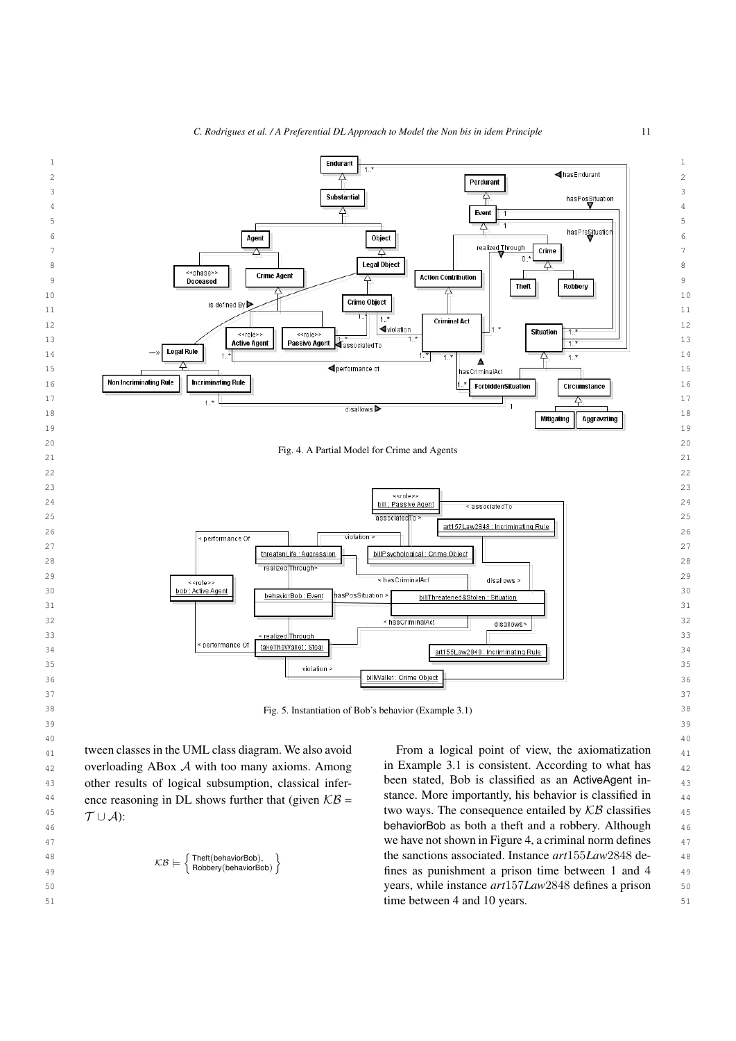

<span id="page-10-0"></span>

 $T \cup A$ ):

 $KR \vdash$ 

∫ Theft(behaviorBob),<br>D Bobbery(behaviorBo Robbery(behaviorBob)

<span id="page-10-1"></span><sup>1</sup>

<sup>45</sup>  $\tau_{\perp}$   $\Lambda$ .  $\tau_{\perp}$  46 behaviorBob as both a theft and a robbery. Although And the state of the same we have not shown in Figure [4,](#page-10-0) a criminal norm defines  $\frac{47}{47}$  48 the sanctions associated. Instance *art*155*Law*2848 de- $\sim$   $\sim$   $\sim$   $\sim$  Robbery(behaviorBob) J fines as punishment a prison time between 1 and 4 49 50 years, while instance *art*157*Law*2848 defines a prison 51 time between 4 and 10 years.in Example [3.1](#page-9-0) is consistent. According to what has been stated, Bob is classified as an ActiveAgent instance. More importantly, his behavior is classified in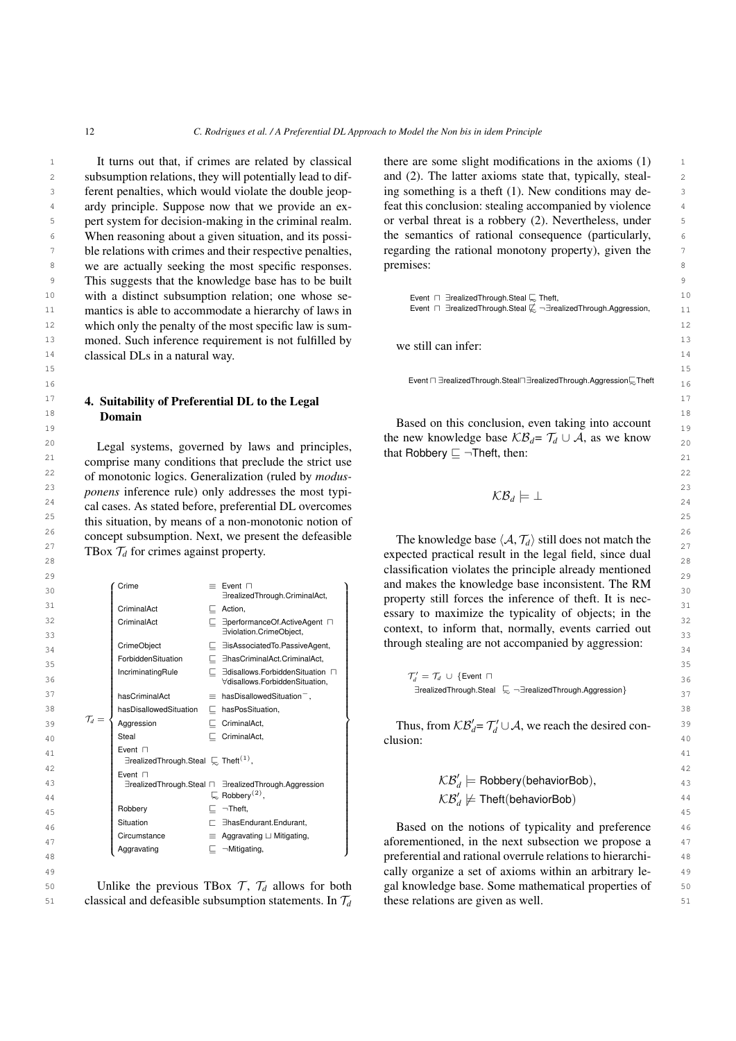15 15

<sup>1</sup> It turns out that, if crimes are related by classical there are some slight modifications in the axioms (1) <sup>1</sup> 2 subsumption relations, they will potentially lead to dif- and (2). The latter axioms state that, typically, steal-3 3 ferent penalties, which would violate the double jeop-<sup>4</sup> ardy principle. Suppose now that we provide an ex-<br>feat this conclusion: stealing accompanied by violence 5 pert system for decision-making in the criminal realm. or verbal threat is a robbery (2). Nevertheless, under <sup>6</sup> When reasoning about a given situation, and its possi-<br>the semantics of rational consequence (particularly, <sup>7</sup> ble relations with crimes and their respective penalties, regarding the rational monotony property), given the 8 8 we are actually seeking the most specific responses. 9 9 This suggests that the knowledge base has to be built 10 with a distinct subsumption relation; one whose se-<br>10 Event ⊓ ∃realizedThrough.Steal  $\subseteq$  Theft, 11 **mantics is able to accommodate a hierarchy of laws in** Event  $\Box$  FealizedThrough.Steal  $\&$   $\lnot$  TrealizedThrough.Aggression, 11 <sup>12</sup> which only the penalty of the most specific law is sum- $13$  moned. Such inference requirement is not fulfilled by  $\frac{13}{2}$  we still can inference 14 14 classical DLs in a natural way. It turns out that, if crimes are related by classical ardy principle. Suppose now that we provide an expert system for decision-making in the criminal realm. When reasoning about a given situation, and its possi-

#### $17$  17 **4. Suitability of Preferential DL to the Legal**  $17$  $\frac{18}{18}$  Domain Domain

 $21$  comprise many conditions that preclude the strict use that holderly  $\equiv$  Then, then, then  $21$ 22 22 of monotonic logics. Generalization (ruled by *modus-*<sup>23</sup> *ponens* inference rule) only addresses the most typi-<br> $\kappa B_i \equiv 1$ <sup>24</sup> cal cases. As stated before, preferential DL overcomes <sup>24</sup>  $\sim$  $25$  this situation, by means of a non-monotonic notion of  $25$ <sup>26</sup> concept subsumption. Next, we present the defeasible The knowledge base  $(A, \mathcal{T}_d)$  still does not match the  $27$  **TBox**  $\mathcal{T}_d$  for crimes against property.<br>  $27$  expected practical result in the legal field, since dual

| ر ے<br>30 |                   | Crime                                                              |    | $\equiv$ Event $\Box$                                             | and makes the knowledge base inconsistent. The RM                                 | ر ے<br>30 |
|-----------|-------------------|--------------------------------------------------------------------|----|-------------------------------------------------------------------|-----------------------------------------------------------------------------------|-----------|
|           |                   |                                                                    |    | ∃realizedThrough.CriminalAct,                                     | property still forces the inference of theft. It is nec-                          |           |
| 31        |                   | CriminalAct                                                        | С. | Action,                                                           | essary to maximize the typicality of objects; in the                              | 31        |
| 32        |                   | CriminalAct                                                        |    | ∃performanceOf.ActiveAgent □                                      | context, to inform that, normally, events carried out                             | 32        |
| 33        |                   |                                                                    |    | Eviolation.CrimeObject,<br>EisAssociatedTo.PassiveAgent,          | through stealing are not accompanied by aggression:                               | 33        |
| 34        |                   | CrimeObject                                                        |    |                                                                   |                                                                                   | 34        |
| 35        |                   | ForbiddenSituation                                                 |    | EhasCriminalAct.CriminalAct,                                      |                                                                                   | 35        |
| 36        |                   | IncriminatingRule                                                  |    | ∃disallows.ForbiddenSituation n<br>∀disallows.ForbiddenSituation. | $\mathcal{T}_d' = \mathcal{T}_d \cup \{$ Event $\sqcap$                           | 36        |
| 37        |                   | hasCriminalAct                                                     |    | $\equiv$ hasDisallowedSituation <sup>-</sup> ,                    | $\exists$ realizedThrough.Steal $\Box$ $\neg \exists$ realizedThrough.Aggression} | 37        |
| 38        |                   | hasDisallowedSituation                                             |    | $\Box$ hasPosSituation,                                           |                                                                                   | 38        |
| 39        | $\mathcal{T}_d =$ | Aggression                                                         |    | $\Box$ CriminalAct,                                               | Thus, from $KB'_d = T'_d \cup A$ , we reach the desired con-                      | 3S        |
| 40        |                   | Steal                                                              |    | $\Box$ CriminalAct,                                               | clusion:                                                                          | 40        |
| 41        |                   | Event $\Box$                                                       |    |                                                                   |                                                                                   | 41        |
| 42        |                   | $\exists$ realizedThrough.Steal $\subseteq$ Theft <sup>(1)</sup> , |    |                                                                   |                                                                                   | 42        |
| 43        |                   | Event $\Box$                                                       |    | ∃realizedThrough.Steal n ∃realizedThrough.Aggression              | $\mathcal{KB}'_d$ = Robbery(behaviorBob),                                         | 43        |
| 44        |                   |                                                                    |    | $\mathbb{R}$ Robbery <sup>(2)</sup> ,                             | $KB'_d \not\models \mathsf{Theft}(\mathsf{behaviorBob})$                          | 44        |
| 45        |                   | Robbery                                                            |    | $\Box$ $\neg$ Theft,                                              |                                                                                   | 45        |
| 46        |                   | Situation                                                          |    | EhasEndurant.Endurant,                                            | Based on the notions of typicality and preference                                 | 46        |
| 47        |                   | Circumstance                                                       |    | $\equiv$ Aggravating $\sqcup$ Mitigating,                         | aforementioned, in the next subsection we propose a                               | 47        |
| 48        |                   | Aggravating                                                        |    | $\Box$ $\neg$ Mitigating,                                         | preferential and rational overrule relations to hierarchi-                        | 48        |

50 Unlike the previous TBox  $\mathcal{T}, \mathcal{T}_d$  allows for both gal knowledge base. Some mathematical properties of 50 Unlike the previous TBox  $\mathcal{T}$ ,  $\mathcal{T}_d$  allows for both

and (2). The latter axioms state that, typically, stealing something is a theft (1). New conditions may deregarding the rational monotony property), given the premises:

| Event $\Box$ Brealized Through Steal $\Box$ Theft,                                    |
|---------------------------------------------------------------------------------------|
| Event $\Box$ 3 realized Through Steal $\not\subset \Box$ realized Through Aggression. |

we still can infer:

16 **Event ⊡ ∃realizedThrough.Steal⊡∃realizedThrough.Aggression** $\overline{\sim}$ Theft 16

19 **19 Domain Based on this conclusion, even taking into account**  $20$  Legal systems, governed by laws and principles, that Robbery  $\Box$  The then: the new knowledge base  $\mathcal{KB}_d = \mathcal{T}_d \cup \mathcal{A}$ , as we know that Robbery  $\sqsubseteq \neg$ Theft, then:

$$
\mathcal{KB}_d \models \bot
$$

**EXECUTE 1808**  $I_d$  for crimes against property.<br>28  $29 \t 29$  classification violates the principle already mentioned The knowledge base  $\langle A, T_d \rangle$  still does not match the property still forces the inference of theft. It is nec-

$$
\mathcal{KB}'_d \models \text{Robbery(behavierBob)},\newline \mathcal{KB}'_d \not\models \text{Theft(behaviourBob)}
$$

49 49 cally organize a set of axioms within an arbitrary le- $51$  classical and defeasible subsumption statements. In  $\mathcal{T}_d$  these relations are given as well. these relations are given as well.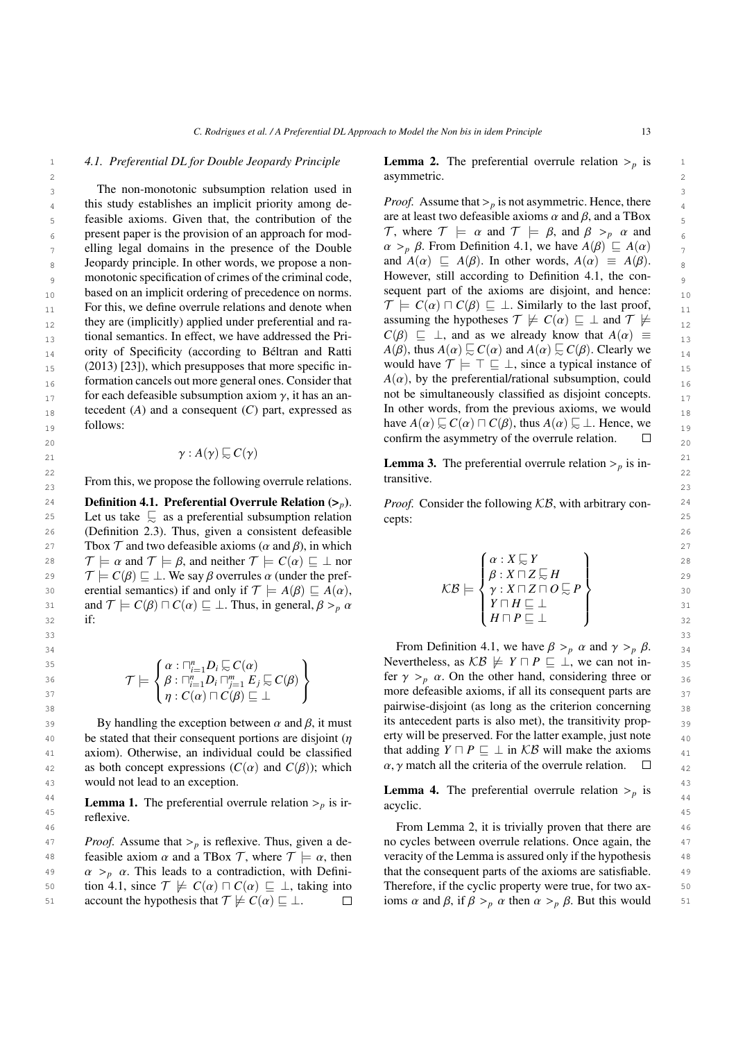#### *4.1. Preferential DL for Double Jeopardy Principle*

3 3 The non-monotonic subsumption relation used in this study establishes an implicit priority among de-<br> $Proof.$  Assume that  $>_{p}$  is not asymmetric. Hence, there  $\frac{4}{4}$  $\epsilon_5$  feasible axioms. Given that, the contribution of the are at least two defeasible axioms  $\alpha$  and  $\beta$ , and a TBox  $\epsilon_6$  present paper is the provision of an approach for mod-<br>  $\ell_7$ , where  $\ell_8$  =  $\alpha$  and  $\ell_8$  =  $\beta$ , and  $\beta >_p \alpha$  and elling legal domains in the presence of the Double  $\alpha >_p \beta$ . From Definition 4.1, we have  $A(\beta) \sqsubseteq A(\alpha)$  $8 \text{ Jeopardy principle. In other words, we propose a non-}$  and  $A(\alpha) \subseteq A(\beta)$ . In other words,  $A(\alpha) \equiv A(\beta)$ . <sup>9</sup> monotonic specification of crimes of the criminal code, However, still according to Definition 4.1, the con- $_{10}$  based on an implicit ordering of precedence on norms. Sequent part of the axioms are disjoint, and hence:  $_{10}$ 11 For this, we define overrule relations and denote when  $\mathcal{I} \models C(\alpha) \sqcap C(\beta) \sqsubseteq \bot$ . Similarly to the last proof, 12 they are (implicitly) applied under preferential and ra-<br>assuming the hypotheses  $\gamma \not\equiv C(\alpha) \sqsubseteq \bot$  and  $\gamma \not\equiv$ 13 tional semantics. In effect, we have addressed the Pri-  $C(\beta) \subseteq \bot$ , and as we already know that  $A(\alpha) \equiv 1$ 14 ority of Specificity (according to Béltran and Ratti  $A(\beta)$ , thus  $A(\alpha) \succsim C(\alpha)$  and  $A(\alpha) \succsim C(\beta)$ . Clearly we  $_{15}$  (2013) [\[23\]](#page-21-4)), which presupposes that more specific in-<br>would have  $\mathcal{T} \models \top \sqsubseteq \bot$ , since a typical instance of  $_{15}$  $_{16}$  formation cancels out more general ones. Consider that  $A(\alpha)$ , by the preferential/rational subsumption, could  $_{16}$ 17 for each defeasible subsumption axiom  $\gamma$ , it has an an-<br>tecedent (4) and a consequent (C) part, expressed as [In other words, from the previous axioms, we would  $_{18}$  tecedent (*A*) and a consequent (*C*) part, expressed as In other words, from the previous axioms, we would follows:

 $\gamma: A(\gamma) \sqsubseteq C(\gamma)$ 

 $23$  From this, we propose the following overrule relations. Transitive.

24 **Definition 4.1. Preferential Overrule Relation**  $(\geq_p)$ . *Proof.* Consider the following KB, with arbitrary con-25 25 Let us take  $\frac{1}{\sqrt{2}}$  as a preferential subsumption relation cepts: 26 26 (Definition 2.3). Thus, given a consistent defeasible 27 Tbox T and two defeasible axioms ( $\alpha$  and  $\beta$ ), in which<br>
22<br>  $\tau \vdash \alpha$  and  $\tau \vdash \beta$  and neither  $\tau \vdash C(\alpha) \sqsubset \bot$  por  $\alpha : X \sqsubset Y$ 28  $\mathcal{T} \models \alpha \text{ and } \mathcal{T} \models \beta, \text{ and neither } \mathcal{T} \models C(\alpha) \sqsubseteq \bot \text{ nor}$   $\mathcal{T} \models C(\beta) \sqsubseteq \bot \text{ by } \beta \text{ overrules } \alpha \text{ (under the pref.}$   $\begin{cases} \alpha: X \models Y \\ \beta: X \sqcap Z \sqsubseteq H \end{cases}$ 28 29  $\mathcal{T} \models C(\beta) \sqsubseteq \bot$ . We say  $\beta$  overrules  $\alpha$  (under the pref-<br>20 ereptial semantics) if and only if  $\mathcal{T} \models A(\beta) \sqsubset A(\alpha)$   $\mathcal{KB} \models \begin{cases} \beta : X \sqcap Z \models H \\ \gamma : X \sqcap Z \sqcap O \sqsubset P \end{cases}$ 30 erential semantics) if and only if  $\mathcal{T} \models A(\beta) \sqsubseteq A(\alpha)$ ,<br>31 and  $\mathcal{T} \models C(\beta) \sqcap C(\alpha) \sqsubset \bot$  Thus in general  $\beta > \alpha$ 31 and  $\mathcal{T} \models C(\beta) \sqcap C(\alpha) \sqsubseteq \bot$ . Thus, in general,  $\beta >_p \alpha$  <br>32 if: 32 if:  $H \sqcup P \sqsubseteq \bot$  32 if:

$$
\mathcal{T} \models \left\{ \begin{matrix} \alpha: \square_{i=1}^n D_i \subsetneq C(\alpha) \\ \beta: \square_{i=1}^n D_i \square_{j=1}^n E_j \subsetneq C(\beta) \\ \eta: C(\alpha) \sqcap C(\beta) \sqsubseteq \bot \end{matrix} \right\}
$$

39 By handling the exception between  $\alpha$  and  $\beta$ , it must its antecedent parts is also met), the transitivity prop-<br>A be stated that their consequent portions are disjoint (*n* erty will be preserved. For the latter ex 40 be stated that their consequent portions are disjoint ( $\eta$  erty will be preserved. For the latter example, just note  $\eta$  and  $\eta$  and  $\eta$  and  $\eta$  and  $\eta$  be classified that adding  $Y \sqcap P \sqsubset \perp$  in  $\mathcal{KB}$  will ma 41 axiom). Otherwise, an individual could be classified that adding  $Y \sqcap P \sqsubseteq \perp$  in KB will make the axioms  $\frac{41}{100}$ as both concept expressions  $(C(\alpha))$  and  $C(\beta)$ ; which  $\alpha, \gamma$  match all the criteria of the overrule relation.  $\Box$  <sub>42</sub><br>as would not lead to an exception 43 would not lead to an exception.

**14**<br>**Lemma 1.** The preferential overrule relation  $>_{p}$  is ir-<br>acyclic.  $\frac{45}{45}$  45  $\frac{45}{45}$  45 reflexive.

47 *Proof.* Assume that  $>$ <sub>*p*</sub> is reflexive. Thus, given a de-<br>48 **feasible axiom**  $\alpha$  **and a TBox**  $\tau$  where  $\tau$   $\vdash \alpha$  then veracity of the Lemma is assumed only if the hypothesis 48 feasible axiom α and a TBox T, where  $T \models \alpha$ , then veracity of the Lemma is assured only if the hypothesis 48<br>49  $\alpha > \alpha$ . This leads to a contradiction with Defini-<br>49  $\alpha >_{p} \alpha$ . This leads to a contradiction, with Defini-<br>  $\alpha >_{p} \alpha$ . This leads to a contradiction, with Defini-<br>  $\alpha >_{p} \alpha$ . Therefore if the cyclic property were true for two ax-<br>  $\alpha >_{p} \alpha$ . This leads to a contradicti 50 tion 4.1, since  $\mathcal{T} \not\models C(\alpha) \square C(\alpha) \sqsubseteq \bot$ , taking into Therefore, if the cyclic property were true, for two ax-<br>51 account the bypothesis that  $\mathcal{T} \not\models C(\alpha) \square \square$   $\square$  ioms  $\alpha$  and  $\beta$  if  $\beta > \alpha$  then  $\alpha > \beta$ . But th account the hypothesis that  $\mathcal{T} \not\models C(\alpha) \sqsubseteq \bot$ .

1 4.1. Preferential DL for Double Jeopardy Principle<br>2<br> **1** asymmetric<br> **1** asymmetric 2 asymmetric. 2 asymmetric.

19 19 have *<sup>A</sup>*(α) @<sup>∼</sup> *<sup>C</sup>*(α) <sup>u</sup> *<sup>C</sup>*(β), thus *<sup>A</sup>*(α) @<sup>∼</sup> <sup>⊥</sup>. Hence, we  $_{20}$  confirm the asymmetry of the overrule relation.  $\Box$ *Proof.* Assume that  $\gt_p$  is not asymmetric. Hence, there are at least two defeasible axioms  $\alpha$  and  $\beta$ , and a TBox T, where  $\mathcal{T} \models \alpha$  and  $\mathcal{T} \models \beta$ , and  $\beta >_{p} \alpha$  and  $\alpha >_{p} \beta$ . From Definition 4.1, we have  $A(\beta) \sqsubseteq A(\alpha)$ and  $A(\alpha) \subseteq A(\beta)$ . In other words,  $A(\alpha) \equiv A(\beta)$ . However, still according to Definition 4.1, the consequent part of the axioms are disjoint, and hence:  $\mathcal{T} \models C(\alpha) \sqcap C(\beta) \sqsubseteq \bot$ . Similarly to the last proof, assuming the hypotheses  $\mathcal{T} \not\models C(\alpha) \sqsubseteq \bot$  and  $\mathcal{T} \not\models \bot$  $C(\beta) \subseteq \perp$ , and as we already know that  $A(\alpha) \equiv$ *A*( $\beta$ ), thus *A*( $\alpha$ )  $\subseteq C(\alpha)$  and *A*( $\alpha$ )  $\subseteq C(\beta)$ . Clearly we would have  $\mathcal{T} \models \top \sqsubseteq \bot$ , since a typical instance of  $A(\alpha)$ , by the preferential/rational subsumption, could not be simultaneously classified as disjoint concepts. In other words, from the previous axioms, we would

21  $\gamma : A(\gamma) \approx C(\gamma)$ <br> **Lemma 3.** The preferential overrule relation  $>_{p}$  is in-<br>
22 22 and  $\frac{1}{2}$  and  $\frac{1}{2}$  and  $\frac{1}{2}$  and  $\frac{1}{2}$  and  $\frac{1}{2}$  and  $\frac{1}{2}$  and  $\frac{1}{2}$  and  $\frac{1}{2}$  and  $\frac{1}{2}$  and  $\frac{1}{2}$  and  $\frac{1}{2}$  and  $\frac{1}{2}$  and  $\frac{1}{2}$  and  $\frac{1}{2}$  and  $\frac{1}{2}$  and  $\frac{$ transitive.

> *Proof.* Consider the following  $KB$ , with arbitrary concepts:

$$
\mathcal{KB} \models \begin{Bmatrix} \alpha : X \subseteq Y \\ \beta : X \sqcap Z \subseteq H \\ \gamma : X \sqcap Z \sqcap O \subseteq P \\ Y \sqcap H \sqsubseteq \bot \\ H \sqcap P \sqsubseteq \bot \end{Bmatrix}
$$

33 33 From Definition 4.1, we have  $\beta > p$   $\alpha$  and  $\gamma > p$   $\beta$ .<br>Severtheless as  $\beta \nmid \gamma \in \beta$ .  $\{ \alpha : \Box_{i=1}^n D_i \sqsubseteq C(\alpha) \qquad \qquad \text{Nevertheless, as } \mathcal{KB} \not\models Y \sqcap P \sqsubseteq \bot \text{, we can not in-} \}$ 36  $\mathcal{T} \models \left\{ \beta : \bigcap_{i=1}^{n} D_i \bigcap_{j=1}^{m} E_j \subsetneq C(\beta) \right\}$  fer  $\gamma >_p \alpha$ . On the other hand, considering three or  $\alpha$  $\binom{37}{n}$   $\binom{7}{0}$   $\prod_{r \in C(n)} \prod_{r \in R(n)} \binom{7}{r}$   $\prod_{r \in C(n)} \prod_{r \in R(n)} \prod_{r \in C(n)} \prod_{r \in R(n)}$  more defeasible axioms, if all its consequent parts are  $\frac{38}{28}$  38 its antecedent parts is also met), the transitivity property will be preserved. For the latter example, just note that adding  $Y \sqcap P \sqsubseteq \perp$  in  $KB$  will make the axioms  $\alpha$ ,  $\gamma$  match all the criteria of the overrule relation.

> **Lemma 4.** The preferential overrule relation  $\gt_p$  is acyclic.

46 46 From Lemma 2, it is trivially proven that there are 51 account the hypothesis that  $\mathcal{T} \not\models C(\alpha) \sqsubseteq \bot$ .  $\square$  ioms  $\alpha$  and  $\beta$ , if  $\beta >_p \alpha$  then  $\alpha >_p \beta$ . But this would 51 no cycles between overrule relations. Once again, the veracity of the Lemma is assured only if the hypothesis that the consequent parts of the axioms are satisfiable. Therefore, if the cyclic property were true, for two ax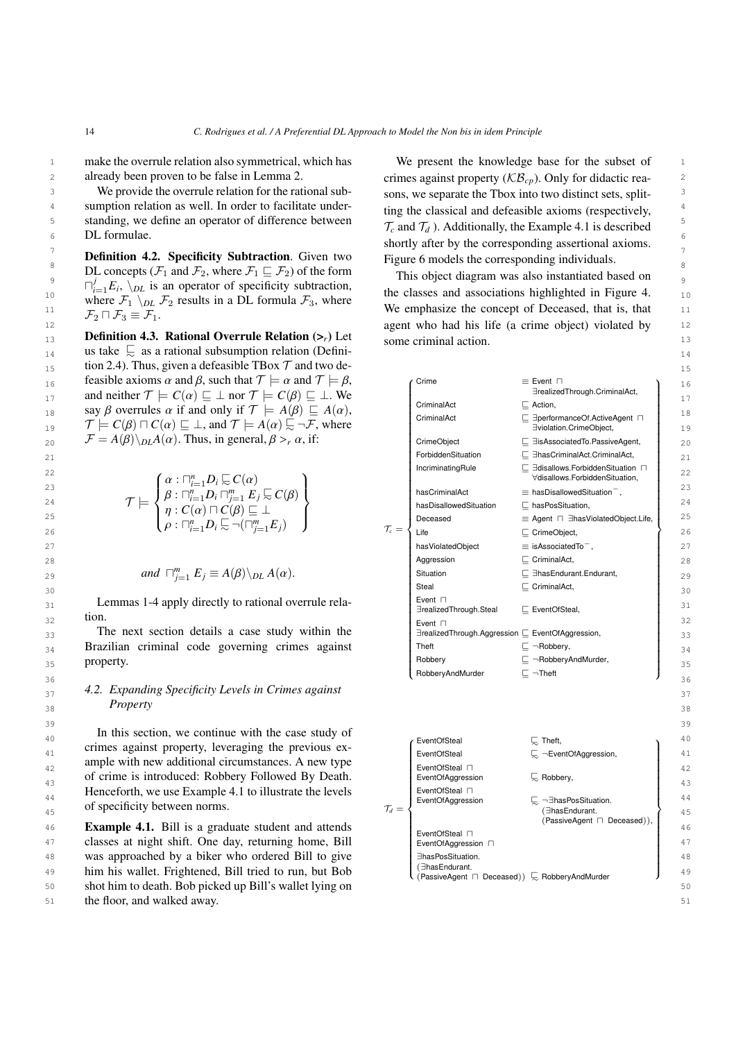already been proven to be false in Lemma 2.

<sup>3</sup> We provide the overrule relation for the rational sub-<br>sons, we separate the Tbox into two distinct sets, split-<sup>4</sup> sumption relation as well. In order to facilitate under-<br><sup>4</sup> time the classical and defeasible axioms (respectively 5 standing, we define an operator of difference between  $\tau$  and  $\tau$ .) Additionally the Example 4.1 is described We provide the overrule relation for the rational sub-DL formulae.

<sup>8</sup> DL concepts ( $\mathcal{F}_1$  and  $\mathcal{F}_2$ , where  $\mathcal{F}_1 \sqsubseteq \mathcal{F}_2$ ) of the form This object diagram was also instantiated based on  $\mathcal{P}$  be concepts  $(\mathcal{F}_1 \text{ and } \mathcal{F}_2)$ , where  $\mathcal{F}_1 \subseteq \mathcal{F}_2$  or the form This object diagram was also instantiated based on  $\frac{10}{10}$   $\frac{1 \times 12}{10}$  to an operator of specific subtraction, the classes and associations highlighted in Figure [4.](#page-10-0)  $\frac{10}{10}$ 11  $\pi$  is  $\pi$  in  $\pi$  is  $\pi$  is  $\pi$  is  $\pi$  is  $\pi$  is  $\pi$  is  $\pi$  is  $\pi$  is  $\pi$  is  $\pi$  is  $\pi$  is  $\pi$  is  $\pi$  is  $\pi$  is  $\pi$  is  $\pi$  is  $\pi$  is  $\pi$  is  $\pi$  is  $\pi$  is  $\pi$  is  $\pi$  is  $\pi$  is  $\pi$  is  $\pi$  is  $\$  $\bigcap_{i=1}^{j} E_i$ ,  $\bigwedge_{D} L$  is an operator of specificity subtraction, where  $\mathcal{F}_1 \setminus_{DL} \mathcal{F}_2$  results in a DL formula  $\mathcal{F}_3$ , where  $\mathcal{F}_2 \sqcap \mathcal{F}_3 \equiv \mathcal{F}_1$ .

13 **Definition 4.3. Rational Overrule Relation**  $(\geq_r)$  Let some criminal action 14 14 us take @<sup>∼</sup> as a rational subsumption relation (Defini- $_{15}$  tion 2.4). Thus, given a defeasible TBox  $\mathcal T$  and two de- $16$  feasible axioms α and β, such that  $\mathcal{T} \models \alpha$  and  $\mathcal{T} \models \beta$ ,  $\qquad \qquad \text{Time}$  = Event  $\sqcap$  = Event  $\sqcap$  16<br>
and neither  $\mathcal{T} \models C(\alpha) \sqsubset \bot$  nor  $\mathcal{T} \models C(\beta) \sqsubset \bot$  We 17 and network  $f \in C(\alpha) \subseteq \bot$  nor  $f \in C(\beta) \subseteq \bot$ . We are also the set of  $\alpha$  is the set of  $\alpha$  in the set of  $\alpha$ 17 and neither  $\mathcal{T} \models C(\alpha) \sqsubseteq \bot$  nor  $\mathcal{T} \models C(\beta) \sqsubseteq \bot$ . We<br>
18 18 and only if  $\mathcal{T} \models A(\beta) \sqsubseteq A(\alpha)$ ,<br>
18 18 18 CriminalAct CominalAct ⊆ Action,<br>
CriminalAct ⊆ Action, 19  $T = C(\beta) \square C(\alpha) \sqsubseteq \bot$ , and  $T = A(\alpha) \square \neg \top$ , where  $T = A(\beta) \setminus_{\alpha} A(\alpha)$ . Thus, in general  $\beta > \alpha$  if:<br>
The *C*(β)  $\square C(\alpha) \sqsubseteq \bot$ , and  $\top = A(\alpha) \square \top$ , where  $T = A(\beta) \setminus_{\alpha} A(\alpha)$ . Thus, in general  $\beta > \alpha$  if: say β overrules  $\alpha$  if and only if  $\mathcal{T} \models A(\beta) \sqsubseteq A(\alpha)$ ,<br> $\mathcal{T} \models C(\beta) \sqcap C(\alpha) \sqsubseteq \bot$  and  $\mathcal{T} \models A(\alpha) \sqsubseteq \neg \mathcal{F}$  where

$$
\mathcal{T} \models \left\{ \begin{matrix} \alpha: \sqcap_{i=1}^n D_i \sqsubseteq C(\alpha) \\ \beta: \sqcap_{i=1}^n D_i \sqcap_{j=1}^m E_j \sqsubseteq C(\beta) \\ \eta: C(\alpha) \sqcap C(\beta) \sqsubseteq \bot \\ \rho: \sqcap_{i=1}^n D_i \sqsubseteq \neg(\sqcap_{j=1}^m E_j) \end{matrix} \right\}
$$

and 
$$
\Box_{j=1}^m E_j \equiv A(\beta) \setminus_{DL} A(\alpha)
$$
.

# *Property*

<span id="page-13-0"></span>46 **Example 4.1.** Bill is a graduate student and attends  $\begin{bmatrix} \frac{1}{2} & \frac{1}{2} & \frac{1}{2} \\ \frac{1}{2} & \frac{1}{2} & \frac{1}{2} \end{bmatrix}$ 47 classes at night shift. One day, returning home, Bill  $\left\{ \frac{\text{Even} \cdot \text{Corr} \cdot \text{Corr} \cdot \text{Corr} \cdot \text{Corr} \cdot \text{Corr} \cdot \text{Corr} \cdot \text{Corr} \cdot \text{Corr} \cdot \text{Corr} \cdot \text{Corr} \cdot \text{Corr} \cdot \text{Corr} \cdot \text{Corr} \cdot \text{Corr} \cdot \text{Corr} \cdot \text{Corr} \cdot \text{Corr} \cdot \text{Corr} \cdot \text{Corr}$ 48 was approached by a biker who ordered Bill to give a share prossituation. 49 him his wallet. Frightened, Bill tried to run, but Bob  $\left( \frac{1}{\text{Passi} \times \text{Adapter}} \cap \text{Descer}) \right)$  RephervandMurder 50 50 shot him to death. Bob picked up Bill's wallet lying on 51 the floor, and walked away. 51

<sup>1</sup> make the overrule relation also symmetrical, which has We present the knowledge base for the subset of <sup>1</sup> 2 already been proven to be false in Lemma 2. crimes against property  $(\mathcal{KB}_{cp})$ . Only for didactic rea- $\frac{6}{10}$  BL formulae. **1 Definition 4.2. Specificity Subtraction**. Given two Figure 6 models the corresponding individuals. We present the knowledge base for the subset of ting the classical and defeasible axioms (respectively,  $\mathcal{T}_c$  and  $\mathcal{T}_d$ ). Additionally, the Example [4.1](#page-13-0) is described Figure [6](#page-14-0) models the corresponding individuals.

12 **12 12 agent who had his life (a crime object) violated by** 12 some criminal action.

|    |                                                                                                                                                                                                                                                                                                                                              |                                                    |                                                                                | --             |
|----|----------------------------------------------------------------------------------------------------------------------------------------------------------------------------------------------------------------------------------------------------------------------------------------------------------------------------------------------|----------------------------------------------------|--------------------------------------------------------------------------------|----------------|
| 16 | feasible axioms $\alpha$ and $\beta$ , such that $\mathcal{T} \models \alpha$ and $\mathcal{T} \models \beta$ ,                                                                                                                                                                                                                              | Crime                                              | $\equiv$ Event $\Box$                                                          | 16             |
| 17 | and neither $\mathcal{T} \models C(\alpha) \sqsubseteq \bot$ nor $\mathcal{T} \models C(\beta) \sqsubseteq \bot$ . We                                                                                                                                                                                                                        | CriminalAct                                        | ∃realizedThrough.CriminalAct,<br>$\Box$ Action,                                | 17             |
| 18 | say $\beta$ overrules $\alpha$ if and only if $\mathcal{T} \models A(\beta) \sqsubseteq A(\alpha)$ ,                                                                                                                                                                                                                                         | CriminalAct                                        | □ E performanceOf.ActiveAgent □                                                | 18             |
| 19 | $\mathcal{T} \models C(\beta) \sqcap C(\alpha) \sqsubseteq \bot$ , and $\mathcal{T} \models A(\alpha) \sqsubseteq \neg \mathcal{F}$ , where                                                                                                                                                                                                  |                                                    | Eviolation.CrimeObject,                                                        | 1 S            |
| 20 | $\mathcal{F} = A(\beta) \backslash_{DL} A(\alpha)$ . Thus, in general, $\beta >_r \alpha$ , if:                                                                                                                                                                                                                                              | CrimeObject                                        | $\Box$ <b>E</b> is Associated To. Passive Agent,                               | 20             |
| 21 |                                                                                                                                                                                                                                                                                                                                              | ForbiddenSituation                                 | □ ElhasCriminalAct.CriminalAct,                                                | 21             |
| 22 |                                                                                                                                                                                                                                                                                                                                              | IncriminatingRule                                  | $\Box$ disallows. Forbidden Situation $\Box$<br>∀disallows.ForbiddenSituation, | 22             |
| 23 | $\mathcal{T} \models \left\{ \begin{aligned} &\alpha: \sqcap_{i=1}^n D_i \mathop{\subsetneq} C(\alpha) \\ &\beta: \sqcap_{i=1}^n D_i \sqcap_{j=1}^m E_j \mathop{\subsetneq} C(\beta) \\ &\eta: C(\alpha) \sqcap C(\beta) \sqsubseteq \bot \\ &\rho: \sqcap_{i=1}^n D_i \mathop{\subsetneq} \neg (\sqcap_{j=1}^m E_j) \end{aligned} \right\}$ | hasCriminalAct                                     | $\equiv$ has Disallowed Situation <sup>-</sup> ,                               | 23             |
| 24 |                                                                                                                                                                                                                                                                                                                                              | hasDisallowedSituation                             | $\Box$ has Pos Situation,                                                      | 24             |
| 25 |                                                                                                                                                                                                                                                                                                                                              | Deceased                                           | $\equiv$ Agent $\Box$ $\exists$ has Violated Object. Life,                     | 25             |
| 26 | $\mathcal{T}_c =$                                                                                                                                                                                                                                                                                                                            | Life                                               | $\Box$ CrimeObject,                                                            | 26             |
| 27 |                                                                                                                                                                                                                                                                                                                                              | hasViolatedObject                                  | $\equiv$ isAssociatedTo <sup>-</sup> ,                                         | 27             |
| 28 |                                                                                                                                                                                                                                                                                                                                              | Aggression                                         | $\Box$ CriminalAct,                                                            | 28             |
| 29 | and $\Box_{i=1}^m E_i \equiv A(\beta) \Bigr\backslash_{DL} A(\alpha)$ .                                                                                                                                                                                                                                                                      | Situation                                          | $\Box$ <b>EnasEndurant.</b> Endurant,                                          | 2 <sup>c</sup> |
| 30 |                                                                                                                                                                                                                                                                                                                                              | Steal                                              | $\Box$ CriminalAct,                                                            | 30             |
| 31 | Lemmas 1-4 apply directly to rational overrule rela-                                                                                                                                                                                                                                                                                         | Event $\Box$<br>∃realizedThrough.Steal             | □ EventOfSteal,                                                                | 31             |
| 32 | tion.                                                                                                                                                                                                                                                                                                                                        | Event $\sqcap$                                     |                                                                                | 32             |
| 33 | The next section details a case study within the                                                                                                                                                                                                                                                                                             |                                                    |                                                                                | 33             |
| 34 | Brazilian criminal code governing crimes against                                                                                                                                                                                                                                                                                             | Theft                                              | $\Box \neg \text{Robbery},$                                                    | 34             |
| 35 | property.                                                                                                                                                                                                                                                                                                                                    | Robbery                                            | $\Box$ -RobberyAndMurder,                                                      | 35             |
| 36 |                                                                                                                                                                                                                                                                                                                                              | RobberyAndMurder                                   | $\Box \neg$ Theft                                                              | 36             |
| 37 | 4.2. Expanding Specificity Levels in Crimes against                                                                                                                                                                                                                                                                                          |                                                    |                                                                                | 37             |
| 38 | Property                                                                                                                                                                                                                                                                                                                                     |                                                    |                                                                                | 38             |
| 39 |                                                                                                                                                                                                                                                                                                                                              |                                                    |                                                                                | 3 S            |
| 40 | In this section, we continue with the case study of                                                                                                                                                                                                                                                                                          | EventOfSteal                                       | $\sqrt{ }$ . Theft,                                                            | 40             |
| 41 | crimes against property, leveraging the previous ex-                                                                                                                                                                                                                                                                                         | EventOfSteal                                       | E ¬EventOfAggression,                                                          | 41             |
| 42 | ample with new additional circumstances. A new type                                                                                                                                                                                                                                                                                          | EventOfSteal n                                     |                                                                                | 42             |
| 43 | of crime is introduced: Robbery Followed By Death.                                                                                                                                                                                                                                                                                           | EventOfAggression                                  | $\sqrt{a}$ Robbery,                                                            | 43             |
| 44 | Henceforth, we use Example 4.1 to illustrate the levels                                                                                                                                                                                                                                                                                      | EventOfSteal n                                     |                                                                                | 44             |
| 45 | of specificity between norms.<br>$\mathcal{T}_d =$                                                                                                                                                                                                                                                                                           | EventOfAggression                                  | $\Box$ -- $\exists$ hasPosSituation.<br>(∃hasEndurant.                         | 45             |
| 46 | <b>Example 4.1.</b> Bill is a graduate student and attends                                                                                                                                                                                                                                                                                   |                                                    | (PassiveAgent □ Deceased)),                                                    | 46             |
|    | classes at night shift. One day, returning home, Bill                                                                                                                                                                                                                                                                                        | EventOfSteal n                                     |                                                                                | 47             |
| 47 |                                                                                                                                                                                                                                                                                                                                              | EventOfAggression □                                |                                                                                |                |
| 48 | was approached by a biker who ordered Bill to give                                                                                                                                                                                                                                                                                           | EhasPosSituation.<br>(∃hasEndurant.                |                                                                                | 48             |
| 49 | him his wallet. Frightened, Bill tried to run, but Bob                                                                                                                                                                                                                                                                                       | (PassiveAgent □ Deceased)) $\Box$ RobberyAndMurder |                                                                                | 4S             |
| 50 | shot him to death. Bob picked up Bill's wallet lying on                                                                                                                                                                                                                                                                                      |                                                    |                                                                                | 50             |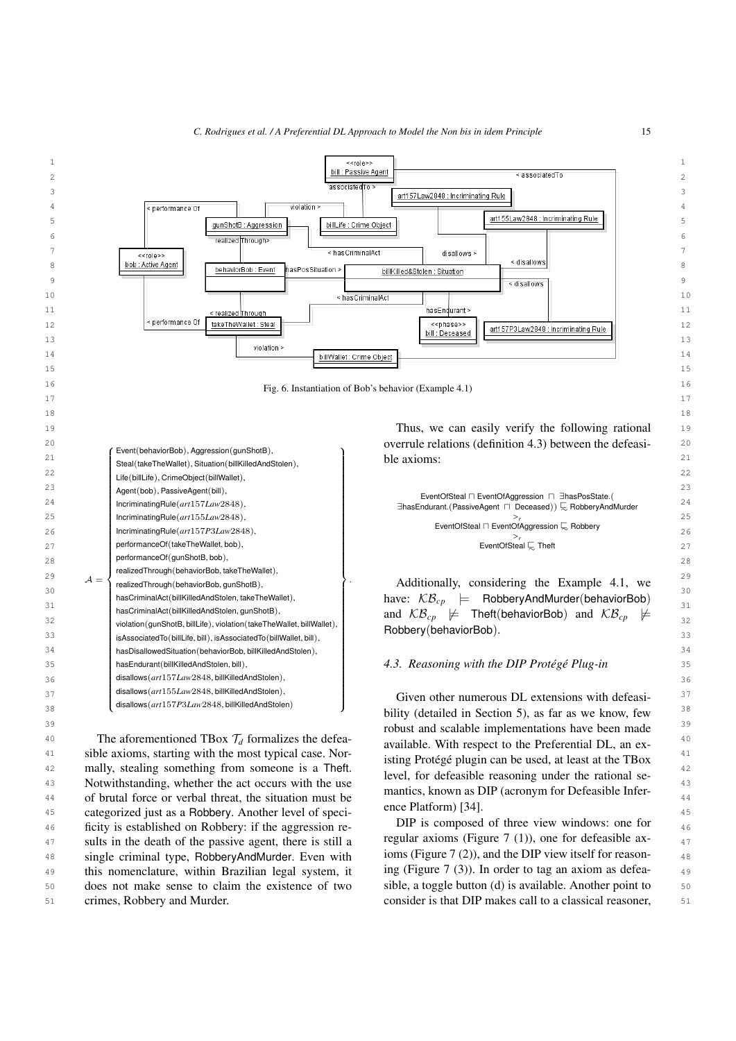

42 mally, stealing something from someone is a Theft. 1991 for defeathly personalize under the prisonal case 43 Notwithstanding, whether the act occurs with the use the contract of the contract of the latter of the the distribution of the set of the set of the set of the set of the set of the set of the set of the set of the set 44 of brutal force or verbal threat, the situation must be matrics, shown as DI (acronym for Deteasible inter-<sup>45</sup> categorized just as a Robbery. Another level of speci-<br><sup>45</sup> 46 ficity is established on Robbery: if the aggression re-<br> $\mathbf{p}$  are  $\mathbf{p}$  is composed of three view windows: one for  $\mathbf{p}$ 47 sults in the death of the passive agent, there is still a regular axioms (Figure 7 (1)), one for deteasible ax-48 single criminal type, RobberyAndMurder. Even with loms (Figure / (2)), and the DIP view itself for reason-49 this nomenclature, within Brazilian legal system, it ing (Figure 7 (3)). In order to tag an axiom as defea-50 does not make sense to claim the existence of two sible, a toggle button (d) is available. Another point to 50 51 crimes, Robbery and Murder. The same consider is that DIP makes call to a classical reasoner, 51 crimes, Robbery and Murder.

<span id="page-14-0"></span>isting Protégé plugin can be used, at least at the TBox level, for defeasible reasoning under the rational semantics, known as DIP (acronym for Defeasible Inference Platform) [\[34\]](#page-21-15).

DIP is composed of three view windows: one for regular axioms (Figure [7](#page-16-0) (1)), one for defeasible axioms (Figure [7](#page-16-0) (2)), and the DIP view itself for reasoning (Figure [7](#page-16-0) (3)). In order to tag an axiom as defeasible, a toggle button (d) is available. Another point to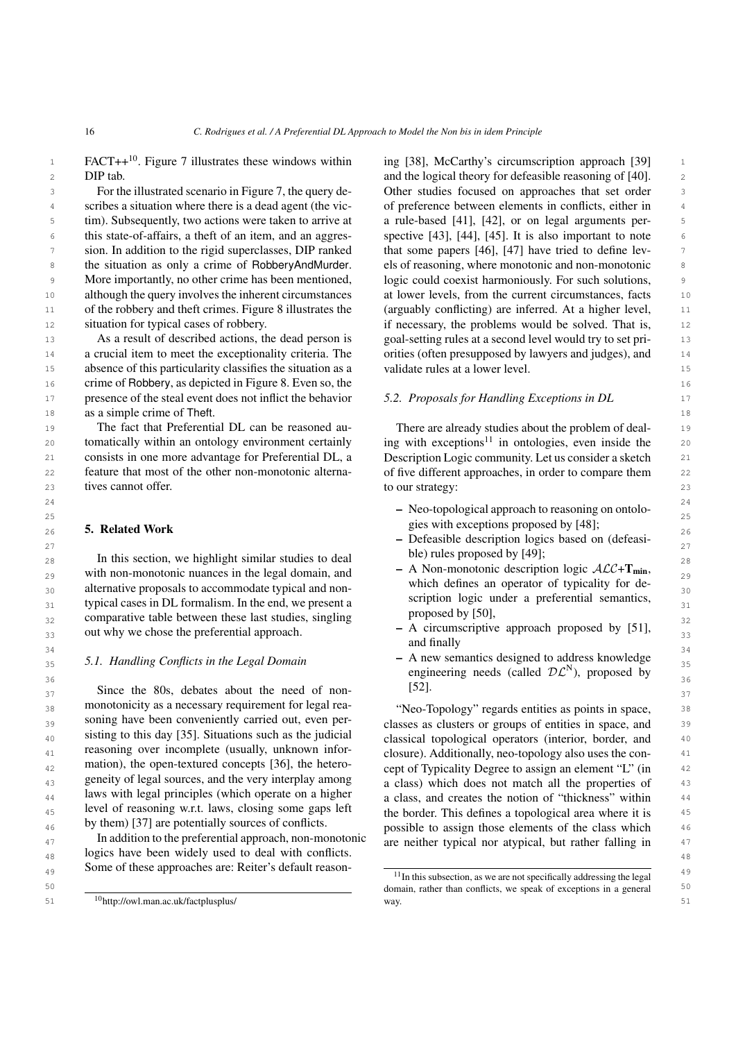DIP tab.

3 3 Other studies focused on approaches that set order 4 scribes a situation where there is a dead agent (the vic-<br>of preference between elements in conflicts, either in <sup>5</sup> tim). Subsequently, two actions were taken to arrive at a rule-based [41], [42], or on legal arguments per-6 this state-of-affairs, a theft of an item, and an aggres- spective [\[43\]](#page-22-1), [\[44\]](#page-22-2), [\[45\]](#page-22-3). It is also important to note <sup>7</sup> sion. In addition to the rigid superclasses, DIP ranked that some papers [46], [47] have tried to define lev-<sup>8</sup> the situation as only a crime of RobberyAndMurder. els of reasoning, where monotonic and non-monotonic <sup>8</sup> <sup>9</sup> More importantly, no other crime has been mentioned, logic could coexist harmoniously. For such solutions, 10 although the query involves the inherent circumstances at lower levels, from the current circumstances, facts 10 11 of the robbery and theft crimes. Figure 8 illustrates the (arguably conflicting) are inferred. At a higher level, 11 12 situation for typical cases of robbery. The interessary, the problems would be solved. That is, 12 For the illustrated scenario in Figure [7,](#page-16-0) the query describes a situation where there is a dead agent (the victhis state-of-affairs, a theft of an item, and an aggresthe situation as only a crime of RobberyAndMurder. of the robbery and theft crimes. Figure [8](#page-16-1) illustrates the situation for typical cases of robbery.

13 As a result of described actions, the dead person is goal-setting rules at a second level would try to set pri-14 a crucial item to meet the exceptionality criteria. The orities (often presupposed by lawyers and judges), and 14 15 15 absence of this particularity classifies the situation as a 16 16 crime of Robbery, as depicted in Figure [8.](#page-16-1) Even so, the 17 17 17 17 17 presence of the steal event does not inflict the behavior 5.2. Proposals for Handling Exceptions in DL 18 **as a simple crime of Theft.** 18 As a result of described actions, the dead person is

<sup>19</sup> 19 19 The fact that Preferential DL can be reasoned au-<br><sup>19</sup> There are already studies about the problem of deal-20 tomatically within an ontology environment certainly ing with exceptions<sup>[11](#page-15-2)</sup> in ontologies, even inside the 20 21 consists in one more advantage for Preferential DL, a Description Logic community. Let us consider a sketch 21 22 feature that most of the other non-monotonic alterna- of five different approaches, in order to compare them 22 23 tives cannot offer. 23 to our strategy: 23 The fact that Preferential DL can be reasoned automatically within an ontology environment certainly consists in one more advantage for Preferential DL, a feature that most of the other non-monotonic alternatives cannot offer.

#### <span id="page-15-0"></span>5. Related Work

28 In this section, we highlight similar studies to deal  $\frac{1}{28}$  bie) rules proposed by [49]; 29 with non-monotonic nuances in the legal domain, and  $\overline{A}$  A Non-monotonic description logic  $ALC + Imin$ ,  $_{30}$  alternative proposals to accommodate typical and non-<br> $_{30}$  which defines an operator of typically for de- $31$  typical cases in DL formalism. In the end, we present a scriptuon to give a preferential semantics,  $31$  $32$  comparative table between these last studies, singling proposed by [50],  $32$  $33$  out why we chose the preferential approach.  $\overline{a}$  and  $\overline{b}$  and  $\overline{c}$  and  $\overline{d}$  and  $\overline{c}$  and  $\overline{c}$  and  $\overline{c}$  and  $\overline{c}$  and  $\overline{c}$  and  $\overline{c}$  and  $\overline{c}$  and  $\overline{c}$  and  $\overline{c}$  and  $\over$ 

 $37$  Since the 80s, debates about the need of non-<br> $[52]$ . 38 monotonicity as a necessary requirement for legal rea- "Neo-Topology" regards entities as points in space, 39 Soning nave been conveniently carried out, even percurred classes as clusters or groups of entities in space, and <sup>40</sup> sisung to this day [33]. Situations such as the judicial classical topological operators (interior, border, and <sup>40</sup> <sup>41</sup> reasoning over incomplete (usually, unknown inforceptionally, neo-topology also uses the con-<sup>41</sup>  $_{42}$  mation), the open-textured concepts [50], the neteroconcept of Typicality Degree to assign an element "L" (in  $_{42}$ <sup>43</sup> genetty of legal sources, and the very interplay among a class) which does not match all the properties of <sup>43</sup> 44 44 a class, and creates the notion of "thickness" within <sup>45</sup> Hereform reasoning w.r.t. laws, closing some gaps left the border. This defines a topological area where it is monotonicity as a necessary requirement for legal reasoning have been conveniently carried out, even persisting to this day [\[35\]](#page-21-16). Situations such as the judicial reasoning over incomplete (usually, unknown information), the open-textured concepts [\[36\]](#page-21-17), the heterogeneity of legal sources, and the very interplay among laws with legal principles (which operate on a higher level of reasoning w.r.t. laws, closing some gaps left by them) [\[37\]](#page-21-18) are potentially sources of conflicts.

<sup>47</sup> In addition to the preferential approach, non-monotonic are neither typical nor atypical, but rather falling in  $\frac{48}{48}$  logics have been widely used to deal with conflicts. In addition to the preferential approach, non-monotonic Some of these approaches are: Reiter's default reason-

<sup>1</sup> FACT++<sup>[10](#page-15-1)</sup>. Figure [7](#page-16-0) illustrates these windows within ing [38], McCarthy's circumscription approach [39] <sup>1</sup> 2 2 and the logical theory for defeasible reasoning of [\[40\]](#page-21-21). ing [\[38\]](#page-21-19), McCarthy's circumscription approach [\[39\]](#page-21-20) a rule-based [\[41\]](#page-21-22), [\[42\]](#page-21-23), or on legal arguments perthat some papers [\[46\]](#page-22-4), [\[47\]](#page-22-5) have tried to define levlogic could coexist harmoniously. For such solutions, at lower levels, from the current circumstances, facts orities (often presupposed by lawyers and judges), and validate rules at a lower level.

#### *5.2. Proposals for Handling Exceptions in DL*

- $24$ <br>  $-$  Neo-topological approach to reasoning on ontolo- $\frac{25}{25}$ <br>25 **Related Work** 25 **Related Work** 25 **Related Work** 25 26 **5. Related WOTK** 26
- $\frac{27}{27}$  Defeasible description logics based on (defeasible) rules proposed by [\[49\]](#page-22-7);
	- A Non-monotonic description logic  $\mathcal{ALC} + \mathbf{T}_{\text{min}}$ , which defines an operator of typicality for description logic under a preferential semantics, proposed by [\[50\]](#page-22-8),
	- A circumscriptive approach proposed by [\[51\]](#page-22-9), and finally
- $\frac{34}{25}$  5.1. Handling Conflicts in the Legal Domain  $\frac{34}{25}$  A new semantics designed to address knowledge  $\frac{35}{35}$  5.1. Handling Conflicts in the Legal Domain<br> $\frac{35}{35}$  **5.1. Handling Conflicts in the Legal Domain**  $\frac{36}{25}$   $\frac{36}{36}$ engineering needs (called  $D\mathcal{L}^{N}$ ), proposed by [\[52\]](#page-22-10).

<sup>46</sup> by them) [37] are potentially sources of conflicts. possible to assign those elements of the class which <sup>46</sup>

<span id="page-15-2"></span><span id="page-15-1"></span>

 $49$  30 He of these approaches are. Nefter subsection  $49$   $\frac{11}{2}$  In this subsection, as we are not specifically addressing the legal  $49$ 50 **50 1** domain, rather than conflicts, we speak of exceptions in a general <sup>50</sup> 51 <sup>10</sup>http://owl.man.ac.uk/factplusplus/ 51 way. way.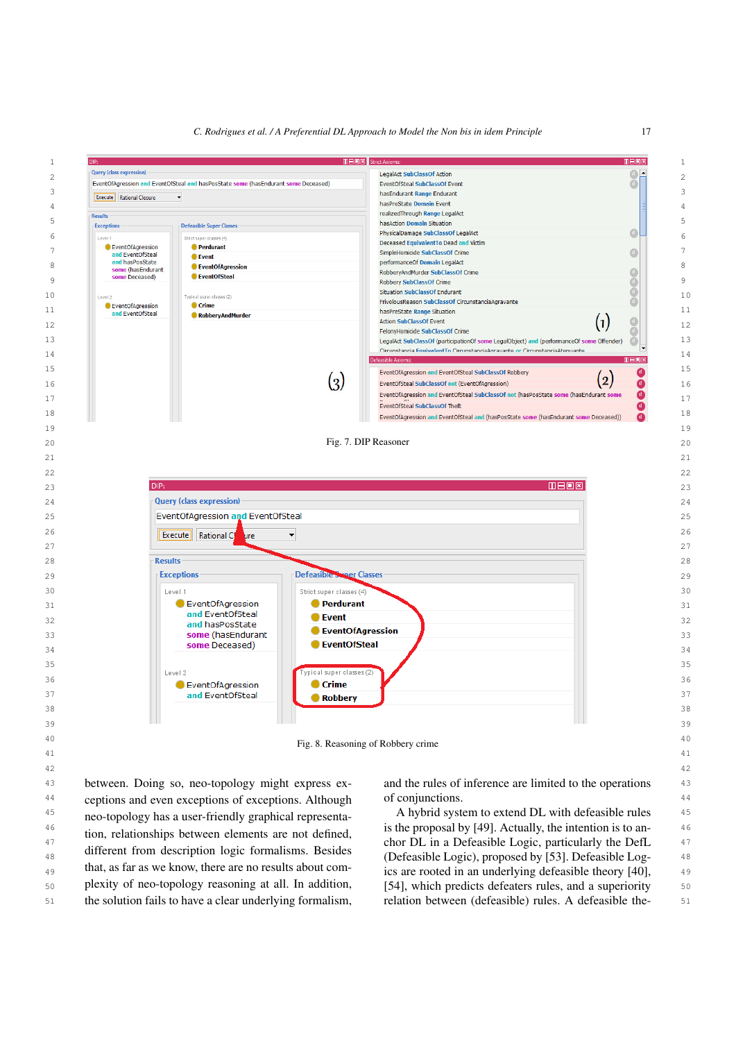

<sup>43</sup> between. Doing so, neo-topology might express ex- and the rules of inference are limited to the operations <sup>43</sup> <sup>44</sup> ceptions and even exceptions of exceptions. Although of conjunctions. <sup>45</sup> neo-topology has a user-friendly graphical representa-<br>A hybrid system to extend DL with defeasible rules  $^{46}$  tion relationships between elements are not defined is the proposal by [\[49\]](#page-22-7). Actually, the intention is to an-<sup>47</sup> <sup>47</sup> <sup>chor</sup> Deflation by the Contract of the Contract of the Deflation of the Deflation of the Deflation of the Deflation of the Deflation of the Deflation of the Deflation of the Deflation of the Deflation of the Def 48 (Defeasible Logic), proposed by [\[53\]](#page-22-11). Defeasible Log-49 mat, as far as we know, there are no results about com-<br>ics are rooted in an underlying defeasible theory [\[40\]](#page-21-21), <sub>50</sub> plexity of neo-topology reasoning at all. In addition, [\[54\]](#page-22-12), which predicts defeaters rules, and a superiority 50 51 the solution fails to have a clear underlying formalism, relation between (defeasible) rules. A defeasible the-<br>51 between. Doing so, neo-topology might express exneo-topology has a user-friendly graphical representation, relationships between elements are not defined, different from description logic formalisms. Besides that, as far as we know, there are no results about complexity of neo-topology reasoning at all. In addition,

<span id="page-16-1"></span><span id="page-16-0"></span>of conjunctions.

relation between (defeasible) rules. A defeasible the-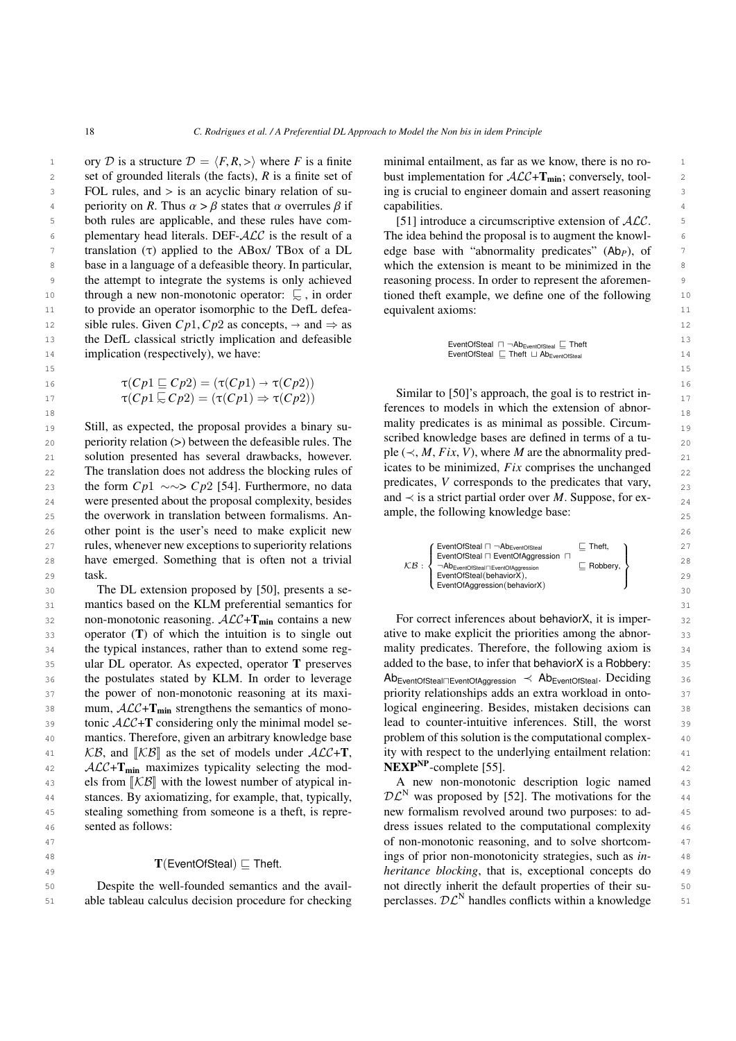15 15

 $\overline{1}$ 

1 ory D is a structure  $D = \langle F, R, \rangle$  where F is a finite minimal entailment, as far as we know, there is no ro-<br>2 set of grounded literals (the facts) R is a finite set of bust implementation for  $ACAT \rightarrow$  conversely tool. 2 set of grounded literals (the facts), *R* is a finite set of bust implementation for  $\mathcal{ALC+T}_{min}$ ; conversely, tool-<sup>3</sup> FOL rules, and > is an acyclic binary relation of su- ing is crucial to engineer domain and assert reasoning 4 periority on *R*. Thus  $\alpha > \beta$  states that  $\alpha$  overrules  $\beta$  if capabilities.<br>both rules are applicable, and these rules have com-<br>5.11 introduce a circumscriptive extension of ACC 5 5 both rules are applicable, and these rules have com- [51] introduce a circumscriptive extension of ALC. 5  $\epsilon$  plementary head literals. DEF- $\mathcal{ALC}$  is the result of a The idea behind the proposal is to augment the knowl  $\tau$  translation (τ) applied to the ABox/ TBox of a DL edge base with "abnormality predicates" (Ab<sub>*P*</sub>), of  $\tau$ 8 base in a language of a defeasible theory. In particular, which the extension is meant to be minimized in the <sup>9</sup> the attempt to integrate the systems is only achieved reasoning process. In order to represent the aforemen-10 through a new non-monotonic operator:  $\overline{\phantom{a}}$ , in order tioned the effect where the expression are interested in the set of the following 10 <sup>11</sup> to provide an operator isomorphic to the DefL defea-equivalent axioms: 12 isible rules. Given <math>CP1</math>, <math>CP2</math> as concepts, <math>\rightarrow</math> and <math>\Rightarrow</math> as the DefI classical strictly implication and defensive 13 the DefL classical strictly implication and defeasible  $\overline{F}$  respectively  $\overline{F}$  and  $\overline{F}$  then  $\overline{F}$  and  $\overline{F}$  and  $\overline{F}$  and  $\overline{F}$  and  $\overline{F}$  and  $\overline{F}$  and  $\overline{F}$  and  $\overline{F}$  and  $\overline{F}$  a 14 14 implication (respectively), we have: FOL rules, and  $>$  is an acyclic binary relation of sutranslation (τ) applied to the ABox/ TBox of a DL base in a language of a defeasible theory. In particular,

$$
\tau(Cp1 \sqsubseteq Cp2) = (\tau(Cp1) \to \tau(Cp2))
$$
  
17 
$$
\tau(Cp1 \sqsubseteq Cp2) = (\tau(Cp1) \to \tau(Cp2))
$$
  
Similar to [50]'s approach, the goal is to restrict in-  
fornases to models in which the extension of other

19 19 Still, as expected, the proposal provides a binary su- $_{20}$  periority relation (>) between the defeasible rules. The scribed knowledge bases are defined in terms of a tu-21 solution presented has several drawbacks, however.  $\mathbf{p} \in (\prec, M, F \infty)$ , where *M* are the abnormality pred-22 The translation does not address the blocking rules of cates to be minimized, *F ix* comprises the unchanged  $\frac{22}{2}$ 23 the form *C p*1 ∼∼> *C p*2 [\[54\]](#page-22-12). Furthermore, no data predicates, *V* corresponds to the predicates that vary, 23 24 were presented about the proposal complexity, besides and  $\prec$  is a strict partial order over M. Suppose, for ex-25 the overwork in translation between formalisms. An- ample, the rollowing knowledge base: 26 26 other point is the user's need to make explicit new 27 **Tules, whenever new exceptions to superiority relations CENTAL CONSTANT CONSTANT CONSTANT CONSTANT CONSTANT CONSTANT PROPERTY CONSTANT CONSTANT PROPERTY CONSTANT PROPERTY CONSTANT PROPERTY CONSTANT PROPERTY CONSTANT** 28 have emerged. Something that is often not a trivial  $\kappa B$ .  $\sum_{n=0}^{\infty}$  about the second second integration in Engineery (28 29 task, task and the set of the set of the set of the set of the set of the set of the set of the set of the set of the set of the set of the set of the set of the set of the set of the set of the set of the set of the se task.

30 30 30 30 The DL extension proposed by [\[50\]](#page-22-8), presents a se-31 31 mantics based on the KLM preferential semantics for 32 non-monotonic reasoning.  $\mathcal{ALC} + \mathbf{T}_{min}$  contains a new For correct inferences about behaviorX, it is imper-33 operator (T) of which the intuition is to single out ative to make explicit the priorities among the abnor-34 the typical instances, rather than to extend some reg- mality predicates. Therefore, the following axiom is 35 ular DL operator. As expected, operator T preserves added to the base, to infer that behaviorX is a Robbery: 35 36 the postulates stated by KLM. In order to leverage AbEventOfSteal<sub>IEventOfAggression</sub> < Ab<sub>EventOfSteal</sub>. Deciding 36 37 the power of non-monotonic reasoning at its maxi-<br>priority relationships adds an extra workload in onto-<br>37  $38$  mum,  $ALC + T_{min}$  strengthens the semantics of mono- logical engineering. Besides, mistaken decisions can  $38$  $39$  tonic  $\mathcal{ALC}$ +T considering only the minimal model se-<br>lead to counter-intuitive inferences. Still, the worst  $39$ 40 mantics. Therefore, given an arbitrary knowledge base problem of this solution is the computational complex-41  $\angle$  *KB*, and  $\angle$  *KB* $\parallel$  as the set of models under  $ALC+T$ , ity with respect to the underlying entailment relation: 41  $42$   $\mathcal{ALC}$ + $\mathbf{T}_{\text{min}}$  maximizes typicality selecting the mod-  $NEXP^{NP}$ -complete [55]. els from  $[\mathcal{KB}]$  with the lowest number of atypical in-<br>A new non-monotonic description logic named<br>A stances By exigentizing for example that tunically<br> $\mathcal{DC}^N$  was proposed by [52]. The motivations for the 44 stances. By axiomatizing, for example, that, typically,  $\mathcal{DL}^{N}$  was proposed by [\[52\]](#page-22-10). The motivations for the 44 45 stealing something from someone is a theft, is repre- new formalism revolved around two purposes: to ad- 45 46 sented as follows: the computational complexity the sented as follows: the computational complexity the 46 the typical instances, rather than to extend some regthe postulates stated by KLM. In order to leverage mum,  $\mathcal{ALC} + \mathbf{T}_{\text{min}}$  strengthens the semantics of monotonic  $\mathcal{ALC}+\mathbf{T}$  considering only the minimal model se- $KB$ , and  $KBI$  as the set of models under  $ALC+T$ , stances. By axiomatizing, for example, that, typically, sented as follows:

#### $T$ (EventOfSteal)  $\sqsubset$  Theft.

50 **Solution** Despite the well-founded semantics and the avail-<br>not directly inherit the default properties of their su-<br>50 Despite the well-founded semantics and the avail-

minimal entailment, as far as we know, there is no robust implementation for  $\mathcal{ALC}+\mathbf{T}_{\text{min}}$ ; conversely, toolcapabilities.

[\[51\]](#page-22-9) introduce a circumscriptive extension of ALC. The idea behind the proposal is to augment the knowlreasoning process. In order to represent the aforementioned theft example, we define one of the following equivalent axioms:

$$
\begin{array}{l} \text{EventOfSteal} \ \sqcap \ \neg \text{Ab}_{\text{EventOfSteal}} \sqsubseteq \text{Theft} \\ \text{EventOfSteal} \ \sqsubseteq \text{Theft} \ \sqcup \text{Ab}_{\text{EventOfSteal}} \end{array}
$$

 $\tau(Cp1 \subseteq Cp2) = (\tau(Cp1) \Rightarrow \tau(Cp2))$  Similar to [\[50\]](#page-22-8)'s approach, the goal is to restrict in- $18$  18 mality predicates is as minimal as possible. Circumscribed knowledge bases are defined in terms of a tuple ( $\prec$ , *M*, *Fix*, *V*), where *M* are the abnormality predicates to be minimized, *Fix* comprises the unchanged predicates, *V* corresponds to the predicates that vary, and  $\prec$  is a strict partial order over *M*. Suppose, for example, the following knowledge base:

$$
\text{CB: } \left\{ \begin{array}{ll} \text{EventOfSted} \sqcap \neg \text{Ab}_{\text{EventOfSted}} & \sqsubseteq \text{Theft}, \\ \text{EventOfSted} \sqcap \text{EventOfAggression} \sqcap & \\ \neg \text{Ab}_{\text{EventOfSted}} \sqcap \text{EventOfAggression} \sqcap & \sqsubseteq \text{Robbery}, \\ \text{EventOfSetal}(\text{behaviourX}) & \\ \text{EventOfAggression}(\text{behaviourX}) & \end{array} \right\}
$$

For correct inferences about behaviorX, it is imperative to make explicit the priorities among the abnoradded to the base, to infer that behaviorX is a Robbery: priority relationships adds an extra workload in ontoproblem of this solution is the computational complex-NEXP<sup>NP</sup>-complete [\[55\]](#page-22-13).

47 47 of non-monotonic reasoning, and to solve shortcom-<sup>48</sup> **ings of prior non-monotonicity strategies, such as** *in***-**  $\frac{48}{\pi}$  $A_{9}$   $A_{1}$   $A_{2}$   $A_{3}$   $A_{4}$   $A_{5}$ , exceptional concepts do  $A_{1}$ 51 able tableau calculus decision procedure for checking perclasses.  $\mathcal{DL}^N$  handles conflicts within a knowledge 51 A new non-monotonic description logic named new formalism revolved around two purposes: to adperclasses.  $D\mathcal{L}^{N}$  handles conflicts within a knowledge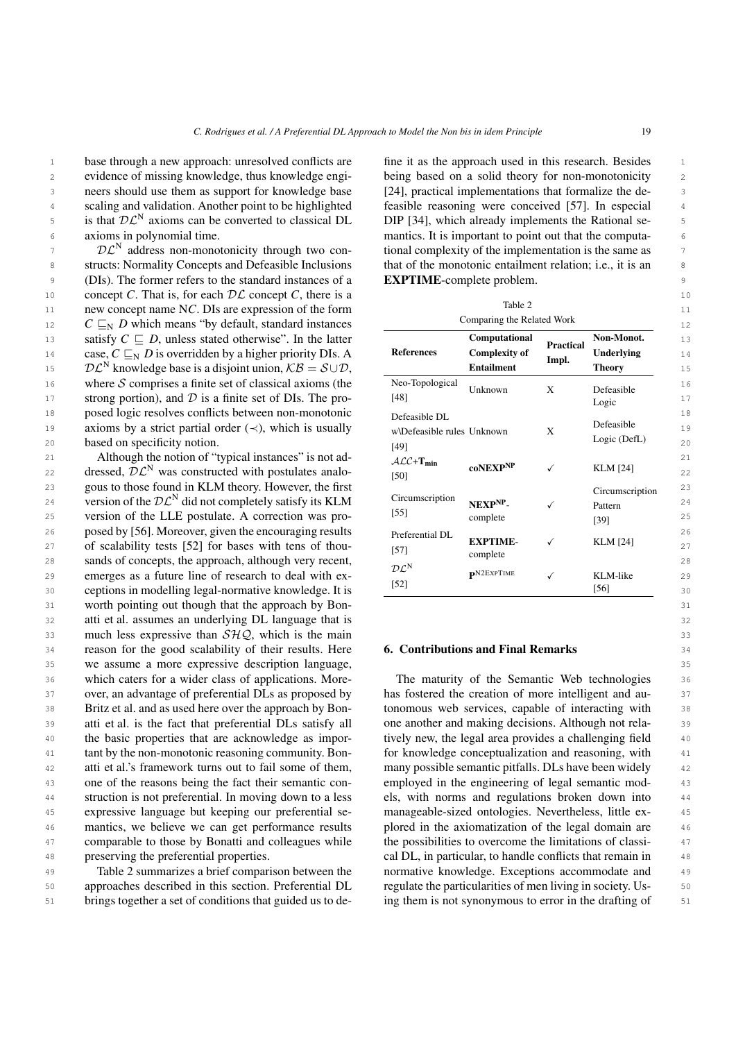<sup>1</sup> base through a new approach: unresolved conflicts are fine it as the approach used in this research. Besides 2 evidence of missing knowledge, thus knowledge engi- being based on a solid theory for non-monotonicity 2 3 3 neers should use them as support for knowledge base <sup>4</sup> scaling and validation. Another point to be highlighted feasible reasoning were conceived [57]. In especial <sup>4</sup> <sup>5</sup> is that  $D\mathcal{L}^N$  axioms can be converted to classical DL DIP [34], which already implements the Rational seaxioms in polynomial time.

 $2^{\circ}$   $\mathcal{DL}^{\mathbb{N}}$  address non-monotonicity through two con-<br>tional complexity of the implementation is the same as 8 structs: Normality Concepts and Defeasible Inclusions that of the monotonic entailment relation; i.e., it is an 9 (DIs). The former refers to the standard instances of a **EXPTIME**-complete problem. 10 10 concept *C*. That is, for each DL concept *C*, there is a 11 11 **new concept name NC.** DIs are expression of the form the state of the form the state 2 11 12 12 *C* v<sup>N</sup> *D* which means "by default, standard instances 13 **13 Satisfy**  $C \subseteq D$ **, unless stated otherwise". In the latter <b>Computational Computational Descriptional Non-Monot.** 13 14 case,  $C \sqsubseteq_N D$  is overridden by a higher priority DIs. A **References Complexity of Inderlying** 14 15  $\mathcal{DL}^N$  knowledge base is a disjoint union,  $\mathcal{KB} = \mathcal{S} \cup \mathcal{D}$ , **Entailment Example 15 Entrangeleance Example 15** 16 where S comprises a finite set of classical axioms (the Neo-Topological Linknown v Defectible 16 17 strong portion), and  $\mathcal{D}$  is a finite set of DIs. The pro- [48]  $\frac{188}{100}$  [17]  $\frac{17}{100}$ 18 18 posed logic resolves conflicts between non-monotonic 19 **axioms by a strict partial order** (≺), which is usually wNDefeasible rules Unknown X Defeasible 19  $\mathcal{DL}^N$  address non-monotonicity through two con-

21 Although the notion of "typical instances" is not ad- $AC + T_{min}$   $\qquad \qquad \ldots$   $\qquad \qquad$  21 22 dressed,  $\mathcal{DL}^N$  was constructed with postulates analo-<br> $\frac{1501}{1501}$  coNEXP<sup>NP</sup>  $\checkmark$  KLM [24] 22 23 23 gous to those found in KLM theory. However, the first 24 version of the  $D\mathcal{L}^{N}$  did not completely satisfy its KLM Circumscription  $NEXP^{NP}$ . 25 version of the LLE postulate. A correction was pro-  $[35]$  complete  $[39]$  25 26 26 posed by [\[56\]](#page-22-14). Moreover, given the encouraging results 27 of scalability tests [\[52\]](#page-22-10) for bases with tens of thou-<br>  $27$  EXPTIME-<br>  $27$  CONTERPTIVE-28 28 sands of concepts, the approach, although very recent, 29 emerges as a future line of research to deal with ex-<br>29  $P_{\text{X2}}$   $P_{\text{X2}}$   $P_{\text{X2}}$   $P_{\text{X2}}$   $P_{\text{X2}}$   $P_{\text{X2}}$   $P_{\text{X2}}$   $P_{\text{X2}}$   $P_{\text{X2}}$   $P_{\text{X2}}$   $P_{\text{X2}}$   $P_{\text{X2}}$   $P_{\text{X2}}$   $P_{\text{X2}}$   $P_{\text{X$  $30$  ceptions in modelling legal-normative knowledge. It is  $\frac{1321}{221}$  contract the contract of  $(56)$  30 31 31 worth pointing out though that the approach by Bon-32 32 atti et al. assumes an underlying DL language that is 33 33 much less expressive than  $SHQ$ , which is the main 34 reason for the good scalability of their results. Here **6. Contributions and Final Remarks** 34 35 35 we assume a more expressive description language, 36 which caters for a wider class of applications. More-<br>The maturity of the Semantic Web technologies 36 37 over, an advantage of preferential DLs as proposed by has fostered the creation of more intelligent and au-<br>37 38 Britz et al. and as used here over the approach by Bon-<br>tonomous web services, capable of interacting with 38 39 atti et al. is the fact that preferential DLs satisfy all one another and making decisions. Although not rela-<br>39 40 the basic properties that are acknowledge as impor-<br> $\frac{1}{2}$  tively new, the legal area provides a challenging field  $\frac{40}{2}$ 41 41 tant by the non-monotonic reasoning community. Bon-42 atti et al.'s framework turns out to fail some of them, many possible semantic pitfalls. DLs have been widely 42 43 one of the reasons being the fact their semantic con-<br>
employed in the engineering of legal semantic mod-<br>
43 <sup>44</sup> struction is not preferential. In moving down to a less els, with norms and regulations broken down into <sup>44</sup> 45 45 expressive language but keeping our preferential se-<sup>46</sup> mantics, we believe we can get performance results plored in the axiomatization of the legal domain are 46 <sup>47</sup> comparable to those by Bonatti and colleagues while the possibilities to overcome the limitations of classi-48 48 cal DL, in particular, to handle conflicts that remain in Britz et al. and as used here over the approach by Bonthe basic properties that are acknowledge as imporatti et al.'s framework turns out to fail some of them, one of the reasons being the fact their semantic conpreserving the preferential properties.

50 50 approaches described in this section. Preferential DL 51 brings together a set of conditions that guided us to de- ing them is not synonymous to error in the drafting of 51 Table [2](#page-18-0) summarizes a brief comparison between the brings together a set of conditions that guided us to de-

6 6 mantics. It is important to point out that the computafine it as the approach used in this research. Besides being based on a solid theory for non-monotonicity [\[24\]](#page-21-5), practical implementations that formalize the defeasible reasoning were conceived [\[57\]](#page-22-15). In especial DIP [\[34\]](#page-21-15), which already implements the Rational sethat of the monotonic entailment relation; i.e., it is an EXPTIME-complete problem.

#### <span id="page-18-0"></span>Table 2

| 12             | $C \sqsubseteq_{\text{N}} D$ which means "by default, standard instances"                                                                                                                                                                          | Comparing the Related Work                          |                                                            |                    |                                           |  |
|----------------|----------------------------------------------------------------------------------------------------------------------------------------------------------------------------------------------------------------------------------------------------|-----------------------------------------------------|------------------------------------------------------------|--------------------|-------------------------------------------|--|
| 13<br>14<br>15 | satisfy $C \sqsubseteq D$ , unless stated otherwise". In the latter<br>case, $C \sqsubseteq_N D$ is overridden by a higher priority DIs. A<br>$\mathcal{DL}^N$ knowledge base is a disjoint union, $\mathcal{KB} = \mathcal{S} \cup \mathcal{D}$ , | <b>References</b>                                   | Computational<br><b>Complexity of</b><br><b>Entailment</b> | Practical<br>Impl. | Non-Monot.<br>Underlying<br><b>Theory</b> |  |
| 16<br>17       | where $S$ comprises a finite set of classical axioms (the<br>strong portion), and $D$ is a finite set of DIs. The pro-                                                                                                                             | Neo-Topological<br>[48]                             | Unknown                                                    | X                  | Defeasible<br>Logic                       |  |
| 18<br>19<br>20 | posed logic resolves conflicts between non-monotonic<br>axioms by a strict partial order $(\prec)$ , which is usually<br>based on specificity notion.                                                                                              | Defeasible DL<br>w\Defeasible rules Unknown<br>[49] |                                                            | X                  | Defeasible<br>Logic (DefL)                |  |
| 21<br>22       | Although the notion of "typical instances" is not ad-<br>dressed, $\mathcal{DL}^N$ was constructed with postulates analo-                                                                                                                          | $\mathcal{ALC}+\mathbf{T}_{\text{min}}$<br>[50]     | <b>coNEXPNP</b>                                            | ✓                  | <b>KLM</b> [24]                           |  |
| 23<br>24<br>25 | gous to those found in KLM theory. However, the first<br>version of the $\mathcal{DL}^N$ did not completely satisfy its KLM<br>version of the LLE postulate. A correction was pro-                                                                 | Circumscription<br>$[55]$                           | $NEXPNP$ -<br>complete                                     | $\checkmark$       | Circumscription<br>Pattern<br>$[39]$      |  |
| 26<br>27<br>28 | posed by [56]. Moreover, given the encouraging results<br>of scalability tests [52] for bases with tens of thou-<br>sands of concepts, the approach, although very recent,                                                                         | Preferential DL<br>$[57]$                           | <b>EXPTIME-</b><br>complete                                | $\checkmark$       | <b>KLM</b> [24]                           |  |
| 29<br>30       | emerges as a future line of research to deal with ex-<br>ceptions in modelling legal-normative knowledge. It is                                                                                                                                    | $\mathcal{DL}^N$<br>$[52]$                          | <b>pN2EXPTIME</b>                                          | $\checkmark$       | KLM-like<br>$[56]$                        |  |

#### 6. Contributions and Final Remarks

49 Table 2 summarizes a brief comparison between the normative knowledge. Exceptions accommodate and 49 The maturity of the Semantic Web technologies has fostered the creation of more intelligent and auone another and making decisions. Although not relafor knowledge conceptualization and reasoning, with els, with norms and regulations broken down into manageable-sized ontologies. Nevertheless, little explored in the axiomatization of the legal domain are the possibilities to overcome the limitations of classiregulate the particularities of men living in society. Us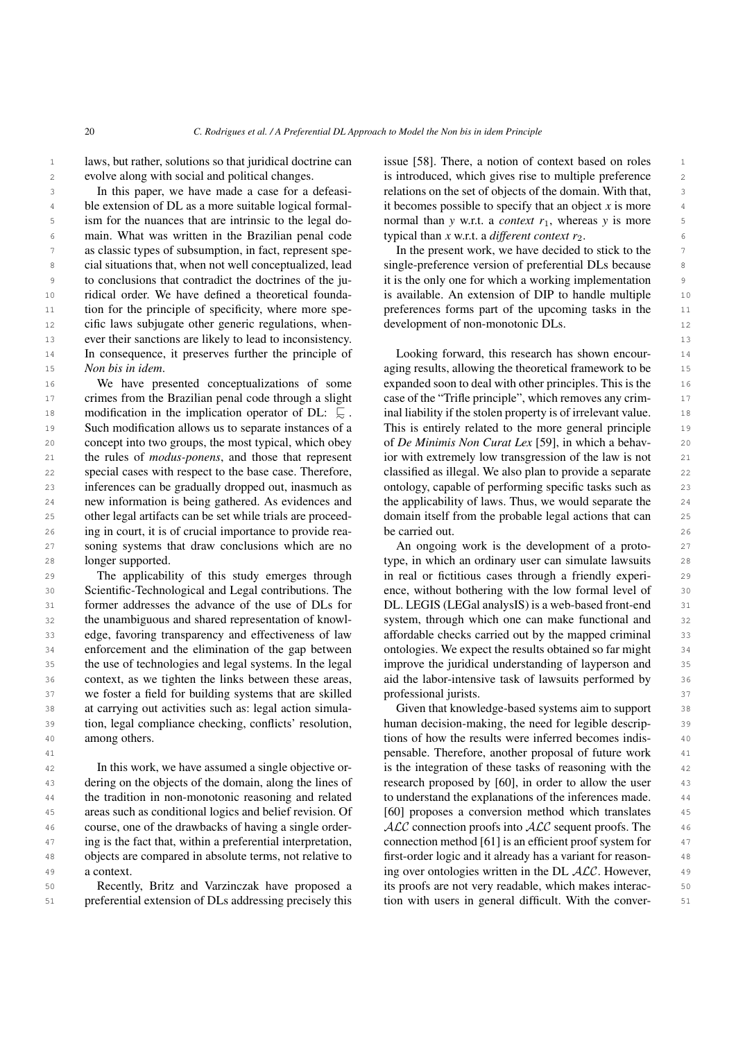1 laws, but rather, solutions so that juridical doctrine can issue [58]. There, a notion of context based on roles evolve along with social and political changes.

<sup>4</sup> ble extension of DL as a more suitable logical formal- it becomes possible to specify that an object x is more 5 ism for the nuances that are intrinsic to the legal do-<br>normal than *y* w.r.t. a *context*  $r_1$ , whereas *y* is more 5 6 main. What was written in the Brazilian penal code typical than x w.r.t. a *different context r*<sub>2</sub>. 7 as classic types of subsumption, in fact, represent spe-<br>In the present work, we have decided to stick to the <sup>8</sup> cial situations that, when not well conceptualized, lead single-preference version of preferential DLs because <sup>9</sup> to conclusions that contradict the doctrines of the ju-<br>it is the only one for which a working implementation 10 ridical order. We have defined a theoretical founda- is available. An extension of DIP to handle multiple 10 <sup>11</sup> tion for the principle of specificity, where more spe-<br>preferences forms part of the upcoming tasks in the 12 cific laws subjugate other generic regulations, when-<br>12 development of non-monotonic DLs. 13 13 ever their sanctions are likely to lead to inconsistency. <sup>14</sup> In consequence, it preserves further the principle of Looking forward, this research has shown encour-In this paper, we have made a case for a defeasiism for the nuances that are intrinsic to the legal docial situations that, when not well conceptualized, lead to conclusions that contradict the doctrines of the juridical order. We have defined a theoretical foundation for the principle of specificity, where more spe-*Non bis in idem*.

16 We have presented conceptualizations of some expanded soon to deal with other principles. This is the 16 <sup>17</sup> crimes from the Brazilian penal code through a slight case of the "Trifle principle", which removes any crim-18 18 modification in the implication operator of DL: @<sup>∼</sup> . 19 Such modification allows us to separate instances of a This is entirely related to the more general principle 19 20 concept into two groups, the most typical, which obey of *De Minimis Non Curat Lex* [59], in which a behav- 20 21 the rules of *modus-ponens*, and those that represent ior with extremely low transgression of the law is not 21 22 special cases with respect to the base case. Therefore, classified as illegal. We also plan to provide a separate 22 23 23 inferences can be gradually dropped out, inasmuch as 24 new information is being gathered. As evidences and the applicability of laws. Thus, we would separate the 24 25 other legal artifacts can be set while trials are proceed-<br>domain itself from the probable legal actions that can 26 26 ing in court, it is of crucial importance to provide rea-27 soning systems that draw conclusions which are no has also development of a proto- 27 28 longer supported. The canadiate support of the canadiate support type, in which an ordinary user can simulate lawsuits 28 We have presented conceptualizations of some special cases with respect to the base case. Therefore, other legal artifacts can be set while trials are proceedlonger supported.

29 The applicability of this study emerges through in real or fictitious cases through a friendly experi- 29 30 Scientific-Technological and Legal contributions. The ence, without bothering with the low formal level of 30 31 former addresses the advance of the use of DLs for DL. LEGIS (LEGal analysIS) is a web-based front-end 31 32 the unambiguous and shared representation of knowl-<br>system, through which one can make functional and<br>32 33 edge, favoring transparency and effectiveness of law affordable checks carried out by the mapped criminal 33 34 enforcement and the elimination of the gap between ontologies. We expect the results obtained so far might 34 35 the use of technologies and legal systems. In the legal improve the juridical understanding of layperson and 35 36 context, as we tighten the links between these areas, aid the labor-intensive task of lawsuits performed by 36 37 we foster a field for building systems that are skilled professional jurists. 38 38 at carrying out activities such as: legal action simula-39 tion, legal compliance checking, conflicts' resolution, human decision-making, the need for legible descrip-40 among others. And the results were inferred becomes indis-The applicability of this study emerges through the unambiguous and shared representation of knowledge, favoring transparency and effectiveness of law context, as we tighten the links between these areas, among others.

43 dering on the objects of the domain, along the lines of research proposed by [\[60\]](#page-22-18), in order to allow the user 43 <sup>44</sup> the tradition in non-monotonic reasoning and related to understand the explanations of the inferences made. <sup>44</sup> 45 45 areas such as conditional logics and belief revision. Of <sup>46</sup> course, one of the drawbacks of having a single order-<br>ALC connection proofs into ALC sequent proofs. The <sup>47</sup> ing is the fact that, within a preferential interpretation, connection method [61] is an efficient proof system for 48 objects are compared in absolute terms, not relative to first-order logic and it already has a variant for reason-49 a context. A context of the set of the set of the set of the set of the set of the SL ALC. However, 49 In this work, we have assumed a single objective ordering on the objects of the domain, along the lines of course, one of the drawbacks of having a single ordera context.

51 preferential extension of DLs addressing precisely this tion with users in general difficult. With the conver-Recently, Britz and Varzinczak have proposed a

2 evolve along with social and political changes. The is introduced, which gives rise to multiple preference 2 3 In this paper, we have made a case for a defeasi-<br>relations on the set of objects of the domain. With that, issue [\[58\]](#page-22-16). There, a notion of context based on roles it becomes possible to specify that an object *x* is more typical than  $x$  w.r.t. a *different context*  $r_2$ .

> In the present work, we have decided to stick to the development of non-monotonic DLs.

<sup>15</sup> *Non bis in idem*. The theoretical framework to be <sup>15</sup> aging results, allowing the theoretical framework to be Looking forward, this research has shown encourcase of the "Trifle principle", which removes any criminal liability if the stolen property is of irrelevant value. This is entirely related to the more general principle of *De Minimis Non Curat Lex* [\[59\]](#page-22-17), in which a behavior with extremely low transgression of the law is not ontology, capable of performing specific tasks such as the applicability of laws. Thus, we would separate the be carried out.

> An ongoing work is the development of a protoence, without bothering with the low formal level of DL. LEGIS (LEGal analysIS) is a web-based front-end ontologies. We expect the results obtained so far might improve the juridical understanding of layperson and professional jurists.

41 41 pensable. Therefore, another proposal of future work 42 In this work, we have assumed a single objective or- is the integration of these tasks of reasoning with the 42 50 **Executional Recentily, Britz and Varzinczak have proposed a** its proofs are not very readable, which makes interac-Given that knowledge-based systems aim to support human decision-making, the need for legible descripto understand the explanations of the inferences made. [\[60\]](#page-22-18) proposes a conversion method which translates connection method [\[61\]](#page-22-19) is an efficient proof system for first-order logic and it already has a variant for reasontion with users in general difficult. With the conver-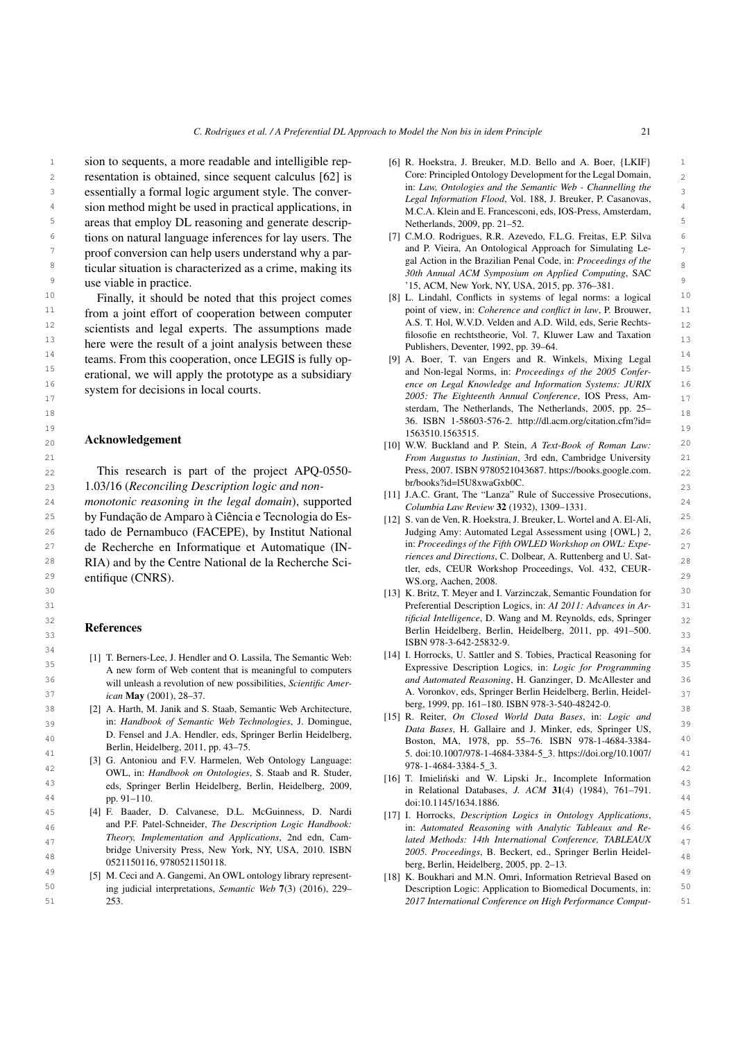1 sion to sequents, a more readable and intelligible rep- [6] R. Hoekstra, J. Breuker, M.D. Bello and A. Boer, {LKIF} 1 2 resentation is obtained, since sequent calculus [\[62\]](#page-22-20) is Core: Principled Ontology Development for the Legal Domain, 3 3 essentially a formal logic argument style. The conver- $\frac{4}{4}$  sion method might be used in practical applications, in  $\frac{1}{2}$   $\frac{1}{2}$   $\frac{1}{2}$   $\frac{1}{2}$   $\frac{1}{2}$   $\frac{1}{2}$   $\frac{1}{2}$   $\frac{1}{2}$   $\frac{1}{2}$   $\frac{1}{2}$   $\frac{1}{2}$   $\frac{1}{2}$   $\frac{1}{2}$   $\frac{1}{2}$   $\frac{1}{2}$   $\frac{1$ 5 5 areas that employ DL reasoning and generate descrip-<sup>6</sup> tions on natural language inferences for lay users. The [7] C.M.O. Rodrigues, R.R. Azevedo, F.L.G. Freitas, E.P. Silva  $7 \times 7$  proof conversion can help users understand why a par-<br>and P. Viera, An Ontological Approach for Simulating Le-8  $\frac{8}{30}$  ticular situation is characterized as a crime, making its  $\frac{8}{30}$   $\frac{8}{30}$  Acuvil in the Diazinan I chai Code, in. I foceedings of the <sup>9</sup> use viable in practice.<br><sup>9</sup> 15, ACM, New York, NY, USA, 2015, pp. 376–381. use viable in practice.

<sup>10</sup> Finally, it should be noted that this project comes [8] L. Lindahl, Conflicts in systems of legal norms: a logical  $10$ <sup>11</sup> from a joint effort of cooperation between computer  $\frac{11}{100}$  point of view, in: Coherence and conflict in law, P. Brouwer, 12 12 A.S. T. Hol, W.V.D. Velden and A.D. Wild, eds, Serie Rechts-<sup>13</sup> here were the result of a joint analysis between these *Publishers*, Deventer, 1992, pp. 39–64. 14 teams. From this cooperation, once LEGIS is fully op- [9] A. Boer, T. van Engers and R. Winkels, Mixing Legal 14 15 15 and Non-legal Norms, in: *Proceedings of the 2005 Confer-*16 16 *ence on Legal Knowledge and Information Systems: JURIX* scientists and legal experts. The assumptions made erational, we will apply the prototype as a subsidiary system for decisions in local courts.

### Acknowledgement

 *monotonic reasoning in the legal domain*), supported  $\frac{1}{2}$  *Columbia Law Review* 32 (1932) 1309–1331 **24**  25 by Fundação de Amparo à Ciência e Tecnologia do Es- 26 tado de Pernambuco (FACEPE), by Institut National 27 de Recherche en Informatique et Automatique (IN-<br>27 de Recherche en Informatique et Automatique (IN-<br>27 de Recherche en Informatique et Automatique (IN- 28 RIA) and by the Centre National de la Recherche Sci-29 entifique (CNRS). 29 and 2008.

#### References

- <span id="page-20-14"></span><span id="page-20-13"></span><span id="page-20-12"></span><span id="page-20-0"></span>[1] T. Berners-Lee, J. Hendler and O. Lassila, The Semantic Web: A new form of Web content that is meaningful to computers will unleash a revolution of new possibilities, *Scientific American* May (2001), 28–37.
- <span id="page-20-1"></span> $[2]$  A. Harth, M. Janik and S. Staab, Semantic Web Architecture,  $[38]$   $[2999, 1999, 101]$   $[101, 100]$   $[201, 101]$ D. Fensel and J.A. Hendler, eds, Springer Berlin Heidelberg, Berlin, Heidelberg, 2011, pp. 43–75.
- <span id="page-20-2"></span>42 42 OWL, in: *Handbook on Ontologies*, S. Staab and R. Studer, 43 43 eds, Springer Berlin Heidelberg, Berlin, Heidelberg, 2009, <sup>44</sup> by the cus, spinger beinn rietuenberg, beinn, rietuenberg, 2009, in Relational Databases, *J. ACM* 31(4) (1984), 761–791. [3] G. Antoniou and F.V. Harmelen, Web Ontology Language: pp. 91–110.
- <span id="page-20-15"></span><span id="page-20-3"></span>45 [4] F. Baader, D. Calvanese, D.L. McGuinness, D. Nardi [17] J. Horrocks Description Logics in Ontology Applications 45 46 **and P.F. Patel-Schneider,** *Ine Description Logic Handbook:* **in:** *Automated Reasoning with Analytic Tableaux and Re-* 46 47 47 *lated Methods: 14th International Conference, TABLEAUX* <sup>48</sup> bridge University Press, New York, NY, USA, 2010. ISBN 2005. Proceedings, B. Beckert, ed., Springer Berlin Heideland P.F. Patel-Schneider, *The Description Logic Handbook: Theory, Implementation and Applications*, 2nd edn, Cambridge University Press, New York, NY, USA, 2010. ISBN 0521150116, 9780521150118.
- <span id="page-20-16"></span><span id="page-20-4"></span><sup>49</sup> [5] M. Ceci and A. Gangemi, An OWL ontology library represent- [18] K. Boukhari and M.N. Omri, Information Retrieval Based on [5] M. Ceci and A. Gangemi, An OWL ontology library represent-253.
- [6] R. Hoekstra, J. Breuker, M.D. Bello and A. Boer, {LKIF} Core: Principled Ontology Development for the Legal Domain, in: *Law, Ontologies and the Semantic Web - Channelling the Legal Information Flood*, Vol. 188, J. Breuker, P. Casanovas, M.C.A. Klein and E. Francesconi, eds, IOS-Press, Amsterdam, Netherlands, 2009, pp. 21–52.
- <span id="page-20-5"></span>[7] C.M.O. Rodrigues, R.R. Azevedo, F.L.G. Freitas, E.P. Silva and P. Vieira, An Ontological Approach for Simulating Legal Action in the Brazilian Penal Code, in: *Proceedings of the 30th Annual ACM Symposium on Applied Computing*, SAC
- <span id="page-20-11"></span><span id="page-20-10"></span><span id="page-20-9"></span><span id="page-20-8"></span><span id="page-20-7"></span><span id="page-20-6"></span>[8] L. Lindahl, Conflicts in systems of legal norms: a logical point of view, in: *Coherence and conflict in law*, P. Brouwer, filosofie en rechtstheorie, Vol. 7, Kluwer Law and Taxation Publishers, Deventer, 1992, pp. 39–64.
- 17 17 *2005: The Eighteenth Annual Conference*, IOS Press, Am-18 18 sterdam, The Netherlands, The Netherlands, 2005, pp. 25– 19 19 36. ISBN 1-58603-576-2. [http://dl.acm.org/citation.cfm?id=](http://dl.acm.org/citation.cfm?id=1563510.1563515) [9] A. Boer, T. van Engers and R. Winkels, Mixing Legal [1563510.1563515.](http://dl.acm.org/citation.cfm?id=1563510.1563515)
- 20 20 [10] W.W. Buckland and P. Stein, *A Text-Book of Roman Law:* 21 21 *From Augustus to Justinian*, 3rd edn, Cambridge University 22 This research is part of the project APQ-0550- Press, 2007. ISBN 9780521043687. https://books.google.com. 22 23 23 1.03/16 (*Reconciling Description logic and non-*Press, 2007. ISBN 9780521043687. [https://books.google.com.](https://books.google.com.br/books?id=l5U8xwaGxb0C) [br/books?id=l5U8xwaGxb0C.](https://books.google.com.br/books?id=l5U8xwaGxb0C)
	- [11] J.A.C. Grant, The "Lanza" Rule of Successive Prosecutions, *Columbia Law Review* 32 (1932), 1309–1331.
	- [12] S. van de Ven, R. Hoekstra, J. Breuker, L. Wortel and A. El-Ali, Judging Amy: Automated Legal Assessment using {OWL} 2, in: *Proceedings of the Fifth OWLED Workshop on OWL: Experiences and Directions*, C. Dolbear, A. Ruttenberg and U. Sattler, eds, CEUR Workshop Proceedings, Vol. 432, CEUR-WS.org, Aachen, 2008.
- 30 30 [13] K. Britz, T. Meyer and I. Varzinczak, Semantic Foundation for 31 31 Preferential Description Logics, in: *AI 2011: Advances in Ar-*32 32 *tificial Intelligence*, D. Wang and M. Reynolds, eds, Springer **References Berlin Heidelberg, Berlin, Heidelberg, 2011, pp. 491–500.**<br>33 ISBN 978-3-642-25832-9.
- 34 34 [14] I. Horrocks, U. Sattler and S. Tobies, Practical Reasoning for 35 35 Expressive Description Logics, in: *Logic for Programming* 36 36 *and Automated Reasoning*, H. Ganzinger, D. McAllester and 37 *ican* May (2001), 28–37. **A. Voronkov, eds, Springer Berlin Heidelberg**, Berlin, Heidelberg, 1999, pp. 161–180. ISBN 978-3-540-48242-0.
- 39 39 in: *Handbook of Semantic Web Technologies*, J. Domingue, 40  $\mu$  D. Feuse and J.A. Fielding, eds. Springer Berlin Heldeberg, Boston, MA, 1978, pp. 55–76. ISBN 978-1-4684-3384-  $\frac{40}{25}$ 41 41 5. doi:10.1007/978-1-4684-3384-5\_3. [https://doi.org/10.1007/](https://doi.org/10.1007/978-1-4684-3384-5_3) [15] R. Reiter, *On Closed World Data Bases*, in: *Logic and Data Bases*, H. Gallaire and J. Minker, eds, Springer US, [978-1-4684-3384-5\\_3.](https://doi.org/10.1007/978-1-4684-3384-5_3)
	- [16] T. Imieliński and W. Lipski Jr., Incomplete Information doi:10.1145/1634.1886.
	- [17] I. Horrocks, *Description Logics in Ontology Applications*, berg, Berlin, Heidelberg, 2005, pp. 2–13.
- 50 50 ing judicial interpretations, *Semantic Web* 7(3) (2016), 229– 51 51 *2017 International Conference on High Performance Comput-*Description Logic: Application to Biomedical Documents, in: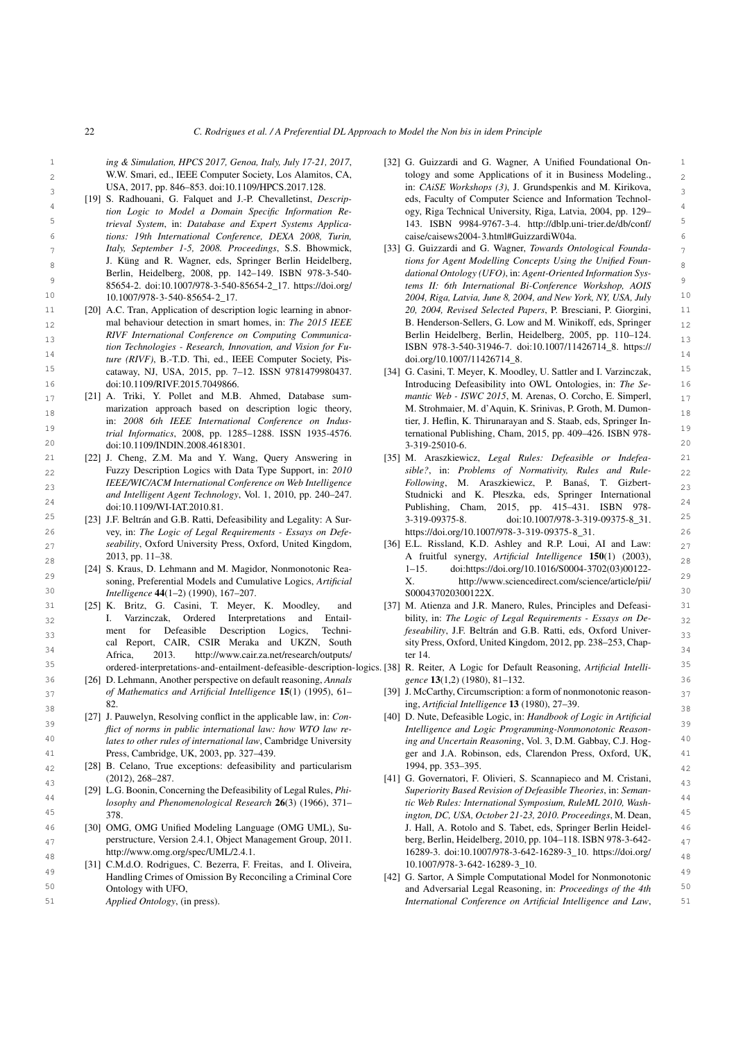<span id="page-21-13"></span><span id="page-21-12"></span>*ing & Simulation, HPCS 2017, Genoa, Italy, July 17-21, 2017*, W.W. Smari, ed., IEEE Computer Society, Los Alamitos, CA, USA, 2017, pp. 846–853. doi:10.1109/HPCS.2017.128.

- <span id="page-21-0"></span>[19] S. Radhouani, G. Falquet and J.-P. Chevalletinst, *Descrip-Italy, September 1-5, 2008. Proceedings*, S.S. Bhowmick, J. Küng and R. Wagner, eds, Springer Berlin Heidelberg, Berlin, Heidelberg, 2008, pp. 142–149. ISBN 978-3-540- [10.1007/978-3-540-85654-2\\_17.](https://doi.org/10.1007/978-3-540-85654-2_17)
- <span id="page-21-1"></span><sup>15</sup> cataway, NJ, USA, 2015, pp. 7-12. ISSN 9781479980437. [34] G. Casini, T. Meyer, K. Moodley, U. Sattler and I. Varzinczak, mal behaviour detection in smart homes, in: *The 2015 IEEE tion Technologies - Research, Innovation, and Vision for Fu*doi:10.1109/RIVF.2015.7049866.
- <span id="page-21-2"></span> $_{17}$  [21] A. Triki, Y. Pollet and M.B. Ahmed, Database sum-<br> $matrix\text{ }Wc\text{ }2015\text{, }M.$  Arenas, O. Corcho, E. Simperl, narization approach based on description logic theory, M. Strohmaier, M. d'Aquin, K. Srinivas, P. Groth, M. Dumon-19 19 *trial Informatics*, 2008, pp. 1285–1288. ISSN 1935-4576. marization approach based on description logic theory, in: *2008 6th IEEE International Conference on Indus-*
- 22 22 Fuzzy Description Logics with Data Type Support, in: *2010* 23 23 *IEEE/WIC/ACM International Conference on Web Intelligence and Intelligent Agent Technology*, Vol. 1, 2010, pp. 240–247. doi:10.1109/WI-IAT.2010.81.
- <span id="page-21-4"></span>26 26 vey, in: *The Logic of Legal Requirements - Essays on Defez*<sub>7</sub> *seability*, Oxford University Press, Oxford, United Kingdom, [36] E.L. Rissland, K.D. Ashley and R.P. Loui, AI and Law:  $27$ *seability*, Oxford University Press, Oxford, United Kingdom, 2013, pp. 11–38.
- <span id="page-21-5"></span>29 **29** soning, Preferential Models and Cumulative Logics, *Artificial* X. http://www.sciencedirect.com/science/article/pii/ [24] S. Kraus, D. Lehmann and M. Magidor, Nonmonotonic Rea-
- <span id="page-21-18"></span><span id="page-21-6"></span>31 31 [37] M. Atienza and J.R. Manero, Rules, Principles and Defeasi-32 32 bility, in: *The Logic of Legal Requirements - Essays on De-*33 **feseability**, J.F. Beltrán and G.B. Ratti, eds, Oxford Univer-<br>33 34 34 Africa, 2013. [http://www.cair.za.net/research/outputs/](http://www.cair.za.net/research/outputs/ordered-interpretations-and-entailment-defeasible-description-logics) [25] K. Britz, G. Casini, T. Meyer, K. Moodley, and I. Varzinczak, Ordered Interpretations and Entailment for Defeasible Description Logics, Technical Report, CAIR, CSIR Meraka and UKZN, South
- <span id="page-21-7"></span>36 36 [26] D. Lehmann, Another perspective on default reasoning, *Annals*  $37$  of Mathematics and Artificial Intelligence 15(1) (1995), 61- [39] J. McCarthy, Circumscription: a form of nonmonotonic reason*of Mathematics and Artificial Intelligence* 15(1) (1995), 61– 82.
- <span id="page-21-21"></span><span id="page-21-8"></span><sup>39</sup> *flict of norms in public international law: how WTO law re- Intelligence and Logic Programming-Nonmonotonic Reason-*<br><sup>39</sup> *flict of norms in public international law: how WTO law re- Intelligence and Logic Progra* 40 40 *lates to other rules of international law*, Cambridge University [27] J. Pauwelyn, Resolving conflict in the applicable law, in: *Con-*Press, Cambridge, UK, 2003, pp. 327–439.
- <span id="page-21-22"></span><span id="page-21-9"></span>42 42 [28] B. Celano, True exceptions: defeasibility and particularism (2012), 268–287.
	- [29] L.G. Boonin, Concerning the Defeasibility of Legal Rules, *Phi-*378.
	- [http://www.omg.org/spec/UML/2.4.1.](http://www.omg.org/spec/UML/2.4.1)
- <span id="page-21-14"></span><span id="page-21-11"></span>49 49 [42] G. Sartor, A Simple Computational Model for Nonmonotonic 50 50 and Adversarial Legal Reasoning, in: *Proceedings of the 4th* [31] C.M.d.O. Rodrigues, C. Bezerra, F. Freitas, and I. Oliveira, Handling Crimes of Omission By Reconciling a Criminal Core Ontology with UFO,
- <span id="page-21-23"></span>*Applied Ontology*, (in press).
- 1 ing & Simulation, HPCS 2017, Genoa, Italy, July 17-21, 2017, [32] G. Guizzardi and G. Wagner, A Unified Foundational On-2 W.W. Smari, ed., IEEE Computer Society, Los Alamitos, CA, tology and some Applications of it in Business Modeling.,  $\overline{2}$ 3 3 in: *CAiSE Workshops (3)*, J. Grundspenkis and M. Kirikova, <sup>4</sup> tion Logic to Model a Domain Specific Information Re-<br><sup>4</sup> egy, Riga Technical University, Riga, Latvia, 2004, pp. 129– 5 5 *trieval System*, in: *Database and Expert Systems Applica-*6 6 *tions: 19th International Conference, DEXA 2008, Turin,* eds, Faculty of Computer Science and Information Technology, Riga Technical University, Riga, Latvia, 2004, pp. 129– 143. ISBN 9984-9767-3-4. [http://dblp.uni-trier.de/db/conf/](http://dblp.uni-trier.de/db/conf/caise/caisews2004-3.html#GuizzardiW04a) [caise/caisews2004-3.html#GuizzardiW04a.](http://dblp.uni-trier.de/db/conf/caise/caisews2004-3.html#GuizzardiW04a)
- 7 7 [33] G. Guizzardi and G. Wagner, *Towards Ontological Founda-*8 8 *tions for Agent Modelling Concepts Using the Unified Foun-* $\frac{9}{200}$  85654-2. doi:10.1007/978-3-540-85654-2\_17. [https://doi.org/](https://doi.org/10.1007/978-3-540-85654-2_17) tems II: 6th International Bi-Conference Workshop, AOIS 10 10 *2004, Riga, Latvia, June 8, 2004, and New York, NY, USA, July* 11 [20] A.C. Tran, Application of description logic learning in abnor-<br>20, 2004, Revised Selected Papers, P. Bresciani, P. Giorgini, 11 12 mal behaviour detection in smart homes, in: The 2015 IEEE B. Henderson-Sellers, G. Low and M. Winikoff, eds, Springer 12 13 13 *RIVF International Conference on Computing Communica-*14<br> *ture (RIVF)*, B.-T.D. Thi, ed., IEEE Computer Society, Pis-<br>
doi.org/10.1007/11426714\_8. *dational Ontology (UFO)*, in: *Agent-Oriented Information Systems II: 6th International Bi-Conference Workshop, AOIS 20, 2004, Revised Selected Papers*, P. Bresciani, P. Giorgini, Berlin Heidelberg, Berlin, Heidelberg, 2005, pp. 110–124. ISBN 978-3-540-31946-7. doi:10.1007/11426714\_8. [https://](https://doi.org/10.1007/11426714_8) [doi.org/10.1007/11426714\\_8.](https://doi.org/10.1007/11426714_8)
- <span id="page-21-15"></span>16 16 Introducing Defeasibility into OWL Ontologies, in: *The Se-* $20$  doi:10.1109/INDIN.2008.4618301. 20<br>3-319-25010-6. 20 [34] G. Casini, T. Meyer, K. Moodley, U. Sattler and I. Varzinczak, *mantic Web - ISWC 2015*, M. Arenas, O. Corcho, E. Simperl, tier, J. Heflin, K. Thirunarayan and S. Staab, eds, Springer International Publishing, Cham, 2015, pp. 409–426. ISBN 978- 3-319-25010-6.
- <span id="page-21-16"></span><span id="page-21-3"></span>21 [22] J. Cheng, Z.M. Ma and Y. Wang, Query Answering in [35] M. Araszkiewicz, Legal Rules: Defeasible or Indefea- 21  $24$  24 doi:10.1109/WI-IAT.2010.81. <br>  $24$  Publishing, Cham, 2015, pp. 415–431. ISBN 978-<sup>25</sup> [23] J.F. Beltrán and G.B. Ratti, Defeasibility and Legality: A Sur-<br>
3-319-09375-8. doi:10.1007/978-3-319-09375-8\_31. [35] M. Araszkiewicz, *Legal Rules: Defeasible or Indefeasible?*, in: *Problems of Normativity, Rules and Rule-Following*, M. Araszkiewicz, P. Banas, T. Gizbert- ´ Studnicki and K. Płeszka, eds, Springer International 3-319-09375-8. doi:10.1007/978-3-319-09375-8\_31. [https://doi.org/10.1007/978-3-319-09375-8\\_31.](https://doi.org/10.1007/978-3-319-09375-8_31)
- <span id="page-21-17"></span>28 28 A fruitful synergy, *Artificial Intelligence* 150(1) (2003), 30 30 *Intelligence* 44(1–2) (1990), 167–207. 1–15. doi:https://doi.org/10.1016/S0004-3702(03)00122- X. [http://www.sciencedirect.com/science/article/pii/](http://www.sciencedirect.com/science/article/pii/S000437020300122X) [S000437020300122X.](http://www.sciencedirect.com/science/article/pii/S000437020300122X)
	- sity Press, Oxford, United Kingdom, 2012, pp. 238–253, Chapter 14.
- <span id="page-21-19"></span>35 35 [ordered-interpretations-and-entailment-defeasible-description-logics.](http://www.cair.za.net/research/outputs/ordered-interpretations-and-entailment-defeasible-description-logics) [38] R. Reiter, A Logic for Default Reasoning, *Artificial Intelligence* 13(1,2) (1980), 81–132.
- <span id="page-21-20"></span>38 38 ing, *Artificial Intelligence* 13 (1980), 27–39.
- 41 41 ger and J.A. Robinson, eds, Clarendon Press, Oxford, UK, [40] D. Nute, Defeasible Logic, in: *Handbook of Logic in Artificial Intelligence and Logic Programming-Nonmonotonic Reasoning and Uncertain Reasoning*, Vol. 3, D.M. Gabbay, C.J. Hog-1994, pp. 353–395.
- <span id="page-21-10"></span> $(2012), 268-287.$  [41] G. Governatori, F. Olivieri, S. Scannapieco and M. Cristani,  $\frac{43}{43}$ 44 44 *losophy and Phenomenological Research* 26(3) (1966), 371– 45 45 *ington, DC, USA, October 21-23, 2010. Proceedings*, M. Dean, 46 46 [30] OMG, OMG Unified Modeling Language (OMG UML), Su-<sub>47</sub> perstructure, Version 2.4.1, Object Management Group, 2011. berg, Berlin, Heidelberg, 2010, pp. 104–118. ISBN 978-3-64248 http://www.omg.org/spec/UML/2.4.1. 16289-3. doi:10.1007/978-3-642-16289-3\_10. [https://doi.org/](https://doi.org/10.1007/978-3-642-16289-3_10) *Superiority Based Revision of Defeasible Theories*, in: *Semantic Web Rules: International Symposium, RuleML 2010, Wash-*J. Hall, A. Rotolo and S. Tabet, eds, Springer Berlin Heidelberg, Berlin, Heidelberg, 2010, pp. 104–118. ISBN 978-3-642- [10.1007/978-3-642-16289-3\\_10.](https://doi.org/10.1007/978-3-642-16289-3_10)
- 51 51 *International Conference on Artificial Intelligence and Law*,